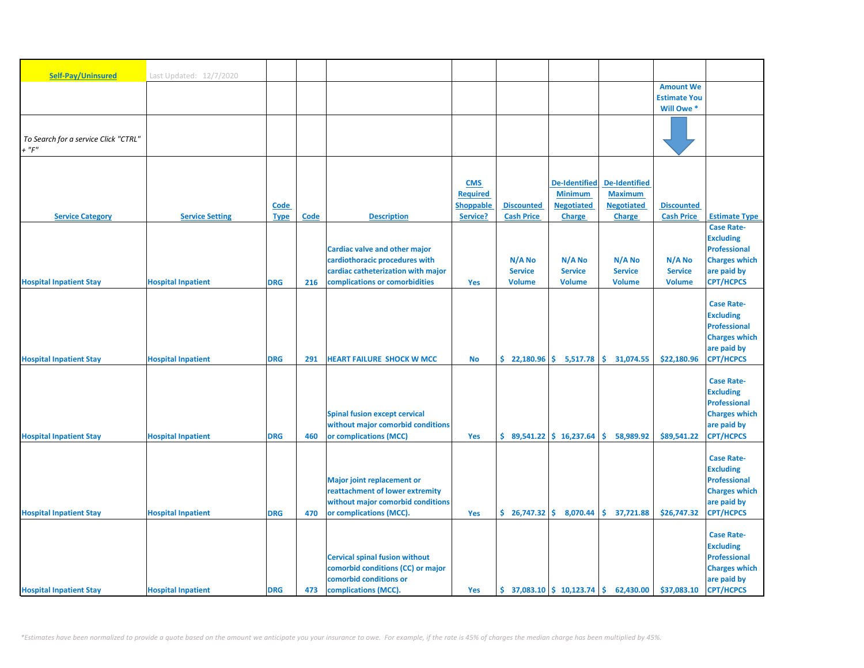| Self-Pay/Uninsured                   | Last Updated: 12/7/2020   |             |      |                                       |                  |                   |                                                               |                      |                     |                                         |
|--------------------------------------|---------------------------|-------------|------|---------------------------------------|------------------|-------------------|---------------------------------------------------------------|----------------------|---------------------|-----------------------------------------|
|                                      |                           |             |      |                                       |                  |                   |                                                               |                      | <b>Amount We</b>    |                                         |
|                                      |                           |             |      |                                       |                  |                   |                                                               |                      | <b>Estimate You</b> |                                         |
|                                      |                           |             |      |                                       |                  |                   |                                                               |                      | Will Owe *          |                                         |
|                                      |                           |             |      |                                       |                  |                   |                                                               |                      |                     |                                         |
| To Search for a service Click "CTRL" |                           |             |      |                                       |                  |                   |                                                               |                      |                     |                                         |
| + "F"                                |                           |             |      |                                       |                  |                   |                                                               |                      |                     |                                         |
|                                      |                           |             |      |                                       |                  |                   |                                                               |                      |                     |                                         |
|                                      |                           |             |      |                                       | <b>CMS</b>       |                   | <b>De-Identified</b>                                          | <b>De-Identified</b> |                     |                                         |
|                                      |                           |             |      |                                       | <b>Required</b>  |                   | <b>Minimum</b>                                                | <b>Maximum</b>       |                     |                                         |
|                                      |                           | Code        |      |                                       | <b>Shoppable</b> | <b>Discounted</b> | <b>Negotiated</b>                                             | <b>Negotiated</b>    | <b>Discounted</b>   |                                         |
| <b>Service Category</b>              | <b>Service Setting</b>    | <b>Type</b> | Code | <b>Description</b>                    | Service?         | <b>Cash Price</b> | <b>Charge</b>                                                 | <b>Charge</b>        | <b>Cash Price</b>   | <b>Estimate Type</b>                    |
|                                      |                           |             |      |                                       |                  |                   |                                                               |                      |                     | <b>Case Rate-</b>                       |
|                                      |                           |             |      | Cardiac valve and other major         |                  |                   |                                                               |                      |                     | <b>Excluding</b><br>Professional        |
|                                      |                           |             |      | cardiothoracic procedures with        |                  | N/A No            | N/A No                                                        | N/A No               | N/A No              | <b>Charges which</b>                    |
|                                      |                           |             |      | cardiac catheterization with major    |                  | <b>Service</b>    | <b>Service</b>                                                | <b>Service</b>       | <b>Service</b>      | are paid by                             |
| <b>Hospital Inpatient Stay</b>       | <b>Hospital Inpatient</b> | <b>DRG</b>  | 216  | complications or comorbidities        | Yes              | <b>Volume</b>     | <b>Volume</b>                                                 | <b>Volume</b>        | <b>Volume</b>       | <b>CPT/HCPCS</b>                        |
|                                      |                           |             |      |                                       |                  |                   |                                                               |                      |                     |                                         |
|                                      |                           |             |      |                                       |                  |                   |                                                               |                      |                     | <b>Case Rate-</b>                       |
|                                      |                           |             |      |                                       |                  |                   |                                                               |                      |                     | <b>Excluding</b><br><b>Professional</b> |
|                                      |                           |             |      |                                       |                  |                   |                                                               |                      |                     | <b>Charges which</b>                    |
|                                      |                           |             |      |                                       |                  |                   |                                                               |                      |                     | are paid by                             |
| <b>Hospital Inpatient Stay</b>       | <b>Hospital Inpatient</b> | <b>DRG</b>  | 291  | <b>HEART FAILURE SHOCK W MCC</b>      | <b>No</b>        |                   | $$22,180.96 \mid $5,517.78]$                                  | \$.<br>31,074.55     | \$22,180.96         | <b>CPT/HCPCS</b>                        |
|                                      |                           |             |      |                                       |                  |                   |                                                               |                      |                     |                                         |
|                                      |                           |             |      |                                       |                  |                   |                                                               |                      |                     | <b>Case Rate-</b><br><b>Excluding</b>   |
|                                      |                           |             |      |                                       |                  |                   |                                                               |                      |                     | <b>Professional</b>                     |
|                                      |                           |             |      | <b>Spinal fusion except cervical</b>  |                  |                   |                                                               |                      |                     | <b>Charges which</b>                    |
|                                      |                           |             |      | without major comorbid conditions     |                  |                   |                                                               |                      |                     | are paid by                             |
| <b>Hospital Inpatient Stay</b>       | <b>Hospital Inpatient</b> | <b>DRG</b>  | 460  | or complications (MCC)                | Yes              |                   | $$89,541.22 \mid $16,237.64$                                  | Ŝ.<br>58,989.92      | \$89,541.22         | <b>CPT/HCPCS</b>                        |
|                                      |                           |             |      |                                       |                  |                   |                                                               |                      |                     |                                         |
|                                      |                           |             |      |                                       |                  |                   |                                                               |                      |                     | <b>Case Rate-</b><br><b>Excluding</b>   |
|                                      |                           |             |      | <b>Major joint replacement or</b>     |                  |                   |                                                               |                      |                     | <b>Professional</b>                     |
|                                      |                           |             |      | reattachment of lower extremity       |                  |                   |                                                               |                      |                     | <b>Charges which</b>                    |
|                                      |                           |             |      | without major comorbid conditions     |                  |                   |                                                               |                      |                     | are paid by                             |
| <b>Hospital Inpatient Stay</b>       | <b>Hospital Inpatient</b> | <b>DRG</b>  | 470  | or complications (MCC).               | Yes              |                   | $$26,747.32 \mid $8,070.44]$                                  | \$37,721.88          | \$26,747.32         | <b>CPT/HCPCS</b>                        |
|                                      |                           |             |      |                                       |                  |                   |                                                               |                      |                     | <b>Case Rate-</b>                       |
|                                      |                           |             |      |                                       |                  |                   |                                                               |                      |                     | <b>Excluding</b>                        |
|                                      |                           |             |      | <b>Cervical spinal fusion without</b> |                  |                   |                                                               |                      |                     | Professional                            |
|                                      |                           |             |      | comorbid conditions (CC) or major     |                  |                   |                                                               |                      |                     | <b>Charges which</b>                    |
|                                      |                           |             |      | comorbid conditions or                |                  |                   |                                                               |                      |                     | are paid by                             |
| <b>Hospital Inpatient Stay</b>       | <b>Hospital Inpatient</b> | <b>DRG</b>  | 473  | complications (MCC).                  | Yes              |                   | $\frac{1}{2}$ 37,083.10 $\frac{1}{2}$ 10,123.74 $\frac{1}{2}$ | 62,430.00            | \$37,083.10         | <b>CPT/HCPCS</b>                        |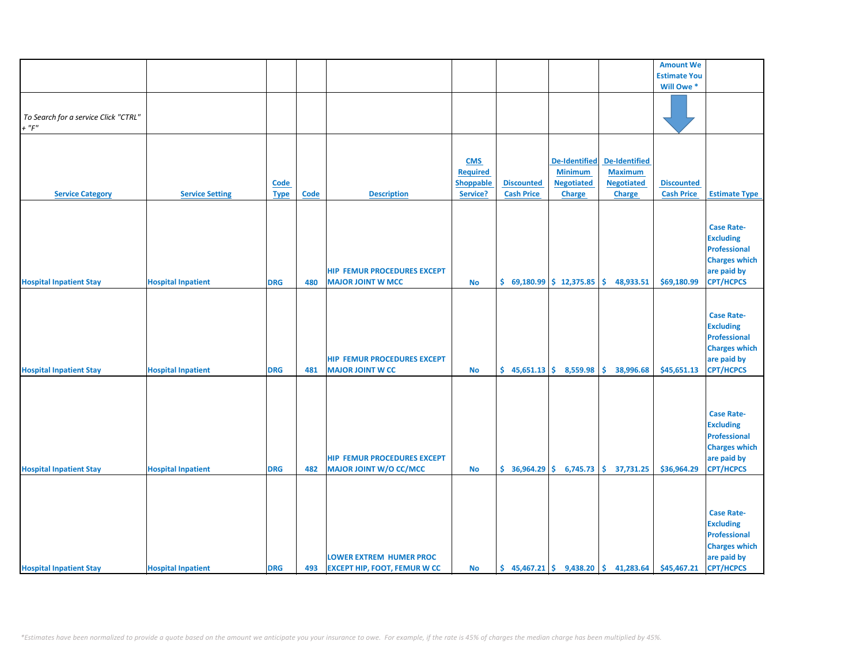|                                      |                           |             |             |                                     |                               |                            |                            |                                                                           | <b>Amount We</b>    |                      |
|--------------------------------------|---------------------------|-------------|-------------|-------------------------------------|-------------------------------|----------------------------|----------------------------|---------------------------------------------------------------------------|---------------------|----------------------|
|                                      |                           |             |             |                                     |                               |                            |                            |                                                                           | <b>Estimate You</b> |                      |
|                                      |                           |             |             |                                     |                               |                            |                            |                                                                           |                     |                      |
|                                      |                           |             |             |                                     |                               |                            |                            |                                                                           | Will Owe *          |                      |
|                                      |                           |             |             |                                     |                               |                            |                            |                                                                           |                     |                      |
| To Search for a service Click "CTRL" |                           |             |             |                                     |                               |                            |                            |                                                                           |                     |                      |
| $+$ " $F"$                           |                           |             |             |                                     |                               |                            |                            |                                                                           |                     |                      |
|                                      |                           |             |             |                                     |                               |                            |                            |                                                                           |                     |                      |
|                                      |                           |             |             |                                     |                               |                            |                            |                                                                           |                     |                      |
|                                      |                           |             |             |                                     |                               |                            | <b>De-Identified</b>       | De-Identified                                                             |                     |                      |
|                                      |                           |             |             |                                     | <b>CMS</b><br><b>Required</b> |                            | <b>Minimum</b>             | <b>Maximum</b>                                                            |                     |                      |
|                                      |                           |             |             |                                     |                               |                            |                            |                                                                           |                     |                      |
|                                      |                           | <b>Code</b> |             |                                     | <b>Shoppable</b>              | <b>Discounted</b>          | <b>Negotiated</b>          | <b>Negotiated</b>                                                         | <b>Discounted</b>   |                      |
| <b>Service Category</b>              | <b>Service Setting</b>    | <b>Type</b> | <b>Code</b> | <b>Description</b>                  | Service?                      | <b>Cash Price</b>          | <b>Charge</b>              | <b>Charge</b>                                                             | <b>Cash Price</b>   | <b>Estimate Type</b> |
|                                      |                           |             |             |                                     |                               |                            |                            |                                                                           |                     |                      |
|                                      |                           |             |             |                                     |                               |                            |                            |                                                                           |                     |                      |
|                                      |                           |             |             |                                     |                               |                            |                            |                                                                           |                     | <b>Case Rate-</b>    |
|                                      |                           |             |             |                                     |                               |                            |                            |                                                                           |                     | <b>Excluding</b>     |
|                                      |                           |             |             |                                     |                               |                            |                            |                                                                           |                     | <b>Professional</b>  |
|                                      |                           |             |             |                                     |                               |                            |                            |                                                                           |                     | <b>Charges which</b> |
|                                      |                           |             |             | <b>HIP FEMUR PROCEDURES EXCEPT</b>  |                               |                            |                            |                                                                           |                     | are paid by          |
| <b>Hospital Inpatient Stay</b>       | <b>Hospital Inpatient</b> | <b>DRG</b>  | 480         | <b>MAJOR JOINT W MCC</b>            | <b>No</b>                     | $$69,180.99$$ $$12,375.85$ |                            | \$.<br>48,933.51                                                          | \$69,180.99         | <b>CPT/HCPCS</b>     |
|                                      |                           |             |             |                                     |                               |                            |                            |                                                                           |                     |                      |
|                                      |                           |             |             |                                     |                               |                            |                            |                                                                           |                     |                      |
|                                      |                           |             |             |                                     |                               |                            |                            |                                                                           |                     | <b>Case Rate-</b>    |
|                                      |                           |             |             |                                     |                               |                            |                            |                                                                           |                     | <b>Excluding</b>     |
|                                      |                           |             |             |                                     |                               |                            |                            |                                                                           |                     | Professional         |
|                                      |                           |             |             |                                     |                               |                            |                            |                                                                           |                     | <b>Charges which</b> |
|                                      |                           |             |             | <b>HIP FEMUR PROCEDURES EXCEPT</b>  |                               |                            |                            |                                                                           |                     | are paid by          |
| <b>Hospital Inpatient Stay</b>       |                           | <b>DRG</b>  | 481         | <b>MAJOR JOINT W CC</b>             | <b>No</b>                     | $$45,651.13$$ $$8,559.98$  |                            | \$.<br>38,996.68                                                          | \$45,651.13         | <b>CPT/HCPCS</b>     |
|                                      | <b>Hospital Inpatient</b> |             |             |                                     |                               |                            |                            |                                                                           |                     |                      |
|                                      |                           |             |             |                                     |                               |                            |                            |                                                                           |                     |                      |
|                                      |                           |             |             |                                     |                               |                            |                            |                                                                           |                     |                      |
|                                      |                           |             |             |                                     |                               |                            |                            |                                                                           |                     |                      |
|                                      |                           |             |             |                                     |                               |                            |                            |                                                                           |                     | <b>Case Rate-</b>    |
|                                      |                           |             |             |                                     |                               |                            |                            |                                                                           |                     | <b>Excluding</b>     |
|                                      |                           |             |             |                                     |                               |                            |                            |                                                                           |                     | <b>Professional</b>  |
|                                      |                           |             |             |                                     |                               |                            |                            |                                                                           |                     | <b>Charges which</b> |
|                                      |                           |             |             | <b>HIP FEMUR PROCEDURES EXCEPT</b>  |                               |                            |                            |                                                                           |                     | are paid by          |
| <b>Hospital Inpatient Stay</b>       | <b>Hospital Inpatient</b> | <b>DRG</b>  | 482         | MAJOR JOINT W/O CC/MCC              | <b>No</b>                     |                            | $$36,964.29$$ $$6,745.73$$ | \$37,731.25                                                               | \$36,964.29         | <b>CPT/HCPCS</b>     |
|                                      |                           |             |             |                                     |                               |                            |                            |                                                                           |                     |                      |
|                                      |                           |             |             |                                     |                               |                            |                            |                                                                           |                     |                      |
|                                      |                           |             |             |                                     |                               |                            |                            |                                                                           |                     |                      |
|                                      |                           |             |             |                                     |                               |                            |                            |                                                                           |                     | <b>Case Rate-</b>    |
|                                      |                           |             |             |                                     |                               |                            |                            |                                                                           |                     | <b>Excluding</b>     |
|                                      |                           |             |             |                                     |                               |                            |                            |                                                                           |                     | <b>Professional</b>  |
|                                      |                           |             |             |                                     |                               |                            |                            |                                                                           |                     | <b>Charges which</b> |
|                                      |                           |             |             | <b>LOWER EXTREM HUMER PROC</b>      |                               |                            |                            |                                                                           |                     | are paid by          |
| <b>Hospital Inpatient Stay</b>       | <b>Hospital Inpatient</b> | <b>DRG</b>  | 493         | <b>EXCEPT HIP, FOOT, FEMUR W CC</b> | <b>No</b>                     |                            |                            | $\binom{1}{2}$ 45,467.21 $\binom{2}{3}$ 9,438.20 $\binom{3}{3}$ 41,283.64 | \$45,467.21         | <b>CPT/HCPCS</b>     |
|                                      |                           |             |             |                                     |                               |                            |                            |                                                                           |                     |                      |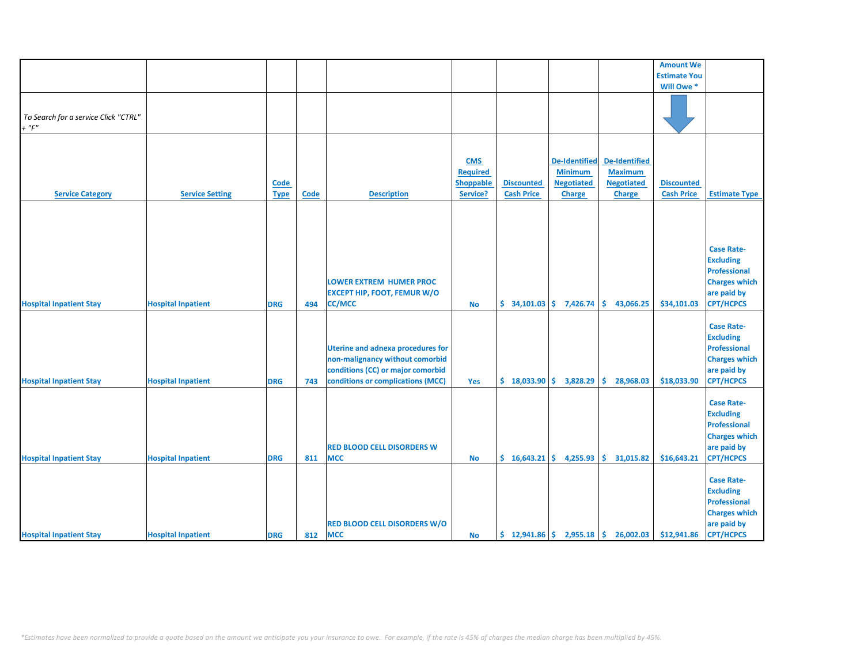|                                      |                           |             |      |                                          |                 |                   |                      |                                                                              | <b>Amount We</b>    |                      |
|--------------------------------------|---------------------------|-------------|------|------------------------------------------|-----------------|-------------------|----------------------|------------------------------------------------------------------------------|---------------------|----------------------|
|                                      |                           |             |      |                                          |                 |                   |                      |                                                                              | <b>Estimate You</b> |                      |
|                                      |                           |             |      |                                          |                 |                   |                      |                                                                              | Will Owe *          |                      |
|                                      |                           |             |      |                                          |                 |                   |                      |                                                                              |                     |                      |
|                                      |                           |             |      |                                          |                 |                   |                      |                                                                              |                     |                      |
| To Search for a service Click "CTRL" |                           |             |      |                                          |                 |                   |                      |                                                                              |                     |                      |
| $+$ " $F$ "                          |                           |             |      |                                          |                 |                   |                      |                                                                              |                     |                      |
|                                      |                           |             |      |                                          |                 |                   |                      |                                                                              |                     |                      |
|                                      |                           |             |      |                                          |                 |                   |                      |                                                                              |                     |                      |
|                                      |                           |             |      |                                          |                 |                   |                      |                                                                              |                     |                      |
|                                      |                           |             |      |                                          | <b>CMS</b>      |                   | <b>De-Identified</b> | <b>De-Identified</b>                                                         |                     |                      |
|                                      |                           |             |      |                                          | <b>Required</b> |                   | <b>Minimum</b>       | <b>Maximum</b>                                                               |                     |                      |
|                                      |                           | <b>Code</b> |      |                                          | Shoppable       | <b>Discounted</b> | <b>Negotiated</b>    | <b>Negotiated</b>                                                            | <b>Discounted</b>   |                      |
| <b>Service Category</b>              | <b>Service Setting</b>    | <b>Type</b> | Code | <b>Description</b>                       | Service?        | <b>Cash Price</b> | <b>Charge</b>        | <b>Charge</b>                                                                | <b>Cash Price</b>   | <b>Estimate Type</b> |
|                                      |                           |             |      |                                          |                 |                   |                      |                                                                              |                     |                      |
|                                      |                           |             |      |                                          |                 |                   |                      |                                                                              |                     |                      |
|                                      |                           |             |      |                                          |                 |                   |                      |                                                                              |                     |                      |
|                                      |                           |             |      |                                          |                 |                   |                      |                                                                              |                     |                      |
|                                      |                           |             |      |                                          |                 |                   |                      |                                                                              |                     |                      |
|                                      |                           |             |      |                                          |                 |                   |                      |                                                                              |                     | <b>Case Rate-</b>    |
|                                      |                           |             |      |                                          |                 |                   |                      |                                                                              |                     | <b>Excluding</b>     |
|                                      |                           |             |      |                                          |                 |                   |                      |                                                                              |                     | <b>Professional</b>  |
|                                      |                           |             |      | <b>LOWER EXTREM HUMER PROC</b>           |                 |                   |                      |                                                                              |                     | <b>Charges which</b> |
|                                      |                           |             |      | <b>EXCEPT HIP, FOOT, FEMUR W/O</b>       |                 |                   |                      |                                                                              |                     | are paid by          |
| <b>Hospital Inpatient Stay</b>       | <b>Hospital Inpatient</b> | <b>DRG</b>  | 494  | <b>CC/MCC</b>                            | <b>No</b>       | \$34,101.03       | 7,426.74             | \$<br>43,066.25                                                              | \$34,101.03         | <b>CPT/HCPCS</b>     |
|                                      |                           |             |      |                                          |                 |                   |                      |                                                                              |                     |                      |
|                                      |                           |             |      |                                          |                 |                   |                      |                                                                              |                     | <b>Case Rate-</b>    |
|                                      |                           |             |      |                                          |                 |                   |                      |                                                                              |                     | <b>Excluding</b>     |
|                                      |                           |             |      |                                          |                 |                   |                      |                                                                              |                     |                      |
|                                      |                           |             |      | <b>Uterine and adnexa procedures for</b> |                 |                   |                      |                                                                              |                     | <b>Professional</b>  |
|                                      |                           |             |      | non-malignancy without comorbid          |                 |                   |                      |                                                                              |                     | <b>Charges which</b> |
|                                      |                           |             |      | conditions (CC) or major comorbid        |                 |                   |                      |                                                                              |                     | are paid by          |
| <b>Hospital Inpatient Stay</b>       | <b>Hospital Inpatient</b> | <b>DRG</b>  | 743  | conditions or complications (MCC)        | Yes             | $$18,033.90$ \$   | 3,828.29             | \$<br>28,968.03                                                              | \$18,033.90         | <b>CPT/HCPCS</b>     |
|                                      |                           |             |      |                                          |                 |                   |                      |                                                                              |                     |                      |
|                                      |                           |             |      |                                          |                 |                   |                      |                                                                              |                     | <b>Case Rate-</b>    |
|                                      |                           |             |      |                                          |                 |                   |                      |                                                                              |                     | <b>Excluding</b>     |
|                                      |                           |             |      |                                          |                 |                   |                      |                                                                              |                     | <b>Professional</b>  |
|                                      |                           |             |      |                                          |                 |                   |                      |                                                                              |                     | <b>Charges which</b> |
|                                      |                           |             |      | <b>RED BLOOD CELL DISORDERS W</b>        |                 |                   |                      |                                                                              |                     | are paid by          |
|                                      |                           |             |      |                                          |                 |                   |                      |                                                                              |                     |                      |
| <b>Hospital Inpatient Stay</b>       | <b>Hospital Inpatient</b> | <b>DRG</b>  | 811  | <b>MCC</b>                               | <b>No</b>       | \$16,643.21       | 4,255.93             | \$<br>31,015.82                                                              | \$16,643.21         | <b>CPT/HCPCS</b>     |
|                                      |                           |             |      |                                          |                 |                   |                      |                                                                              |                     |                      |
|                                      |                           |             |      |                                          |                 |                   |                      |                                                                              |                     | <b>Case Rate-</b>    |
|                                      |                           |             |      |                                          |                 |                   |                      |                                                                              |                     | <b>Excluding</b>     |
|                                      |                           |             |      |                                          |                 |                   |                      |                                                                              |                     | <b>Professional</b>  |
|                                      |                           |             |      |                                          |                 |                   |                      |                                                                              |                     | <b>Charges which</b> |
|                                      |                           |             |      | <b>RED BLOOD CELL DISORDERS W/O</b>      |                 |                   |                      |                                                                              |                     | are paid by          |
| <b>Hospital Inpatient Stay</b>       | <b>Hospital Inpatient</b> | <b>DRG</b>  | 812  | <b>MCC</b>                               | No              |                   |                      | $\binom{12,941.86}{5}$ 2,955.18 $\binom{12,941.86}{5}$ 26,002.03 \$12,941.86 |                     | <b>CPT/HCPCS</b>     |
|                                      |                           |             |      |                                          |                 |                   |                      |                                                                              |                     |                      |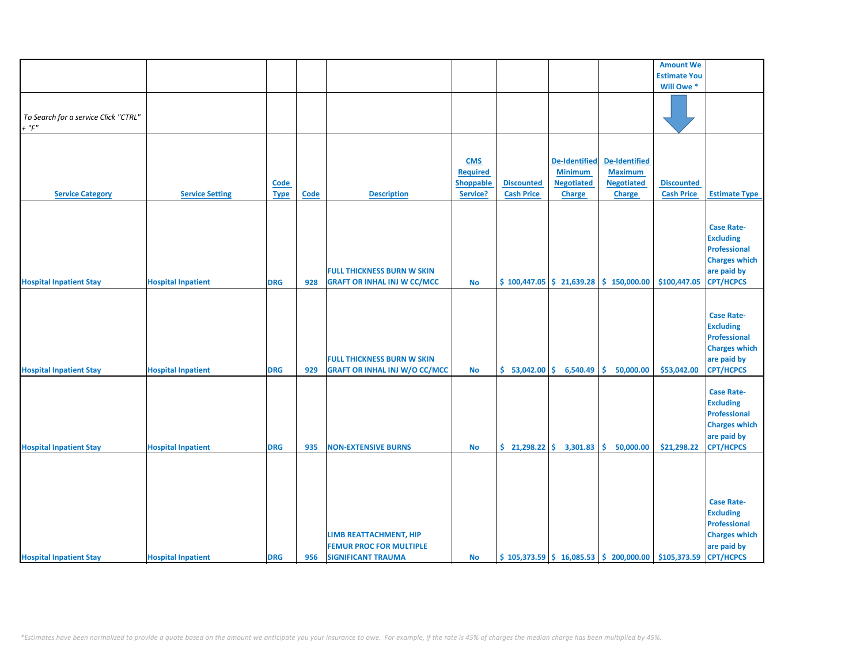|                                      |                           |             |      |                                      |                 |                   |                      |                                                                                                    | <b>Amount We</b>    |                      |
|--------------------------------------|---------------------------|-------------|------|--------------------------------------|-----------------|-------------------|----------------------|----------------------------------------------------------------------------------------------------|---------------------|----------------------|
|                                      |                           |             |      |                                      |                 |                   |                      |                                                                                                    | <b>Estimate You</b> |                      |
|                                      |                           |             |      |                                      |                 |                   |                      |                                                                                                    | Will Owe *          |                      |
|                                      |                           |             |      |                                      |                 |                   |                      |                                                                                                    |                     |                      |
|                                      |                           |             |      |                                      |                 |                   |                      |                                                                                                    |                     |                      |
|                                      |                           |             |      |                                      |                 |                   |                      |                                                                                                    |                     |                      |
| To Search for a service Click "CTRL" |                           |             |      |                                      |                 |                   |                      |                                                                                                    |                     |                      |
| $+$ " $F$ "                          |                           |             |      |                                      |                 |                   |                      |                                                                                                    |                     |                      |
|                                      |                           |             |      |                                      |                 |                   |                      |                                                                                                    |                     |                      |
|                                      |                           |             |      |                                      |                 |                   |                      |                                                                                                    |                     |                      |
|                                      |                           |             |      |                                      | <b>CMS</b>      |                   | <b>De-Identified</b> | <b>De-Identified</b>                                                                               |                     |                      |
|                                      |                           |             |      |                                      | <b>Required</b> |                   | <b>Minimum</b>       | <b>Maximum</b>                                                                                     |                     |                      |
|                                      |                           | <b>Code</b> |      |                                      | Shoppable       | <b>Discounted</b> | <b>Negotiated</b>    | <b>Negotiated</b>                                                                                  | <b>Discounted</b>   |                      |
| <b>Service Category</b>              | <b>Service Setting</b>    | <b>Type</b> | Code | <b>Description</b>                   | Service?        | <b>Cash Price</b> | <b>Charge</b>        | <b>Charge</b>                                                                                      | <b>Cash Price</b>   | <b>Estimate Type</b> |
|                                      |                           |             |      |                                      |                 |                   |                      |                                                                                                    |                     |                      |
|                                      |                           |             |      |                                      |                 |                   |                      |                                                                                                    |                     |                      |
|                                      |                           |             |      |                                      |                 |                   |                      |                                                                                                    |                     |                      |
|                                      |                           |             |      |                                      |                 |                   |                      |                                                                                                    |                     | <b>Case Rate-</b>    |
|                                      |                           |             |      |                                      |                 |                   |                      |                                                                                                    |                     | <b>Excluding</b>     |
|                                      |                           |             |      |                                      |                 |                   |                      |                                                                                                    |                     | <b>Professional</b>  |
|                                      |                           |             |      |                                      |                 |                   |                      |                                                                                                    |                     | <b>Charges which</b> |
|                                      |                           |             |      | <b>FULL THICKNESS BURN W SKIN</b>    |                 |                   |                      |                                                                                                    |                     | are paid by          |
|                                      |                           | <b>DRG</b>  | 928  | <b>GRAFT OR INHAL INJ W CC/MCC</b>   | No              |                   |                      | $\frac{1}{2}$ 100,447.05 $\frac{1}{2}$ 21,639.28 $\frac{1}{2}$ 150,000.00                          | \$100,447.05        | <b>CPT/HCPCS</b>     |
| <b>Hospital Inpatient Stay</b>       | <b>Hospital Inpatient</b> |             |      |                                      |                 |                   |                      |                                                                                                    |                     |                      |
|                                      |                           |             |      |                                      |                 |                   |                      |                                                                                                    |                     |                      |
|                                      |                           |             |      |                                      |                 |                   |                      |                                                                                                    |                     |                      |
|                                      |                           |             |      |                                      |                 |                   |                      |                                                                                                    |                     | <b>Case Rate-</b>    |
|                                      |                           |             |      |                                      |                 |                   |                      |                                                                                                    |                     | <b>Excluding</b>     |
|                                      |                           |             |      |                                      |                 |                   |                      |                                                                                                    |                     | <b>Professional</b>  |
|                                      |                           |             |      |                                      |                 |                   |                      |                                                                                                    |                     | <b>Charges which</b> |
|                                      |                           |             |      | <b>FULL THICKNESS BURN W SKIN</b>    |                 |                   |                      |                                                                                                    |                     | are paid by          |
|                                      |                           | <b>DRG</b>  | 929  |                                      |                 | \$53,042.00       |                      | 50,000.00<br>Ŝ.                                                                                    | \$53,042.00         | <b>CPT/HCPCS</b>     |
| <b>Hospital Inpatient Stay</b>       | <b>Hospital Inpatient</b> |             |      | <b>GRAFT OR INHAL INJ W/O CC/MCC</b> | <b>No</b>       |                   | 6,540.49             |                                                                                                    |                     |                      |
|                                      |                           |             |      |                                      |                 |                   |                      |                                                                                                    |                     |                      |
|                                      |                           |             |      |                                      |                 |                   |                      |                                                                                                    |                     | <b>Case Rate-</b>    |
|                                      |                           |             |      |                                      |                 |                   |                      |                                                                                                    |                     | <b>Excluding</b>     |
|                                      |                           |             |      |                                      |                 |                   |                      |                                                                                                    |                     | <b>Professional</b>  |
|                                      |                           |             |      |                                      |                 |                   |                      |                                                                                                    |                     | <b>Charges which</b> |
|                                      |                           |             |      |                                      |                 |                   |                      |                                                                                                    |                     | are paid by          |
| <b>Hospital Inpatient Stay</b>       | <b>Hospital Inpatient</b> | <b>DRG</b>  | 935  | <b>NON-EXTENSIVE BURNS</b>           | <b>No</b>       | \$21,298.22       | 3,301.83             | 50,000.00<br>\$                                                                                    | \$21,298.22         | <b>CPT/HCPCS</b>     |
|                                      |                           |             |      |                                      |                 |                   |                      |                                                                                                    |                     |                      |
|                                      |                           |             |      |                                      |                 |                   |                      |                                                                                                    |                     |                      |
|                                      |                           |             |      |                                      |                 |                   |                      |                                                                                                    |                     |                      |
|                                      |                           |             |      |                                      |                 |                   |                      |                                                                                                    |                     |                      |
|                                      |                           |             |      |                                      |                 |                   |                      |                                                                                                    |                     |                      |
|                                      |                           |             |      |                                      |                 |                   |                      |                                                                                                    |                     | <b>Case Rate-</b>    |
|                                      |                           |             |      |                                      |                 |                   |                      |                                                                                                    |                     | <b>Excluding</b>     |
|                                      |                           |             |      |                                      |                 |                   |                      |                                                                                                    |                     | <b>Professional</b>  |
|                                      |                           |             |      | LIMB REATTACHMENT, HIP               |                 |                   |                      |                                                                                                    |                     | <b>Charges which</b> |
|                                      |                           |             |      |                                      |                 |                   |                      |                                                                                                    |                     |                      |
|                                      |                           |             |      | <b>FEMUR PROC FOR MULTIPLE</b>       |                 |                   |                      |                                                                                                    |                     | are paid by          |
| <b>Hospital Inpatient Stay</b>       | <b>Hospital Inpatient</b> | <b>DRG</b>  | 956  | <b>SIGNIFICANT TRAUMA</b>            | <b>No</b>       |                   |                      | $\frac{1}{2}$ 105,373.59 $\frac{1}{2}$ 16,085.53 $\frac{1}{2}$ 200,000.00 $\frac{1}{2}$ 105,373.59 |                     | <b>CPT/HCPCS</b>     |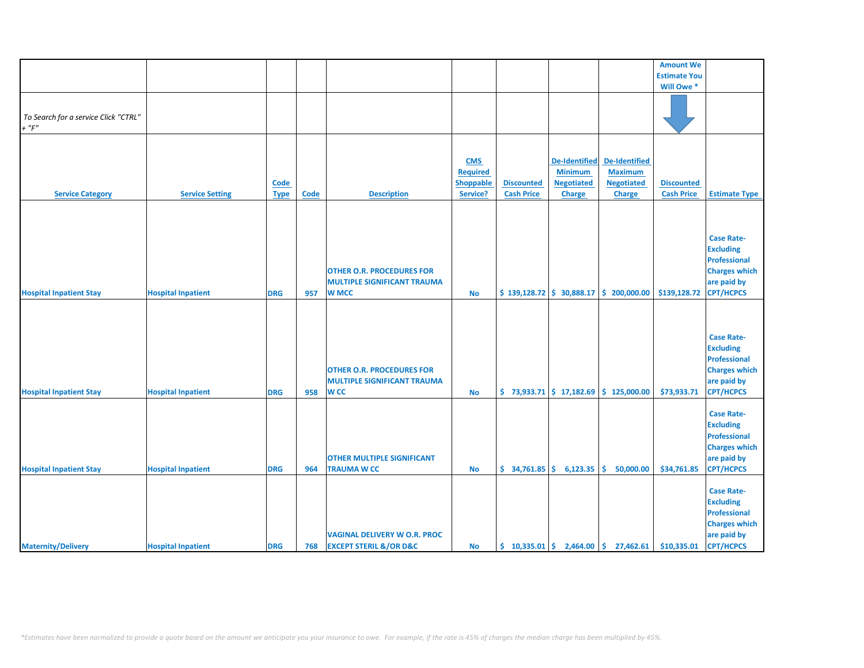|                                      |                           |             |      |                                       |                 |                          |                      |                                                                             | <b>Amount We</b>    |                      |
|--------------------------------------|---------------------------|-------------|------|---------------------------------------|-----------------|--------------------------|----------------------|-----------------------------------------------------------------------------|---------------------|----------------------|
|                                      |                           |             |      |                                       |                 |                          |                      |                                                                             | <b>Estimate You</b> |                      |
|                                      |                           |             |      |                                       |                 |                          |                      |                                                                             | Will Owe *          |                      |
|                                      |                           |             |      |                                       |                 |                          |                      |                                                                             |                     |                      |
|                                      |                           |             |      |                                       |                 |                          |                      |                                                                             |                     |                      |
| To Search for a service Click "CTRL" |                           |             |      |                                       |                 |                          |                      |                                                                             |                     |                      |
| $+$ " $F$ "                          |                           |             |      |                                       |                 |                          |                      |                                                                             |                     |                      |
|                                      |                           |             |      |                                       |                 |                          |                      |                                                                             |                     |                      |
|                                      |                           |             |      |                                       |                 |                          |                      |                                                                             |                     |                      |
|                                      |                           |             |      |                                       | <b>CMS</b>      |                          | <b>De-Identified</b> | <b>De-Identified</b>                                                        |                     |                      |
|                                      |                           |             |      |                                       |                 |                          |                      |                                                                             |                     |                      |
|                                      |                           |             |      |                                       | <b>Required</b> |                          | <b>Minimum</b>       | <b>Maximum</b>                                                              |                     |                      |
|                                      |                           | <b>Code</b> |      |                                       | Shoppable       | <b>Discounted</b>        | <b>Negotiated</b>    | <b>Negotiated</b>                                                           | <b>Discounted</b>   |                      |
| <b>Service Category</b>              | <b>Service Setting</b>    | <b>Type</b> | Code | <b>Description</b>                    | Service?        | <b>Cash Price</b>        | <b>Charge</b>        | <b>Charge</b>                                                               | <b>Cash Price</b>   | <b>Estimate Type</b> |
|                                      |                           |             |      |                                       |                 |                          |                      |                                                                             |                     |                      |
|                                      |                           |             |      |                                       |                 |                          |                      |                                                                             |                     |                      |
|                                      |                           |             |      |                                       |                 |                          |                      |                                                                             |                     |                      |
|                                      |                           |             |      |                                       |                 |                          |                      |                                                                             |                     | <b>Case Rate-</b>    |
|                                      |                           |             |      |                                       |                 |                          |                      |                                                                             |                     | <b>Excluding</b>     |
|                                      |                           |             |      |                                       |                 |                          |                      |                                                                             |                     | <b>Professional</b>  |
|                                      |                           |             |      | <b>OTHER O.R. PROCEDURES FOR</b>      |                 |                          |                      |                                                                             |                     | <b>Charges which</b> |
|                                      |                           |             |      | <b>MULTIPLE SIGNIFICANT TRAUMA</b>    |                 |                          |                      |                                                                             |                     | are paid by          |
| <b>Hospital Inpatient Stay</b>       | <b>Hospital Inpatient</b> | <b>DRG</b>  | 957  | <b>W MCC</b>                          | <b>No</b>       |                          |                      | $$139,128.72 \mid $30,888.17 \mid $200,000.00$                              | \$139,128.72        | <b>CPT/HCPCS</b>     |
|                                      |                           |             |      |                                       |                 |                          |                      |                                                                             |                     |                      |
|                                      |                           |             |      |                                       |                 |                          |                      |                                                                             |                     |                      |
|                                      |                           |             |      |                                       |                 |                          |                      |                                                                             |                     |                      |
|                                      |                           |             |      |                                       |                 |                          |                      |                                                                             |                     |                      |
|                                      |                           |             |      |                                       |                 |                          |                      |                                                                             |                     | <b>Case Rate-</b>    |
|                                      |                           |             |      |                                       |                 |                          |                      |                                                                             |                     | <b>Excluding</b>     |
|                                      |                           |             |      |                                       |                 |                          |                      |                                                                             |                     | <b>Professional</b>  |
|                                      |                           |             |      | <b>OTHER O.R. PROCEDURES FOR</b>      |                 |                          |                      |                                                                             |                     | <b>Charges which</b> |
|                                      |                           |             |      | <b>MULTIPLE SIGNIFICANT TRAUMA</b>    |                 |                          |                      |                                                                             |                     | are paid by          |
| <b>Hospital Inpatient Stay</b>       | <b>Hospital Inpatient</b> | <b>DRG</b>  | 958  | <b>WCC</b>                            | <b>No</b>       |                          |                      | $\binom{1}{2}$ 73,933.71 $\binom{1}{2}$ 17,182.69 $\binom{1}{2}$ 125,000.00 | \$73,933.71         | <b>CPT/HCPCS</b>     |
|                                      |                           |             |      |                                       |                 |                          |                      |                                                                             |                     |                      |
|                                      |                           |             |      |                                       |                 |                          |                      |                                                                             |                     | <b>Case Rate-</b>    |
|                                      |                           |             |      |                                       |                 |                          |                      |                                                                             |                     | <b>Excluding</b>     |
|                                      |                           |             |      |                                       |                 |                          |                      |                                                                             |                     | <b>Professional</b>  |
|                                      |                           |             |      |                                       |                 |                          |                      |                                                                             |                     | <b>Charges which</b> |
|                                      |                           |             |      | <b>OTHER MULTIPLE SIGNIFICANT</b>     |                 |                          |                      |                                                                             |                     | are paid by          |
| <b>Hospital Inpatient Stay</b>       | <b>Hospital Inpatient</b> | <b>DRG</b>  | 964  | <b>TRAUMA W CC</b>                    | <b>No</b>       | $$34,761.85$ $$6,123.35$ |                      | Ŝ.<br>50,000.00                                                             | \$34,761.85         | <b>CPT/HCPCS</b>     |
|                                      |                           |             |      |                                       |                 |                          |                      |                                                                             |                     |                      |
|                                      |                           |             |      |                                       |                 |                          |                      |                                                                             |                     |                      |
|                                      |                           |             |      |                                       |                 |                          |                      |                                                                             |                     | <b>Case Rate-</b>    |
|                                      |                           |             |      |                                       |                 |                          |                      |                                                                             |                     | <b>Excluding</b>     |
|                                      |                           |             |      |                                       |                 |                          |                      |                                                                             |                     | <b>Professional</b>  |
|                                      |                           |             |      |                                       |                 |                          |                      |                                                                             |                     | <b>Charges which</b> |
|                                      |                           |             |      | <b>VAGINAL DELIVERY W O.R. PROC</b>   |                 |                          |                      |                                                                             |                     | are paid by          |
| <b>Maternity/Delivery</b>            | <b>Hospital Inpatient</b> | <b>DRG</b>  | 768  | <b>EXCEPT STERIL &amp;/OR D&amp;C</b> | <b>No</b>       |                          |                      | $\binom{10,335.01}{ }$ \$ 2,464.00 \$ 27,462.61                             | \$10,335.01         | <b>CPT/HCPCS</b>     |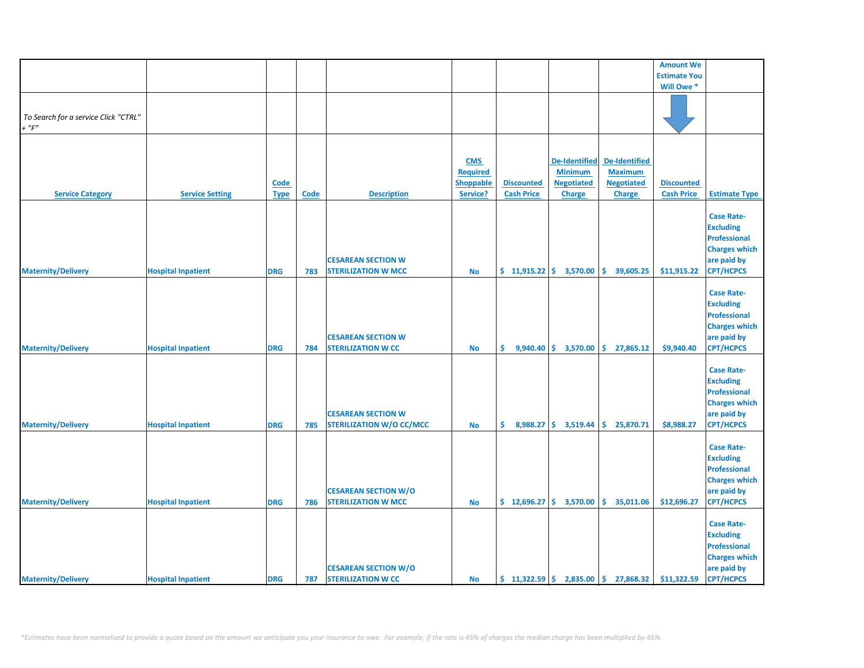|                                                     |                           |             |             |                                                              |                                            |                             |                                                             |                                                      | <b>Amount We</b>    |                                                                                                                         |
|-----------------------------------------------------|---------------------------|-------------|-------------|--------------------------------------------------------------|--------------------------------------------|-----------------------------|-------------------------------------------------------------|------------------------------------------------------|---------------------|-------------------------------------------------------------------------------------------------------------------------|
|                                                     |                           |             |             |                                                              |                                            |                             |                                                             |                                                      | <b>Estimate You</b> |                                                                                                                         |
|                                                     |                           |             |             |                                                              |                                            |                             |                                                             |                                                      | Will Owe *          |                                                                                                                         |
| To Search for a service Click "CTRL"<br>$+$ " $F$ " |                           |             |             |                                                              |                                            |                             |                                                             |                                                      |                     |                                                                                                                         |
|                                                     |                           |             |             |                                                              |                                            |                             |                                                             |                                                      |                     |                                                                                                                         |
|                                                     |                           | <b>Code</b> |             |                                                              | <b>CMS</b><br><b>Required</b><br>Shoppable | <b>Discounted</b>           | <b>De-Identified</b><br><b>Minimum</b><br><b>Negotiated</b> | De-Identified<br><b>Maximum</b><br><b>Negotiated</b> | <b>Discounted</b>   |                                                                                                                         |
| <b>Service Category</b>                             | <b>Service Setting</b>    | <b>Type</b> | <b>Code</b> | <b>Description</b>                                           | Service?                                   | <b>Cash Price</b>           | Charge                                                      | <b>Charge</b>                                        | <b>Cash Price</b>   | <b>Estimate Type</b>                                                                                                    |
| <b>Maternity/Delivery</b>                           | <b>Hospital Inpatient</b> | <b>DRG</b>  | 783         | <b>CESAREAN SECTION W</b><br><b>STERILIZATION W MCC</b>      | No                                         | $$11,915.22 \mid $3,570.00$ |                                                             | \$.<br>39,605.25                                     | \$11,915.22         | <b>Case Rate-</b><br><b>Excluding</b><br><b>Professional</b><br><b>Charges which</b><br>are paid by<br><b>CPT/HCPCS</b> |
| <b>Maternity/Delivery</b>                           | <b>Hospital Inpatient</b> | <b>DRG</b>  | 784         | <b>CESAREAN SECTION W</b><br><b>STERILIZATION W CC</b>       | <b>No</b>                                  | \$.                         |                                                             | $9,940.40 \mid \xi$ 3,570.00 $\vert \xi$ 27,865.12   | \$9,940.40          | <b>Case Rate-</b><br><b>Excluding</b><br><b>Professional</b><br><b>Charges which</b><br>are paid by<br><b>CPT/HCPCS</b> |
| <b>Maternity/Delivery</b>                           | <b>Hospital Inpatient</b> | <b>DRG</b>  | 785         | <b>CESAREAN SECTION W</b><br><b>STERILIZATION W/O CC/MCC</b> | <b>No</b>                                  | \$.<br>8,988.27             | \$3,519.44                                                  | \$<br>25,870.71                                      | \$8,988.27          | <b>Case Rate-</b><br><b>Excluding</b><br><b>Professional</b><br><b>Charges which</b><br>are paid by<br><b>CPT/HCPCS</b> |
| <b>Maternity/Delivery</b>                           | <b>Hospital Inpatient</b> | <b>DRG</b>  | 786         | <b>CESAREAN SECTION W/O</b><br><b>STERILIZATION W MCC</b>    | <b>No</b>                                  |                             | $\frac{1}{2}$ 12,696.27 $\frac{1}{2}$ 3,570.00              | \$35,011.06                                          | \$12,696.27         | <b>Case Rate-</b><br><b>Excluding</b><br><b>Professional</b><br><b>Charges which</b><br>are paid by<br><b>CPT/HCPCS</b> |
| <b>Maternity/Delivery</b>                           | <b>Hospital Inpatient</b> | <b>DRG</b>  | 787         | <b>CESAREAN SECTION W/O</b><br><b>STERILIZATION W CC</b>     | <b>No</b>                                  | \$11,322.59                 |                                                             | 2,835.00 \$ 27,868.32                                | \$11,322.59         | <b>Case Rate-</b><br><b>Excluding</b><br><b>Professional</b><br><b>Charges which</b><br>are paid by<br><b>CPT/HCPCS</b> |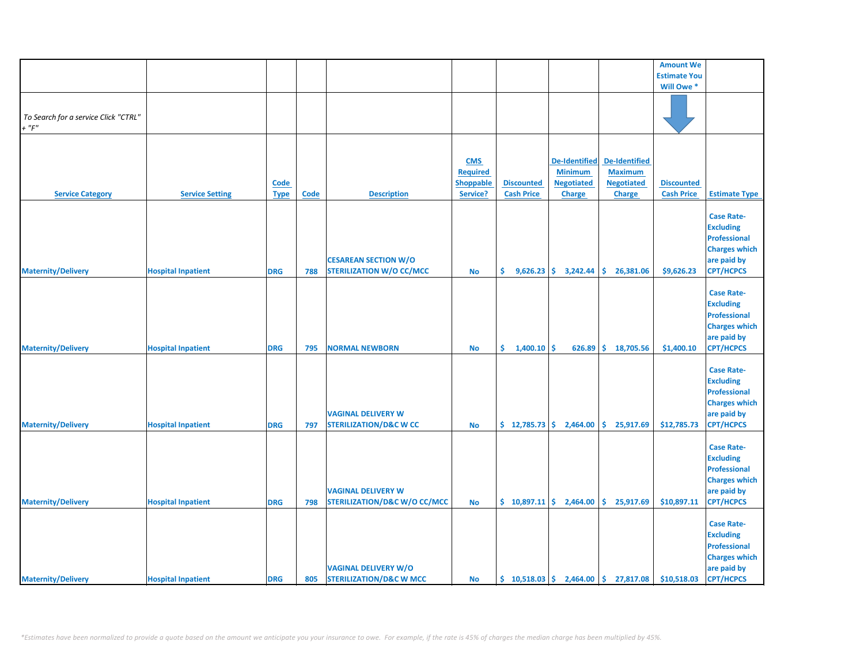|                                                     |                           |             |             |                                                                      |                 |                             |                      |                                                        | <b>Amount We</b>    |                                                                                                                         |
|-----------------------------------------------------|---------------------------|-------------|-------------|----------------------------------------------------------------------|-----------------|-----------------------------|----------------------|--------------------------------------------------------|---------------------|-------------------------------------------------------------------------------------------------------------------------|
|                                                     |                           |             |             |                                                                      |                 |                             |                      |                                                        | <b>Estimate You</b> |                                                                                                                         |
|                                                     |                           |             |             |                                                                      |                 |                             |                      |                                                        | Will Owe *          |                                                                                                                         |
| To Search for a service Click "CTRL"<br>$+$ " $F$ " |                           |             |             |                                                                      |                 |                             |                      |                                                        |                     |                                                                                                                         |
|                                                     |                           |             |             |                                                                      |                 |                             |                      |                                                        |                     |                                                                                                                         |
|                                                     |                           |             |             |                                                                      | <b>CMS</b>      |                             | <b>De-Identified</b> | <b>De-Identified</b>                                   |                     |                                                                                                                         |
|                                                     |                           |             |             |                                                                      | <b>Required</b> |                             | <b>Minimum</b>       | <b>Maximum</b>                                         |                     |                                                                                                                         |
|                                                     |                           | Code        |             |                                                                      | Shoppable       | <b>Discounted</b>           | <b>Negotiated</b>    | <b>Negotiated</b>                                      | <b>Discounted</b>   |                                                                                                                         |
| <b>Service Category</b>                             | <b>Service Setting</b>    | <b>Type</b> | <b>Code</b> | <b>Description</b>                                                   | Service?        | <b>Cash Price</b>           | Charge               | <b>Charge</b>                                          | <b>Cash Price</b>   | <b>Estimate Type</b>                                                                                                    |
| <b>Maternity/Delivery</b>                           | <b>Hospital Inpatient</b> | <b>DRG</b>  | 788         | <b>CESAREAN SECTION W/O</b><br><b>STERILIZATION W/O CC/MCC</b>       | No              | \$.<br>9,626.23             | 3,242.44             | \$.<br>26,381.06                                       | \$9,626.23          | <b>Case Rate-</b><br><b>Excluding</b><br><b>Professional</b><br><b>Charges which</b><br>are paid by<br><b>CPT/HCPCS</b> |
| <b>Maternity/Delivery</b>                           | <b>Hospital Inpatient</b> | <b>DRG</b>  | 795         | <b>NORMAL NEWBORN</b>                                                | No              | $\frac{1}{9}$ 1,400.10 \$   |                      | 626.89 \$18,705.56                                     | \$1,400.10          | <b>Case Rate-</b><br><b>Excluding</b><br><b>Professional</b><br><b>Charges which</b><br>are paid by<br><b>CPT/HCPCS</b> |
| <b>Maternity/Delivery</b>                           | <b>Hospital Inpatient</b> | <b>DRG</b>  | 797         | <b>VAGINAL DELIVERY W</b><br><b>STERILIZATION/D&amp;C W CC</b>       | <b>No</b>       | \$12,785.73                 | 2,464.00             | \$<br>25,917.69                                        | \$12,785.73         | <b>Case Rate-</b><br><b>Excluding</b><br><b>Professional</b><br><b>Charges which</b><br>are paid by<br><b>CPT/HCPCS</b> |
| <b>Maternity/Delivery</b>                           | <b>Hospital Inpatient</b> | <b>DRG</b>  | 798         | <b>VAGINAL DELIVERY W</b><br><b>STERILIZATION/D&amp;C W/O CC/MCC</b> | <b>No</b>       | $$10,897.11 \mid $2,464.00$ |                      | \$25,917.69                                            | \$10,897.11         | <b>Case Rate-</b><br><b>Excluding</b><br><b>Professional</b><br><b>Charges which</b><br>are paid by<br><b>CPT/HCPCS</b> |
| <b>Maternity/Delivery</b>                           | <b>Hospital Inpatient</b> | <b>DRG</b>  |             | <b>VAGINAL DELIVERY W/O</b><br>805 STERILIZATION/D&C W MCC           | <b>No</b>       |                             |                      | $\binom{10,518.03}{5}$ 2,464.00 $\binom{10,518.03}{5}$ | \$10,518.03         | <b>Case Rate-</b><br><b>Excluding</b><br><b>Professional</b><br><b>Charges which</b><br>are paid by<br><b>CPT/HCPCS</b> |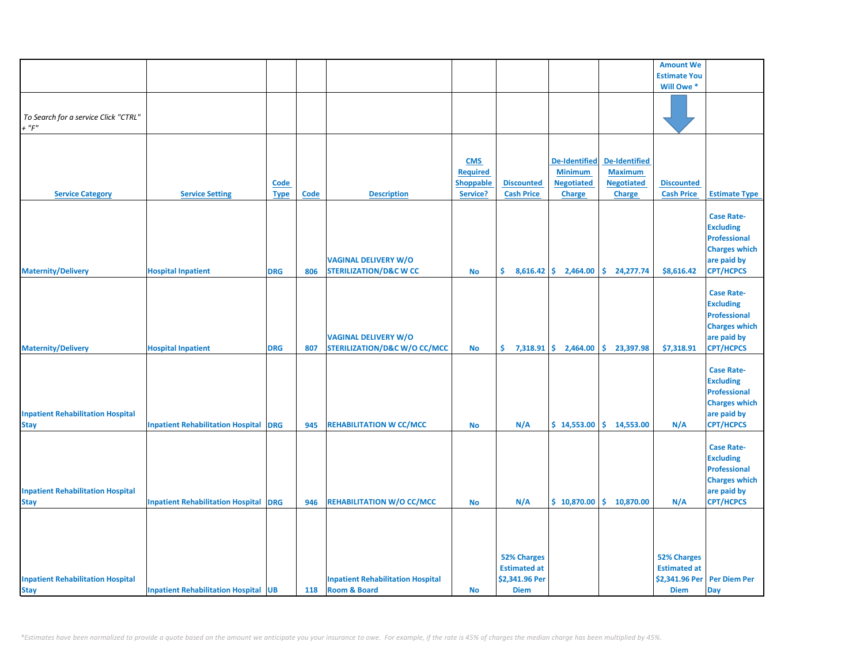|                                          |                                              |             |      |                                          |                  |                     |                        |                      | <b>Amount We</b>            |                      |
|------------------------------------------|----------------------------------------------|-------------|------|------------------------------------------|------------------|---------------------|------------------------|----------------------|-----------------------------|----------------------|
|                                          |                                              |             |      |                                          |                  |                     |                        |                      | <b>Estimate You</b>         |                      |
|                                          |                                              |             |      |                                          |                  |                     |                        |                      | Will Owe *                  |                      |
|                                          |                                              |             |      |                                          |                  |                     |                        |                      |                             |                      |
|                                          |                                              |             |      |                                          |                  |                     |                        |                      |                             |                      |
|                                          |                                              |             |      |                                          |                  |                     |                        |                      |                             |                      |
| To Search for a service Click "CTRL"     |                                              |             |      |                                          |                  |                     |                        |                      |                             |                      |
| $+$ " $F$ "                              |                                              |             |      |                                          |                  |                     |                        |                      |                             |                      |
|                                          |                                              |             |      |                                          |                  |                     |                        |                      |                             |                      |
|                                          |                                              |             |      |                                          |                  |                     |                        |                      |                             |                      |
|                                          |                                              |             |      |                                          | <b>CMS</b>       |                     | <b>De-Identified</b>   | <b>De-Identified</b> |                             |                      |
|                                          |                                              |             |      |                                          |                  |                     |                        |                      |                             |                      |
|                                          |                                              |             |      |                                          | <b>Required</b>  |                     | <b>Minimum</b>         | <b>Maximum</b>       |                             |                      |
|                                          |                                              | Code        |      |                                          | <b>Shoppable</b> | <b>Discounted</b>   | <b>Negotiated</b>      | <b>Negotiated</b>    | <b>Discounted</b>           |                      |
| <b>Service Category</b>                  | <b>Service Setting</b>                       | <b>Type</b> | Code | <b>Description</b>                       | Service?         | <b>Cash Price</b>   | <b>Charge</b>          | <b>Charge</b>        | <b>Cash Price</b>           | <b>Estimate Type</b> |
|                                          |                                              |             |      |                                          |                  |                     |                        |                      |                             |                      |
|                                          |                                              |             |      |                                          |                  |                     |                        |                      |                             | <b>Case Rate-</b>    |
|                                          |                                              |             |      |                                          |                  |                     |                        |                      |                             |                      |
|                                          |                                              |             |      |                                          |                  |                     |                        |                      |                             | <b>Excluding</b>     |
|                                          |                                              |             |      |                                          |                  |                     |                        |                      |                             | <b>Professional</b>  |
|                                          |                                              |             |      |                                          |                  |                     |                        |                      |                             | <b>Charges which</b> |
|                                          |                                              |             |      | <b>VAGINAL DELIVERY W/O</b>              |                  |                     |                        |                      |                             | are paid by          |
| <b>Maternity/Delivery</b>                | <b>Hospital Inpatient</b>                    | <b>DRG</b>  | 806  | <b>STERILIZATION/D&amp;C W CC</b>        | <b>No</b>        | \$.                 | $8,616.42$ \$ 2,464.00 | \$.<br>24,277.74     | \$8,616.42                  | <b>CPT/HCPCS</b>     |
|                                          |                                              |             |      |                                          |                  |                     |                        |                      |                             |                      |
|                                          |                                              |             |      |                                          |                  |                     |                        |                      |                             |                      |
|                                          |                                              |             |      |                                          |                  |                     |                        |                      |                             | <b>Case Rate-</b>    |
|                                          |                                              |             |      |                                          |                  |                     |                        |                      |                             | <b>Excluding</b>     |
|                                          |                                              |             |      |                                          |                  |                     |                        |                      |                             | <b>Professional</b>  |
|                                          |                                              |             |      |                                          |                  |                     |                        |                      |                             | <b>Charges which</b> |
|                                          |                                              |             |      | <b>VAGINAL DELIVERY W/O</b>              |                  |                     |                        |                      |                             | are paid by          |
|                                          |                                              |             |      |                                          |                  |                     |                        |                      |                             |                      |
| <b>Maternity/Delivery</b>                | <b>Hospital Inpatient</b>                    | <b>DRG</b>  | 807  | <b>STERILIZATION/D&amp;C W/O CC/MCC</b>  | <b>No</b>        | \$.                 | $7,318.91$ \$ 2,464.00 | \$.<br>23,397.98     | \$7,318.91                  | <b>CPT/HCPCS</b>     |
|                                          |                                              |             |      |                                          |                  |                     |                        |                      |                             |                      |
|                                          |                                              |             |      |                                          |                  |                     |                        |                      |                             | <b>Case Rate-</b>    |
|                                          |                                              |             |      |                                          |                  |                     |                        |                      |                             | <b>Excluding</b>     |
|                                          |                                              |             |      |                                          |                  |                     |                        |                      |                             | <b>Professional</b>  |
|                                          |                                              |             |      |                                          |                  |                     |                        |                      |                             |                      |
|                                          |                                              |             |      |                                          |                  |                     |                        |                      |                             | <b>Charges which</b> |
| <b>Inpatient Rehabilitation Hospital</b> |                                              |             |      |                                          |                  |                     |                        |                      |                             | are paid by          |
| <b>Stay</b>                              | <b>Inpatient Rehabilitation Hospital DRG</b> |             | 945  | <b>REHABILITATION W CC/MCC</b>           | <b>No</b>        | N/A                 | \$14,553.00            | \$14,553.00          | N/A                         | <b>CPT/HCPCS</b>     |
|                                          |                                              |             |      |                                          |                  |                     |                        |                      |                             |                      |
|                                          |                                              |             |      |                                          |                  |                     |                        |                      |                             | <b>Case Rate-</b>    |
|                                          |                                              |             |      |                                          |                  |                     |                        |                      |                             |                      |
|                                          |                                              |             |      |                                          |                  |                     |                        |                      |                             | <b>Excluding</b>     |
|                                          |                                              |             |      |                                          |                  |                     |                        |                      |                             | <b>Professional</b>  |
|                                          |                                              |             |      |                                          |                  |                     |                        |                      |                             | <b>Charges which</b> |
| <b>Inpatient Rehabilitation Hospital</b> |                                              |             |      |                                          |                  |                     |                        |                      |                             | are paid by          |
| <b>Stay</b>                              | <b>Inpatient Rehabilitation Hospital DRG</b> |             | 946  | <b>REHABILITATION W/O CC/MCC</b>         | <b>No</b>        | N/A                 | \$10,870.00            | \$.<br>10,870.00     | N/A                         | <b>CPT/HCPCS</b>     |
|                                          |                                              |             |      |                                          |                  |                     |                        |                      |                             |                      |
|                                          |                                              |             |      |                                          |                  |                     |                        |                      |                             |                      |
|                                          |                                              |             |      |                                          |                  |                     |                        |                      |                             |                      |
|                                          |                                              |             |      |                                          |                  |                     |                        |                      |                             |                      |
|                                          |                                              |             |      |                                          |                  |                     |                        |                      |                             |                      |
|                                          |                                              |             |      |                                          |                  | <b>52% Charges</b>  |                        |                      | <b>52% Charges</b>          |                      |
|                                          |                                              |             |      |                                          |                  |                     |                        |                      |                             |                      |
|                                          |                                              |             |      |                                          |                  | <b>Estimated at</b> |                        |                      | <b>Estimated at</b>         |                      |
| <b>Inpatient Rehabilitation Hospital</b> |                                              |             |      | <b>Inpatient Rehabilitation Hospital</b> |                  | \$2,341.96 Per      |                        |                      | \$2,341.96 Per Per Diem Per |                      |
| <b>Stay</b>                              | <b>Inpatient Rehabilitation Hospital UB</b>  |             | 118  | <b>Room &amp; Board</b>                  | <b>No</b>        | <b>Diem</b>         |                        |                      | <b>Diem</b>                 | <b>Day</b>           |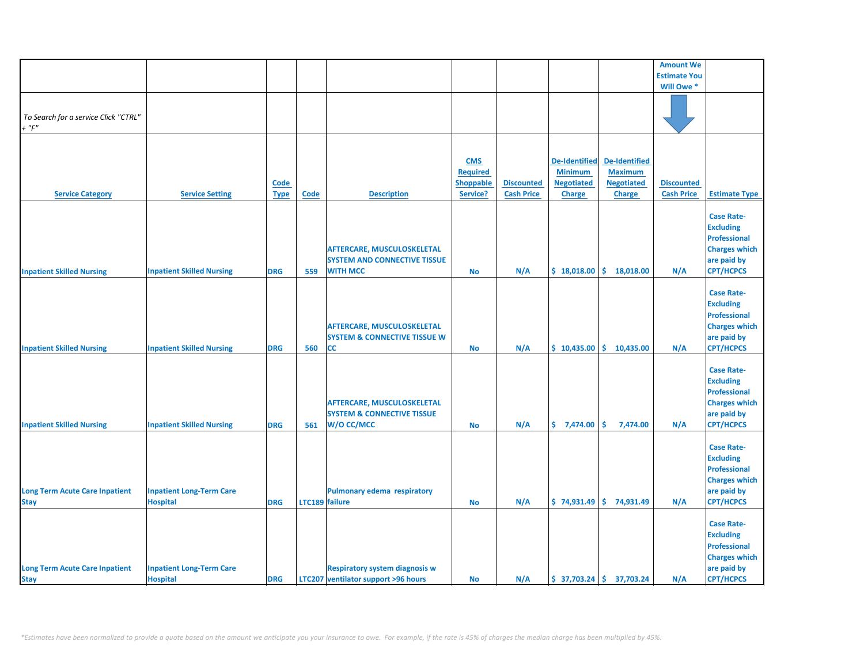| <b>Estimate You</b><br>Will Owe *<br>To Search for a service Click "CTRL"<br>$+$ " $F$ "<br><b>De-Identified</b><br><b>De-Identified</b><br><b>CMS</b><br><b>Minimum</b><br><b>Maximum</b><br><b>Required</b><br><b>Negotiated</b><br><b>Negotiated</b><br>Code<br><b>Shoppable</b><br><b>Discounted</b><br><b>Discounted</b><br>Service?<br><b>Cash Price</b><br><b>Cash Price</b><br><b>Service Category</b><br><b>Service Setting</b><br><b>Code</b><br><b>Description</b><br><b>Charge</b><br><b>Charge</b><br><b>Estimate Type</b><br><b>Type</b><br><b>Case Rate-</b><br><b>Excluding</b><br><b>Professional</b><br><b>Charges which</b><br>AFTERCARE, MUSCULOSKELETAL<br>are paid by<br><b>SYSTEM AND CONNECTIVE TISSUE</b><br>\$18,018.00<br>\$18,018.00<br><b>CPT/HCPCS</b><br><b>Inpatient Skilled Nursing</b><br><b>Inpatient Skilled Nursing</b><br><b>DRG</b><br>559<br><b>WITH MCC</b><br><b>No</b><br>N/A<br>N/A<br><b>Case Rate-</b><br><b>Excluding</b><br><b>Professional</b><br><b>Charges which</b><br><b>AFTERCARE, MUSCULOSKELETAL</b><br><b>SYSTEM &amp; CONNECTIVE TISSUE W</b><br>are paid by<br><b>CPT/HCPCS</b><br>$$10,435.00 \mid $10,435.00$<br><b>Inpatient Skilled Nursing</b><br><b>Inpatient Skilled Nursing</b><br><b>DRG</b><br>CC<br>N/A<br>N/A<br>560<br><b>No</b><br><b>Case Rate-</b><br><b>Excluding</b><br><b>Professional</b><br><b>Charges which</b><br>AFTERCARE, MUSCULOSKELETAL<br><b>SYSTEM &amp; CONNECTIVE TISSUE</b><br>are paid by<br>W/O CC/MCC<br>\$7,474.00<br>\$<br><b>CPT/HCPCS</b><br><b>Inpatient Skilled Nursing</b><br><b>Inpatient Skilled Nursing</b><br><b>DRG</b><br>N/A<br>7,474.00<br>N/A<br>561<br><b>No</b><br><b>Case Rate-</b><br><b>Excluding</b><br><b>Professional</b><br><b>Charges which</b><br><b>Inpatient Long-Term Care</b><br><b>Pulmonary edema respiratory</b><br>are paid by<br><b>Hospital</b><br>N/A<br>$$74,931.49$ $$74,931.49$<br>N/A<br><b>CPT/HCPCS</b><br><b>Stay</b><br><b>DRG</b><br>LTC189 failure<br>No<br><b>Case Rate-</b><br><b>Excluding</b><br><b>Professional</b><br><b>Charges which</b><br><b>Long Term Acute Care Inpatient</b><br><b>Respiratory system diagnosis w</b><br>are paid by<br><b>Inpatient Long-Term Care</b><br>$$37,703.24$ $$37,703.24$ |                                       |                 |            |                                     |           |     |  |                  |           |
|------------------------------------------------------------------------------------------------------------------------------------------------------------------------------------------------------------------------------------------------------------------------------------------------------------------------------------------------------------------------------------------------------------------------------------------------------------------------------------------------------------------------------------------------------------------------------------------------------------------------------------------------------------------------------------------------------------------------------------------------------------------------------------------------------------------------------------------------------------------------------------------------------------------------------------------------------------------------------------------------------------------------------------------------------------------------------------------------------------------------------------------------------------------------------------------------------------------------------------------------------------------------------------------------------------------------------------------------------------------------------------------------------------------------------------------------------------------------------------------------------------------------------------------------------------------------------------------------------------------------------------------------------------------------------------------------------------------------------------------------------------------------------------------------------------------------------------------------------------------------------------------------------------------------------------------------------------------------------------------------------------------------------------------------------------------------------------------------------------------------------------------------------------------------------------------------------------------------------------------------------------------|---------------------------------------|-----------------|------------|-------------------------------------|-----------|-----|--|------------------|-----------|
|                                                                                                                                                                                                                                                                                                                                                                                                                                                                                                                                                                                                                                                                                                                                                                                                                                                                                                                                                                                                                                                                                                                                                                                                                                                                                                                                                                                                                                                                                                                                                                                                                                                                                                                                                                                                                                                                                                                                                                                                                                                                                                                                                                                                                                                                  |                                       |                 |            |                                     |           |     |  | <b>Amount We</b> |           |
|                                                                                                                                                                                                                                                                                                                                                                                                                                                                                                                                                                                                                                                                                                                                                                                                                                                                                                                                                                                                                                                                                                                                                                                                                                                                                                                                                                                                                                                                                                                                                                                                                                                                                                                                                                                                                                                                                                                                                                                                                                                                                                                                                                                                                                                                  |                                       |                 |            |                                     |           |     |  |                  |           |
|                                                                                                                                                                                                                                                                                                                                                                                                                                                                                                                                                                                                                                                                                                                                                                                                                                                                                                                                                                                                                                                                                                                                                                                                                                                                                                                                                                                                                                                                                                                                                                                                                                                                                                                                                                                                                                                                                                                                                                                                                                                                                                                                                                                                                                                                  |                                       |                 |            |                                     |           |     |  |                  |           |
|                                                                                                                                                                                                                                                                                                                                                                                                                                                                                                                                                                                                                                                                                                                                                                                                                                                                                                                                                                                                                                                                                                                                                                                                                                                                                                                                                                                                                                                                                                                                                                                                                                                                                                                                                                                                                                                                                                                                                                                                                                                                                                                                                                                                                                                                  |                                       |                 |            |                                     |           |     |  |                  |           |
|                                                                                                                                                                                                                                                                                                                                                                                                                                                                                                                                                                                                                                                                                                                                                                                                                                                                                                                                                                                                                                                                                                                                                                                                                                                                                                                                                                                                                                                                                                                                                                                                                                                                                                                                                                                                                                                                                                                                                                                                                                                                                                                                                                                                                                                                  |                                       |                 |            |                                     |           |     |  |                  |           |
|                                                                                                                                                                                                                                                                                                                                                                                                                                                                                                                                                                                                                                                                                                                                                                                                                                                                                                                                                                                                                                                                                                                                                                                                                                                                                                                                                                                                                                                                                                                                                                                                                                                                                                                                                                                                                                                                                                                                                                                                                                                                                                                                                                                                                                                                  |                                       |                 |            |                                     |           |     |  |                  |           |
|                                                                                                                                                                                                                                                                                                                                                                                                                                                                                                                                                                                                                                                                                                                                                                                                                                                                                                                                                                                                                                                                                                                                                                                                                                                                                                                                                                                                                                                                                                                                                                                                                                                                                                                                                                                                                                                                                                                                                                                                                                                                                                                                                                                                                                                                  |                                       |                 |            |                                     |           |     |  |                  |           |
|                                                                                                                                                                                                                                                                                                                                                                                                                                                                                                                                                                                                                                                                                                                                                                                                                                                                                                                                                                                                                                                                                                                                                                                                                                                                                                                                                                                                                                                                                                                                                                                                                                                                                                                                                                                                                                                                                                                                                                                                                                                                                                                                                                                                                                                                  |                                       |                 |            |                                     |           |     |  |                  |           |
|                                                                                                                                                                                                                                                                                                                                                                                                                                                                                                                                                                                                                                                                                                                                                                                                                                                                                                                                                                                                                                                                                                                                                                                                                                                                                                                                                                                                                                                                                                                                                                                                                                                                                                                                                                                                                                                                                                                                                                                                                                                                                                                                                                                                                                                                  |                                       |                 |            |                                     |           |     |  |                  |           |
|                                                                                                                                                                                                                                                                                                                                                                                                                                                                                                                                                                                                                                                                                                                                                                                                                                                                                                                                                                                                                                                                                                                                                                                                                                                                                                                                                                                                                                                                                                                                                                                                                                                                                                                                                                                                                                                                                                                                                                                                                                                                                                                                                                                                                                                                  |                                       |                 |            |                                     |           |     |  |                  |           |
|                                                                                                                                                                                                                                                                                                                                                                                                                                                                                                                                                                                                                                                                                                                                                                                                                                                                                                                                                                                                                                                                                                                                                                                                                                                                                                                                                                                                                                                                                                                                                                                                                                                                                                                                                                                                                                                                                                                                                                                                                                                                                                                                                                                                                                                                  |                                       |                 |            |                                     |           |     |  |                  |           |
|                                                                                                                                                                                                                                                                                                                                                                                                                                                                                                                                                                                                                                                                                                                                                                                                                                                                                                                                                                                                                                                                                                                                                                                                                                                                                                                                                                                                                                                                                                                                                                                                                                                                                                                                                                                                                                                                                                                                                                                                                                                                                                                                                                                                                                                                  |                                       |                 |            |                                     |           |     |  |                  |           |
|                                                                                                                                                                                                                                                                                                                                                                                                                                                                                                                                                                                                                                                                                                                                                                                                                                                                                                                                                                                                                                                                                                                                                                                                                                                                                                                                                                                                                                                                                                                                                                                                                                                                                                                                                                                                                                                                                                                                                                                                                                                                                                                                                                                                                                                                  |                                       |                 |            |                                     |           |     |  |                  |           |
|                                                                                                                                                                                                                                                                                                                                                                                                                                                                                                                                                                                                                                                                                                                                                                                                                                                                                                                                                                                                                                                                                                                                                                                                                                                                                                                                                                                                                                                                                                                                                                                                                                                                                                                                                                                                                                                                                                                                                                                                                                                                                                                                                                                                                                                                  |                                       |                 |            |                                     |           |     |  |                  |           |
|                                                                                                                                                                                                                                                                                                                                                                                                                                                                                                                                                                                                                                                                                                                                                                                                                                                                                                                                                                                                                                                                                                                                                                                                                                                                                                                                                                                                                                                                                                                                                                                                                                                                                                                                                                                                                                                                                                                                                                                                                                                                                                                                                                                                                                                                  |                                       |                 |            |                                     |           |     |  |                  |           |
|                                                                                                                                                                                                                                                                                                                                                                                                                                                                                                                                                                                                                                                                                                                                                                                                                                                                                                                                                                                                                                                                                                                                                                                                                                                                                                                                                                                                                                                                                                                                                                                                                                                                                                                                                                                                                                                                                                                                                                                                                                                                                                                                                                                                                                                                  |                                       |                 |            |                                     |           |     |  |                  |           |
|                                                                                                                                                                                                                                                                                                                                                                                                                                                                                                                                                                                                                                                                                                                                                                                                                                                                                                                                                                                                                                                                                                                                                                                                                                                                                                                                                                                                                                                                                                                                                                                                                                                                                                                                                                                                                                                                                                                                                                                                                                                                                                                                                                                                                                                                  |                                       |                 |            |                                     |           |     |  |                  |           |
|                                                                                                                                                                                                                                                                                                                                                                                                                                                                                                                                                                                                                                                                                                                                                                                                                                                                                                                                                                                                                                                                                                                                                                                                                                                                                                                                                                                                                                                                                                                                                                                                                                                                                                                                                                                                                                                                                                                                                                                                                                                                                                                                                                                                                                                                  |                                       |                 |            |                                     |           |     |  |                  |           |
|                                                                                                                                                                                                                                                                                                                                                                                                                                                                                                                                                                                                                                                                                                                                                                                                                                                                                                                                                                                                                                                                                                                                                                                                                                                                                                                                                                                                                                                                                                                                                                                                                                                                                                                                                                                                                                                                                                                                                                                                                                                                                                                                                                                                                                                                  |                                       |                 |            |                                     |           |     |  |                  |           |
|                                                                                                                                                                                                                                                                                                                                                                                                                                                                                                                                                                                                                                                                                                                                                                                                                                                                                                                                                                                                                                                                                                                                                                                                                                                                                                                                                                                                                                                                                                                                                                                                                                                                                                                                                                                                                                                                                                                                                                                                                                                                                                                                                                                                                                                                  |                                       |                 |            |                                     |           |     |  |                  |           |
|                                                                                                                                                                                                                                                                                                                                                                                                                                                                                                                                                                                                                                                                                                                                                                                                                                                                                                                                                                                                                                                                                                                                                                                                                                                                                                                                                                                                                                                                                                                                                                                                                                                                                                                                                                                                                                                                                                                                                                                                                                                                                                                                                                                                                                                                  |                                       |                 |            |                                     |           |     |  |                  |           |
|                                                                                                                                                                                                                                                                                                                                                                                                                                                                                                                                                                                                                                                                                                                                                                                                                                                                                                                                                                                                                                                                                                                                                                                                                                                                                                                                                                                                                                                                                                                                                                                                                                                                                                                                                                                                                                                                                                                                                                                                                                                                                                                                                                                                                                                                  |                                       |                 |            |                                     |           |     |  |                  |           |
|                                                                                                                                                                                                                                                                                                                                                                                                                                                                                                                                                                                                                                                                                                                                                                                                                                                                                                                                                                                                                                                                                                                                                                                                                                                                                                                                                                                                                                                                                                                                                                                                                                                                                                                                                                                                                                                                                                                                                                                                                                                                                                                                                                                                                                                                  |                                       |                 |            |                                     |           |     |  |                  |           |
|                                                                                                                                                                                                                                                                                                                                                                                                                                                                                                                                                                                                                                                                                                                                                                                                                                                                                                                                                                                                                                                                                                                                                                                                                                                                                                                                                                                                                                                                                                                                                                                                                                                                                                                                                                                                                                                                                                                                                                                                                                                                                                                                                                                                                                                                  |                                       |                 |            |                                     |           |     |  |                  |           |
|                                                                                                                                                                                                                                                                                                                                                                                                                                                                                                                                                                                                                                                                                                                                                                                                                                                                                                                                                                                                                                                                                                                                                                                                                                                                                                                                                                                                                                                                                                                                                                                                                                                                                                                                                                                                                                                                                                                                                                                                                                                                                                                                                                                                                                                                  |                                       |                 |            |                                     |           |     |  |                  |           |
|                                                                                                                                                                                                                                                                                                                                                                                                                                                                                                                                                                                                                                                                                                                                                                                                                                                                                                                                                                                                                                                                                                                                                                                                                                                                                                                                                                                                                                                                                                                                                                                                                                                                                                                                                                                                                                                                                                                                                                                                                                                                                                                                                                                                                                                                  |                                       |                 |            |                                     |           |     |  |                  |           |
|                                                                                                                                                                                                                                                                                                                                                                                                                                                                                                                                                                                                                                                                                                                                                                                                                                                                                                                                                                                                                                                                                                                                                                                                                                                                                                                                                                                                                                                                                                                                                                                                                                                                                                                                                                                                                                                                                                                                                                                                                                                                                                                                                                                                                                                                  |                                       |                 |            |                                     |           |     |  |                  |           |
|                                                                                                                                                                                                                                                                                                                                                                                                                                                                                                                                                                                                                                                                                                                                                                                                                                                                                                                                                                                                                                                                                                                                                                                                                                                                                                                                                                                                                                                                                                                                                                                                                                                                                                                                                                                                                                                                                                                                                                                                                                                                                                                                                                                                                                                                  |                                       |                 |            |                                     |           |     |  |                  |           |
|                                                                                                                                                                                                                                                                                                                                                                                                                                                                                                                                                                                                                                                                                                                                                                                                                                                                                                                                                                                                                                                                                                                                                                                                                                                                                                                                                                                                                                                                                                                                                                                                                                                                                                                                                                                                                                                                                                                                                                                                                                                                                                                                                                                                                                                                  |                                       |                 |            |                                     |           |     |  |                  |           |
|                                                                                                                                                                                                                                                                                                                                                                                                                                                                                                                                                                                                                                                                                                                                                                                                                                                                                                                                                                                                                                                                                                                                                                                                                                                                                                                                                                                                                                                                                                                                                                                                                                                                                                                                                                                                                                                                                                                                                                                                                                                                                                                                                                                                                                                                  |                                       |                 |            |                                     |           |     |  |                  |           |
|                                                                                                                                                                                                                                                                                                                                                                                                                                                                                                                                                                                                                                                                                                                                                                                                                                                                                                                                                                                                                                                                                                                                                                                                                                                                                                                                                                                                                                                                                                                                                                                                                                                                                                                                                                                                                                                                                                                                                                                                                                                                                                                                                                                                                                                                  |                                       |                 |            |                                     |           |     |  |                  |           |
|                                                                                                                                                                                                                                                                                                                                                                                                                                                                                                                                                                                                                                                                                                                                                                                                                                                                                                                                                                                                                                                                                                                                                                                                                                                                                                                                                                                                                                                                                                                                                                                                                                                                                                                                                                                                                                                                                                                                                                                                                                                                                                                                                                                                                                                                  |                                       |                 |            |                                     |           |     |  |                  |           |
|                                                                                                                                                                                                                                                                                                                                                                                                                                                                                                                                                                                                                                                                                                                                                                                                                                                                                                                                                                                                                                                                                                                                                                                                                                                                                                                                                                                                                                                                                                                                                                                                                                                                                                                                                                                                                                                                                                                                                                                                                                                                                                                                                                                                                                                                  |                                       |                 |            |                                     |           |     |  |                  |           |
|                                                                                                                                                                                                                                                                                                                                                                                                                                                                                                                                                                                                                                                                                                                                                                                                                                                                                                                                                                                                                                                                                                                                                                                                                                                                                                                                                                                                                                                                                                                                                                                                                                                                                                                                                                                                                                                                                                                                                                                                                                                                                                                                                                                                                                                                  |                                       |                 |            |                                     |           |     |  |                  |           |
|                                                                                                                                                                                                                                                                                                                                                                                                                                                                                                                                                                                                                                                                                                                                                                                                                                                                                                                                                                                                                                                                                                                                                                                                                                                                                                                                                                                                                                                                                                                                                                                                                                                                                                                                                                                                                                                                                                                                                                                                                                                                                                                                                                                                                                                                  |                                       |                 |            |                                     |           |     |  |                  |           |
|                                                                                                                                                                                                                                                                                                                                                                                                                                                                                                                                                                                                                                                                                                                                                                                                                                                                                                                                                                                                                                                                                                                                                                                                                                                                                                                                                                                                                                                                                                                                                                                                                                                                                                                                                                                                                                                                                                                                                                                                                                                                                                                                                                                                                                                                  |                                       |                 |            |                                     |           |     |  |                  |           |
|                                                                                                                                                                                                                                                                                                                                                                                                                                                                                                                                                                                                                                                                                                                                                                                                                                                                                                                                                                                                                                                                                                                                                                                                                                                                                                                                                                                                                                                                                                                                                                                                                                                                                                                                                                                                                                                                                                                                                                                                                                                                                                                                                                                                                                                                  |                                       |                 |            |                                     |           |     |  |                  |           |
|                                                                                                                                                                                                                                                                                                                                                                                                                                                                                                                                                                                                                                                                                                                                                                                                                                                                                                                                                                                                                                                                                                                                                                                                                                                                                                                                                                                                                                                                                                                                                                                                                                                                                                                                                                                                                                                                                                                                                                                                                                                                                                                                                                                                                                                                  |                                       |                 |            |                                     |           |     |  |                  |           |
|                                                                                                                                                                                                                                                                                                                                                                                                                                                                                                                                                                                                                                                                                                                                                                                                                                                                                                                                                                                                                                                                                                                                                                                                                                                                                                                                                                                                                                                                                                                                                                                                                                                                                                                                                                                                                                                                                                                                                                                                                                                                                                                                                                                                                                                                  |                                       |                 |            |                                     |           |     |  |                  |           |
|                                                                                                                                                                                                                                                                                                                                                                                                                                                                                                                                                                                                                                                                                                                                                                                                                                                                                                                                                                                                                                                                                                                                                                                                                                                                                                                                                                                                                                                                                                                                                                                                                                                                                                                                                                                                                                                                                                                                                                                                                                                                                                                                                                                                                                                                  |                                       |                 |            |                                     |           |     |  |                  |           |
|                                                                                                                                                                                                                                                                                                                                                                                                                                                                                                                                                                                                                                                                                                                                                                                                                                                                                                                                                                                                                                                                                                                                                                                                                                                                                                                                                                                                                                                                                                                                                                                                                                                                                                                                                                                                                                                                                                                                                                                                                                                                                                                                                                                                                                                                  |                                       |                 |            |                                     |           |     |  |                  |           |
|                                                                                                                                                                                                                                                                                                                                                                                                                                                                                                                                                                                                                                                                                                                                                                                                                                                                                                                                                                                                                                                                                                                                                                                                                                                                                                                                                                                                                                                                                                                                                                                                                                                                                                                                                                                                                                                                                                                                                                                                                                                                                                                                                                                                                                                                  |                                       |                 |            |                                     |           |     |  |                  |           |
|                                                                                                                                                                                                                                                                                                                                                                                                                                                                                                                                                                                                                                                                                                                                                                                                                                                                                                                                                                                                                                                                                                                                                                                                                                                                                                                                                                                                                                                                                                                                                                                                                                                                                                                                                                                                                                                                                                                                                                                                                                                                                                                                                                                                                                                                  |                                       |                 |            |                                     |           |     |  |                  |           |
|                                                                                                                                                                                                                                                                                                                                                                                                                                                                                                                                                                                                                                                                                                                                                                                                                                                                                                                                                                                                                                                                                                                                                                                                                                                                                                                                                                                                                                                                                                                                                                                                                                                                                                                                                                                                                                                                                                                                                                                                                                                                                                                                                                                                                                                                  |                                       |                 |            |                                     |           |     |  |                  |           |
|                                                                                                                                                                                                                                                                                                                                                                                                                                                                                                                                                                                                                                                                                                                                                                                                                                                                                                                                                                                                                                                                                                                                                                                                                                                                                                                                                                                                                                                                                                                                                                                                                                                                                                                                                                                                                                                                                                                                                                                                                                                                                                                                                                                                                                                                  | <b>Long Term Acute Care Inpatient</b> |                 |            |                                     |           |     |  |                  |           |
|                                                                                                                                                                                                                                                                                                                                                                                                                                                                                                                                                                                                                                                                                                                                                                                                                                                                                                                                                                                                                                                                                                                                                                                                                                                                                                                                                                                                                                                                                                                                                                                                                                                                                                                                                                                                                                                                                                                                                                                                                                                                                                                                                                                                                                                                  |                                       |                 |            |                                     |           |     |  |                  |           |
|                                                                                                                                                                                                                                                                                                                                                                                                                                                                                                                                                                                                                                                                                                                                                                                                                                                                                                                                                                                                                                                                                                                                                                                                                                                                                                                                                                                                                                                                                                                                                                                                                                                                                                                                                                                                                                                                                                                                                                                                                                                                                                                                                                                                                                                                  |                                       |                 |            |                                     |           |     |  |                  |           |
|                                                                                                                                                                                                                                                                                                                                                                                                                                                                                                                                                                                                                                                                                                                                                                                                                                                                                                                                                                                                                                                                                                                                                                                                                                                                                                                                                                                                                                                                                                                                                                                                                                                                                                                                                                                                                                                                                                                                                                                                                                                                                                                                                                                                                                                                  |                                       |                 |            |                                     |           |     |  |                  |           |
|                                                                                                                                                                                                                                                                                                                                                                                                                                                                                                                                                                                                                                                                                                                                                                                                                                                                                                                                                                                                                                                                                                                                                                                                                                                                                                                                                                                                                                                                                                                                                                                                                                                                                                                                                                                                                                                                                                                                                                                                                                                                                                                                                                                                                                                                  |                                       |                 |            |                                     |           |     |  |                  |           |
|                                                                                                                                                                                                                                                                                                                                                                                                                                                                                                                                                                                                                                                                                                                                                                                                                                                                                                                                                                                                                                                                                                                                                                                                                                                                                                                                                                                                                                                                                                                                                                                                                                                                                                                                                                                                                                                                                                                                                                                                                                                                                                                                                                                                                                                                  |                                       |                 |            |                                     |           |     |  |                  |           |
|                                                                                                                                                                                                                                                                                                                                                                                                                                                                                                                                                                                                                                                                                                                                                                                                                                                                                                                                                                                                                                                                                                                                                                                                                                                                                                                                                                                                                                                                                                                                                                                                                                                                                                                                                                                                                                                                                                                                                                                                                                                                                                                                                                                                                                                                  |                                       |                 |            |                                     |           |     |  |                  |           |
|                                                                                                                                                                                                                                                                                                                                                                                                                                                                                                                                                                                                                                                                                                                                                                                                                                                                                                                                                                                                                                                                                                                                                                                                                                                                                                                                                                                                                                                                                                                                                                                                                                                                                                                                                                                                                                                                                                                                                                                                                                                                                                                                                                                                                                                                  |                                       |                 |            |                                     |           |     |  |                  |           |
|                                                                                                                                                                                                                                                                                                                                                                                                                                                                                                                                                                                                                                                                                                                                                                                                                                                                                                                                                                                                                                                                                                                                                                                                                                                                                                                                                                                                                                                                                                                                                                                                                                                                                                                                                                                                                                                                                                                                                                                                                                                                                                                                                                                                                                                                  |                                       |                 |            |                                     |           |     |  |                  |           |
|                                                                                                                                                                                                                                                                                                                                                                                                                                                                                                                                                                                                                                                                                                                                                                                                                                                                                                                                                                                                                                                                                                                                                                                                                                                                                                                                                                                                                                                                                                                                                                                                                                                                                                                                                                                                                                                                                                                                                                                                                                                                                                                                                                                                                                                                  | <b>Stay</b>                           | <b>Hospital</b> | <b>DRG</b> | LTC207 ventilator support >96 hours | <b>No</b> | N/A |  | N/A              | CPT/HCPCS |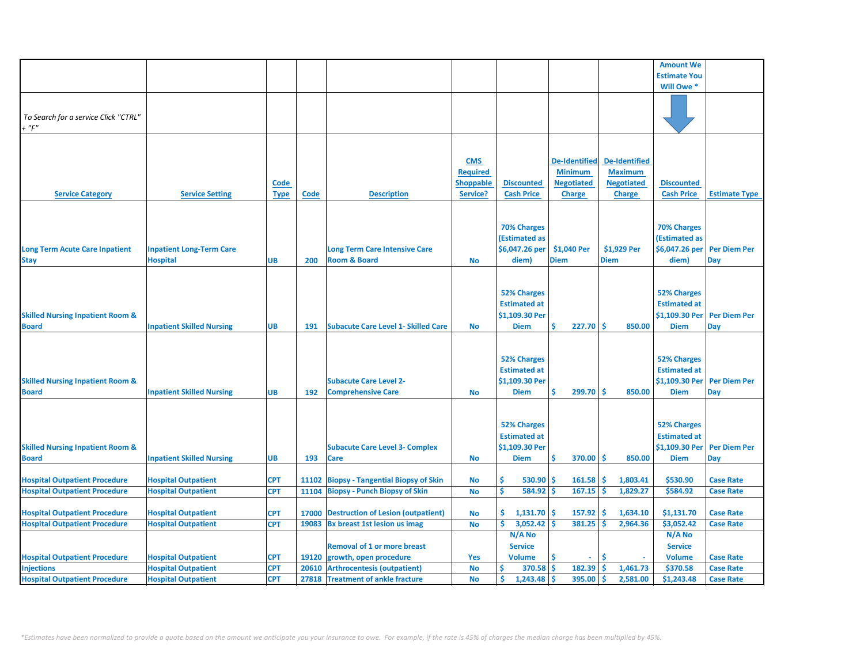|                                             |                                  |             |       |                                            |                  |                      |                      |                      | <b>Amount We</b>    |                      |
|---------------------------------------------|----------------------------------|-------------|-------|--------------------------------------------|------------------|----------------------|----------------------|----------------------|---------------------|----------------------|
|                                             |                                  |             |       |                                            |                  |                      |                      |                      | <b>Estimate You</b> |                      |
|                                             |                                  |             |       |                                            |                  |                      |                      |                      | Will Owe *          |                      |
|                                             |                                  |             |       |                                            |                  |                      |                      |                      |                     |                      |
|                                             |                                  |             |       |                                            |                  |                      |                      |                      |                     |                      |
| To Search for a service Click "CTRL"        |                                  |             |       |                                            |                  |                      |                      |                      |                     |                      |
| $+$ " $F$ "                                 |                                  |             |       |                                            |                  |                      |                      |                      |                     |                      |
|                                             |                                  |             |       |                                            |                  |                      |                      |                      |                     |                      |
|                                             |                                  |             |       |                                            |                  |                      |                      |                      |                     |                      |
|                                             |                                  |             |       |                                            |                  |                      |                      |                      |                     |                      |
|                                             |                                  |             |       |                                            | <b>CMS</b>       |                      | <b>De-Identified</b> | <b>De-Identified</b> |                     |                      |
|                                             |                                  |             |       |                                            | <b>Required</b>  |                      | <b>Minimum</b>       | <b>Maximum</b>       |                     |                      |
|                                             |                                  | Code        |       |                                            | <b>Shoppable</b> | <b>Discounted</b>    | <b>Negotiated</b>    | <b>Negotiated</b>    | <b>Discounted</b>   |                      |
| <b>Service Category</b>                     | <b>Service Setting</b>           | <b>Type</b> | Code  | <b>Description</b>                         | Service?         | <b>Cash Price</b>    | <b>Charge</b>        | <b>Charge</b>        | <b>Cash Price</b>   | <b>Estimate Type</b> |
|                                             |                                  |             |       |                                            |                  |                      |                      |                      |                     |                      |
|                                             |                                  |             |       |                                            |                  |                      |                      |                      |                     |                      |
|                                             |                                  |             |       |                                            |                  | <b>70% Charges</b>   |                      |                      | <b>70% Charges</b>  |                      |
|                                             |                                  |             |       |                                            |                  | <b>(Estimated as</b> |                      |                      | (Estimated as       |                      |
| <b>Long Term Acute Care Inpatient</b>       | <b>Inpatient Long-Term Care</b>  |             |       | <b>Long Term Care Intensive Care</b>       |                  | \$6,047.26 per       | \$1,040 Per          | \$1,929 Per          | \$6,047.26 per      | <b>Per Diem Per</b>  |
| <b>Stay</b>                                 | <b>Hospital</b>                  | UB          | 200   | <b>Room &amp; Board</b>                    | <b>No</b>        | diem)                | <b>Diem</b>          | <b>Diem</b>          | diem)               | Day                  |
|                                             |                                  |             |       |                                            |                  |                      |                      |                      |                     |                      |
|                                             |                                  |             |       |                                            |                  |                      |                      |                      |                     |                      |
|                                             |                                  |             |       |                                            |                  | <b>52% Charges</b>   |                      |                      | <b>52% Charges</b>  |                      |
|                                             |                                  |             |       |                                            |                  | <b>Estimated at</b>  |                      |                      | <b>Estimated at</b> |                      |
| <b>Skilled Nursing Inpatient Room &amp;</b> |                                  |             |       |                                            |                  | \$1,109.30 Per       |                      |                      | \$1,109.30 Per      | <b>Per Diem Per</b>  |
| <b>Board</b>                                | <b>Inpatient Skilled Nursing</b> | <b>UB</b>   | 191   | <b>Subacute Care Level 1- Skilled Care</b> | <b>No</b>        | <b>Diem</b>          | Ś<br>227.70          | Ŝ<br>850.00          | <b>Diem</b>         | Day                  |
|                                             |                                  |             |       |                                            |                  |                      |                      |                      |                     |                      |
|                                             |                                  |             |       |                                            |                  |                      |                      |                      |                     |                      |
|                                             |                                  |             |       |                                            |                  | <b>52% Charges</b>   |                      |                      | <b>52% Charges</b>  |                      |
|                                             |                                  |             |       |                                            |                  | <b>Estimated at</b>  |                      |                      | <b>Estimated at</b> |                      |
|                                             |                                  |             |       |                                            |                  |                      |                      |                      |                     |                      |
| <b>Skilled Nursing Inpatient Room &amp;</b> |                                  |             |       | <b>Subacute Care Level 2-</b>              |                  | \$1,109.30 Per       |                      |                      | \$1,109.30 Per      | <b>Per Diem Per</b>  |
| <b>Board</b>                                | <b>Inpatient Skilled Nursing</b> | UB          | 192   | <b>Comprehensive Care</b>                  | <b>No</b>        | <b>Diem</b>          | 299.70<br>Ś          | Ś<br>850.00          | <b>Diem</b>         | Day                  |
|                                             |                                  |             |       |                                            |                  |                      |                      |                      |                     |                      |
|                                             |                                  |             |       |                                            |                  |                      |                      |                      |                     |                      |
|                                             |                                  |             |       |                                            |                  | <b>52% Charges</b>   |                      |                      | <b>52% Charges</b>  |                      |
|                                             |                                  |             |       |                                            |                  | <b>Estimated at</b>  |                      |                      | <b>Estimated at</b> |                      |
| <b>Skilled Nursing Inpatient Room &amp;</b> |                                  |             |       | <b>Subacute Care Level 3- Complex</b>      |                  | \$1,109.30 Per       |                      |                      | \$1,109.30 Per      | <b>Per Diem Per</b>  |
| <b>Board</b>                                | <b>Inpatient Skilled Nursing</b> | UB          | 193   | <b>Care</b>                                | <b>No</b>        | <b>Diem</b>          | Ś<br>370.00          | Ŝ.<br>850.00         | <b>Diem</b>         | Day                  |
|                                             |                                  |             |       |                                            |                  |                      |                      |                      |                     |                      |
| <b>Hospital Outpatient Procedure</b>        | <b>Hospital Outpatient</b>       | <b>CPT</b>  | 11102 | <b>Biopsy - Tangential Biopsy of Skin</b>  | <b>No</b>        | Ŝ.<br>530.90         | 161.58<br>\$.        | \$.<br>1,803.41      | \$530.90            | <b>Case Rate</b>     |
| <b>Hospital Outpatient Procedure</b>        | <b>Hospital Outpatient</b>       | <b>CPT</b>  | 11104 | <b>Biopsy - Punch Biopsy of Skin</b>       | <b>No</b>        | Ś<br>584.92          | 167.15<br>Ś          | 1,829.27<br>Ś        | \$584.92            | <b>Case Rate</b>     |
|                                             |                                  |             |       |                                            |                  |                      |                      |                      |                     |                      |
| <b>Hospital Outpatient Procedure</b>        | <b>Hospital Outpatient</b>       | <b>CPT</b>  | 17000 | <b>Destruction of Lesion (outpatient)</b>  | <b>No</b>        | \$.<br>1,131.70      | 157.92<br>Ś          | \$.<br>1,634.10      | \$1,131.70          | <b>Case Rate</b>     |
| <b>Hospital Outpatient Procedure</b>        | <b>Hospital Outpatient</b>       | <b>CPT</b>  |       | 19083 Bx breast 1st lesion us imag         | <b>No</b>        | \$<br>3,052.42       | 381.25<br>Ś          | Ŝ<br>2,964.36        | \$3,052.42          | <b>Case Rate</b>     |
|                                             |                                  |             |       |                                            |                  | N/A No               |                      |                      | N/A No              |                      |
|                                             |                                  |             |       | <b>Removal of 1 or more breast</b>         |                  | <b>Service</b>       |                      |                      | <b>Service</b>      |                      |
| <b>Hospital Outpatient Procedure</b>        | <b>Hospital Outpatient</b>       | <b>CPT</b>  | 19120 | growth, open procedure                     | <b>Yes</b>       | <b>Volume</b>        | Ś<br>ä,              | Ś                    | <b>Volume</b>       | <b>Case Rate</b>     |
| <b>Injections</b>                           | <b>Hospital Outpatient</b>       | <b>CPT</b>  | 20610 | <b>Arthrocentesis (outpatient)</b>         | <b>No</b>        | Ŝ.<br>370.58         | Ś<br>182.39          | <b>S</b><br>1,461.73 | \$370.58            | <b>Case Rate</b>     |
| <b>Hospital Outpatient Procedure</b>        | <b>Hospital Outpatient</b>       | <b>CPT</b>  |       | 27818 Treatment of ankle fracture          | <b>No</b>        | Ś.<br>1,243.48       | 395.00<br>Ś          | 2,581.00<br>\$.      | \$1,243.48          | <b>Case Rate</b>     |
|                                             |                                  |             |       |                                            |                  |                      |                      |                      |                     |                      |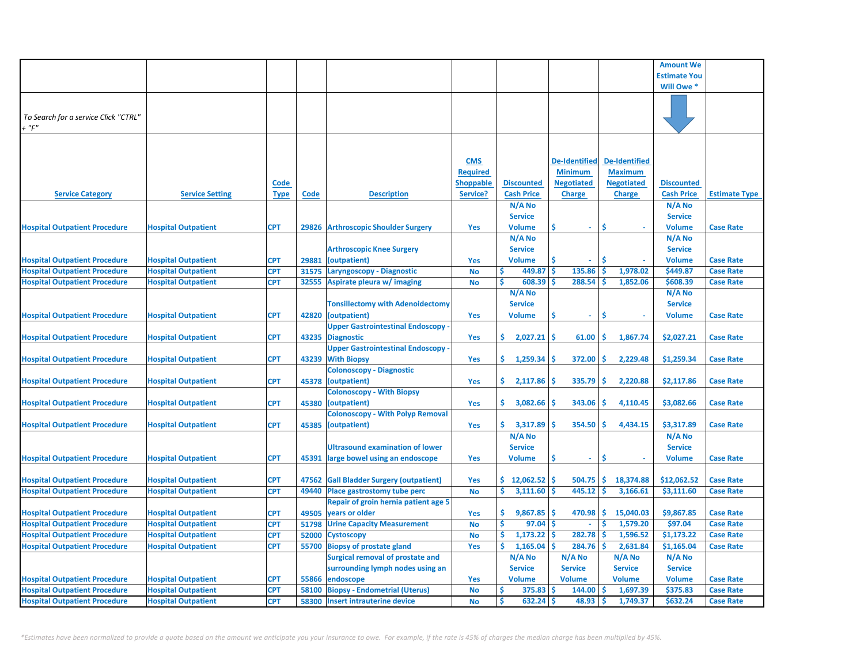|                                      |                            |             |             |                                                                            |                  |                     |                         |                      | <b>Amount We</b>    |                      |
|--------------------------------------|----------------------------|-------------|-------------|----------------------------------------------------------------------------|------------------|---------------------|-------------------------|----------------------|---------------------|----------------------|
|                                      |                            |             |             |                                                                            |                  |                     |                         |                      | <b>Estimate You</b> |                      |
|                                      |                            |             |             |                                                                            |                  |                     |                         |                      |                     |                      |
|                                      |                            |             |             |                                                                            |                  |                     |                         |                      | Will Owe *          |                      |
|                                      |                            |             |             |                                                                            |                  |                     |                         |                      |                     |                      |
| To Search for a service Click "CTRL" |                            |             |             |                                                                            |                  |                     |                         |                      |                     |                      |
| $+$ " $F$ "                          |                            |             |             |                                                                            |                  |                     |                         |                      |                     |                      |
|                                      |                            |             |             |                                                                            |                  |                     |                         |                      |                     |                      |
|                                      |                            |             |             |                                                                            |                  |                     |                         |                      |                     |                      |
|                                      |                            |             |             |                                                                            |                  |                     | <b>De-Identified</b>    | <b>De-Identified</b> |                     |                      |
|                                      |                            |             |             |                                                                            | <b>CMS</b>       |                     |                         |                      |                     |                      |
|                                      |                            |             |             |                                                                            | <b>Required</b>  |                     | <b>Minimum</b>          | <b>Maximum</b>       |                     |                      |
|                                      |                            | <b>Code</b> |             |                                                                            | <b>Shoppable</b> | <b>Discounted</b>   | <b>Negotiated</b>       | <b>Negotiated</b>    | <b>Discounted</b>   |                      |
| <b>Service Category</b>              | <b>Service Setting</b>     | <b>Type</b> | <b>Code</b> | <b>Description</b>                                                         | Service?         | <b>Cash Price</b>   | <b>Charge</b>           | <b>Charge</b>        | <b>Cash Price</b>   | <b>Estimate Type</b> |
|                                      |                            |             |             |                                                                            |                  | N/A No              |                         |                      | N/A No              |                      |
|                                      |                            |             |             |                                                                            |                  | <b>Service</b>      |                         |                      | <b>Service</b>      |                      |
| <b>Hospital Outpatient Procedure</b> | <b>Hospital Outpatient</b> | <b>CPT</b>  | 29826       | <b>Arthroscopic Shoulder Surgery</b>                                       | Yes              | <b>Volume</b>       | \$<br>÷.                | Ś                    | <b>Volume</b>       | <b>Case Rate</b>     |
|                                      |                            |             |             |                                                                            |                  | N/A No              |                         |                      | N/A No              |                      |
|                                      |                            |             |             | <b>Arthroscopic Knee Surgery</b>                                           |                  | <b>Service</b>      |                         |                      | <b>Service</b>      |                      |
| <b>Hospital Outpatient Procedure</b> | <b>Hospital Outpatient</b> | <b>CPT</b>  | 29881       | (outpatient)                                                               | Yes              | <b>Volume</b>       | Ś                       | \$.                  | <b>Volume</b>       | <b>Case Rate</b>     |
| <b>Hospital Outpatient Procedure</b> | <b>Hospital Outpatient</b> | <b>CPT</b>  | 31575       | Laryngoscopy - Diagnostic                                                  | <b>No</b>        | 449.87              | <b>S</b><br>135.86      | 1,978.02<br><b>S</b> | \$449.87            | <b>Case Rate</b>     |
| <b>Hospital Outpatient Procedure</b> | <b>Hospital Outpatient</b> | <b>CPT</b>  |             | 32555 Aspirate pleura w/ imaging                                           | No               | Ŝ<br>608.39         | 288.54<br>Ś             | Ś<br>1,852.06        | \$608.39            | <b>Case Rate</b>     |
|                                      |                            |             |             |                                                                            |                  | N/A No              |                         |                      | N/A No              |                      |
|                                      |                            |             |             | <b>Tonsillectomy with Adenoidectomy</b>                                    |                  | <b>Service</b>      |                         |                      | <b>Service</b>      |                      |
| <b>Hospital Outpatient Procedure</b> | <b>Hospital Outpatient</b> | <b>CPT</b>  | 42820       | (outpatient)                                                               | Yes              | Volume              | \$<br>$\blacksquare$    | \$                   | <b>Volume</b>       | <b>Case Rate</b>     |
|                                      |                            |             |             | <b>Upper Gastrointestinal Endoscopy</b>                                    |                  |                     |                         |                      |                     |                      |
| <b>Hospital Outpatient Procedure</b> | <b>Hospital Outpatient</b> | <b>CPT</b>  | 43235       | <b>Diagnostic</b>                                                          | Yes              | 2,027.21<br>\$.     | \$<br>61.00             | \$<br>1,867.74       | \$2,027.21          | <b>Case Rate</b>     |
|                                      |                            |             |             | <b>Upper Gastrointestinal Endoscopy</b>                                    |                  |                     |                         |                      |                     |                      |
| <b>Hospital Outpatient Procedure</b> | <b>Hospital Outpatient</b> | <b>CPT</b>  | 43239       | <b>With Biopsy</b>                                                         | Yes              | \$.<br>1,259.34     | 372.00<br>\$            | \$<br>2,229.48       | \$1,259.34          | <b>Case Rate</b>     |
|                                      |                            |             |             | <b>Colonoscopy - Diagnostic</b>                                            |                  |                     |                         |                      |                     |                      |
| <b>Hospital Outpatient Procedure</b> | <b>Hospital Outpatient</b> | <b>CPT</b>  | 45378       | (outpatient)                                                               | Yes              | \$.<br>2,117.86     | 335.79<br>S             | Ś<br>2,220.88        | \$2,117.86          | <b>Case Rate</b>     |
|                                      |                            |             |             | <b>Colonoscopy - With Biopsy</b>                                           |                  |                     |                         |                      |                     |                      |
| <b>Hospital Outpatient Procedure</b> | <b>Hospital Outpatient</b> | <b>CPT</b>  | 45380       | (outpatient)                                                               | Yes              | \$.<br>3,082.66     | 343.06<br>S             | <b>S</b><br>4,110.45 | \$3,082.66          | <b>Case Rate</b>     |
|                                      |                            |             |             | <b>Colonoscopy - With Polyp Removal</b>                                    |                  |                     |                         |                      |                     |                      |
| <b>Hospital Outpatient Procedure</b> | <b>Hospital Outpatient</b> | <b>CPT</b>  | 45385       | (outpatient)                                                               | Yes              | \$.<br>3,317.89     | 354.50<br>S             | Ŝ<br>4,434.15        | \$3,317.89          | <b>Case Rate</b>     |
|                                      |                            |             |             |                                                                            |                  | N/A No              |                         |                      | $N/A$ No            |                      |
|                                      |                            |             |             | <b>Ultrasound examination of lower</b>                                     |                  | <b>Service</b>      |                         |                      | <b>Service</b>      |                      |
| <b>Hospital Outpatient Procedure</b> | <b>Hospital Outpatient</b> | <b>CPT</b>  | 45391       | large bowel using an endoscope                                             | Yes              | <b>Volume</b>       | \$<br>٠                 | \$                   | <b>Volume</b>       | <b>Case Rate</b>     |
|                                      |                            |             |             |                                                                            |                  |                     |                         |                      |                     |                      |
| <b>Hospital Outpatient Procedure</b> | <b>Hospital Outpatient</b> | <b>CPT</b>  | 47562       | <b>Gall Bladder Surgery (outpatient)</b>                                   | Yes              | \$12,062.52         | \$<br>504.75            | \$<br>18,374.88      | \$12,062.52         | <b>Case Rate</b>     |
| <b>Hospital Outpatient Procedure</b> | <b>Hospital Outpatient</b> | <b>CPT</b>  | 49440       | <b>Place gastrostomy tube perc</b>                                         | No               | \$<br>3,111.60      | \$<br>445.12            | -\$<br>3,166.61      | \$3,111.60          | <b>Case Rate</b>     |
|                                      |                            |             |             | <b>Repair of groin hernia patient age 5</b>                                |                  |                     |                         |                      |                     |                      |
| <b>Hospital Outpatient Procedure</b> | <b>Hospital Outpatient</b> | <b>CPT</b>  | 49505       | years or older                                                             | Yes              | \$<br>9,867.85      | \$<br>470.98            | \$<br>15,040.03      | \$9,867.85          | <b>Case Rate</b>     |
| <b>Hospital Outpatient Procedure</b> | <b>Hospital Outpatient</b> | <b>CPT</b>  | 51798       | <b>Urine Capacity Measurement</b>                                          | No               | \$<br>97.04         | -\$<br>$\omega_{\rm c}$ | \$<br>1,579.20       | \$97.04             | <b>Case Rate</b>     |
| <b>Hospital Outpatient Procedure</b> | <b>Hospital Outpatient</b> | <b>CPT</b>  | 52000       | <b>Cystoscopy</b>                                                          | No               | \$<br>$1,173.22$ \$ | $282.78$ \$             | 1,596.52             | \$1,173.22          | <b>Case Rate</b>     |
|                                      |                            | <b>CPT</b>  |             |                                                                            |                  | \$<br>1,165.04      | $284.76$ \$<br>\$       | 2,631.84             | \$1,165.04          | <b>Case Rate</b>     |
| <b>Hospital Outpatient Procedure</b> | <b>Hospital Outpatient</b> |             | 55700       | <b>Biopsy of prostate gland</b><br><b>Surgical removal of prostate and</b> | Yes              | N/A No              | N/A No                  | N/A No               | N/A No              |                      |
|                                      |                            |             |             |                                                                            |                  |                     |                         |                      |                     |                      |
|                                      |                            |             |             | surrounding lymph nodes using an                                           |                  | <b>Service</b>      | <b>Service</b>          | <b>Service</b>       | <b>Service</b>      |                      |
| <b>Hospital Outpatient Procedure</b> | <b>Hospital Outpatient</b> | <b>CPT</b>  | 55866       | endoscope                                                                  | Yes              | <b>Volume</b>       | <b>Volume</b>           | <b>Volume</b>        | <b>Volume</b>       | <b>Case Rate</b>     |
| <b>Hospital Outpatient Procedure</b> | <b>Hospital Outpatient</b> | <b>CPT</b>  | 58100       | <b>Biopsy - Endometrial (Uterus)</b>                                       | <b>No</b>        | \$<br>375.83        | \$<br>144.00            | 1,697.39<br>-\$      | \$375.83            | <b>Case Rate</b>     |
| <b>Hospital Outpatient Procedure</b> | <b>Hospital Outpatient</b> | <b>CPT</b>  | 58300       | <b>Insert intrauterine device</b>                                          | <b>No</b>        | Ś<br>632.24         | \$<br>48.93             | \$<br>1,749.37       | \$632.24            | <b>Case Rate</b>     |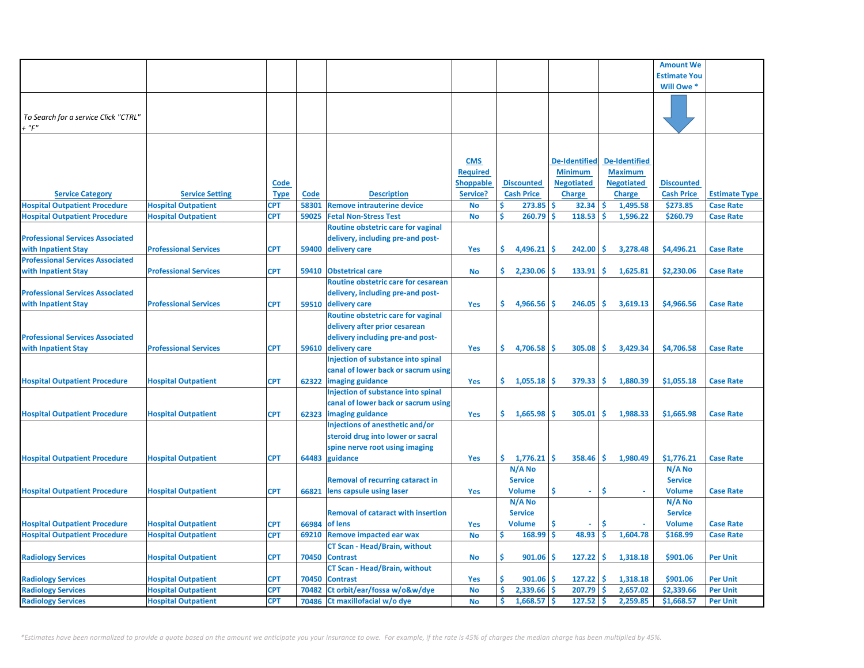|                                         |                              |             |       |                                           |                  |                      |                      |                      | <b>Amount We</b>    |                      |
|-----------------------------------------|------------------------------|-------------|-------|-------------------------------------------|------------------|----------------------|----------------------|----------------------|---------------------|----------------------|
|                                         |                              |             |       |                                           |                  |                      |                      |                      | <b>Estimate You</b> |                      |
|                                         |                              |             |       |                                           |                  |                      |                      |                      | Will Owe *          |                      |
|                                         |                              |             |       |                                           |                  |                      |                      |                      |                     |                      |
|                                         |                              |             |       |                                           |                  |                      |                      |                      |                     |                      |
| To Search for a service Click "CTRL"    |                              |             |       |                                           |                  |                      |                      |                      |                     |                      |
| $+$ " $F$ "                             |                              |             |       |                                           |                  |                      |                      |                      |                     |                      |
|                                         |                              |             |       |                                           |                  |                      |                      |                      |                     |                      |
|                                         |                              |             |       |                                           |                  |                      |                      |                      |                     |                      |
|                                         |                              |             |       |                                           | <b>CMS</b>       |                      | <b>De-Identified</b> | <b>De-Identified</b> |                     |                      |
|                                         |                              |             |       |                                           | <b>Required</b>  |                      | <b>Minimum</b>       | <b>Maximum</b>       |                     |                      |
|                                         |                              | <b>Code</b> |       |                                           | <b>Shoppable</b> | <b>Discounted</b>    | <b>Negotiated</b>    | <b>Negotiated</b>    | <b>Discounted</b>   |                      |
| <b>Service Category</b>                 | <b>Service Setting</b>       | <b>Type</b> | Code  | <b>Description</b>                        | Service?         | <b>Cash Price</b>    | <b>Charge</b>        | Charge               | <b>Cash Price</b>   | <b>Estimate Type</b> |
| <b>Hospital Outpatient Procedure</b>    | <b>Hospital Outpatient</b>   | CPT         | 58301 | <b>Remove intrauterine device</b>         | <b>No</b>        | Ŝ.<br>273.85         | <b>S</b><br>32.34    | ۱\$<br>1,495.58      | \$273.85            | <b>Case Rate</b>     |
| <b>Hospital Outpatient Procedure</b>    | <b>Hospital Outpatient</b>   | <b>CPT</b>  | 59025 | <b>Fetal Non-Stress Test</b>              | <b>No</b>        | Ś<br>260.79          | Ś<br>118.53          | Ŝ<br>1,596.22        | \$260.79            | <b>Case Rate</b>     |
|                                         |                              |             |       | Routine obstetric care for vaginal        |                  |                      |                      |                      |                     |                      |
| <b>Professional Services Associated</b> |                              |             |       | delivery, including pre-and post-         |                  |                      |                      |                      |                     |                      |
| with Inpatient Stay                     | <b>Professional Services</b> | <b>CPT</b>  | 59400 | delivery care                             | Yes              | Ś.<br>4,496.21       | 242.00<br>S          | -\$<br>3,278.48      | \$4,496.21          | <b>Case Rate</b>     |
| <b>Professional Services Associated</b> |                              |             |       |                                           |                  |                      |                      |                      |                     |                      |
| with Inpatient Stay                     | <b>Professional Services</b> | <b>CPT</b>  | 59410 | <b>Obstetrical care</b>                   | <b>No</b>        | \$.<br>2,230.06      | 133.91<br><b>S</b>   | -Ś<br>1,625.81       | \$2,230.06          | <b>Case Rate</b>     |
|                                         |                              |             |       | Routine obstetric care for cesarean       |                  |                      |                      |                      |                     |                      |
| <b>Professional Services Associated</b> |                              |             |       | delivery, including pre-and post-         |                  |                      |                      |                      |                     |                      |
| with Inpatient Stay                     | <b>Professional Services</b> | <b>CPT</b>  |       | 59510 delivery care                       | Yes              | \$.<br>4,966.56      | 246.05<br>Ŝ          | Ŝ.<br>3,619.13       | \$4,966.56          | <b>Case Rate</b>     |
|                                         |                              |             |       | Routine obstetric care for vaginal        |                  |                      |                      |                      |                     |                      |
|                                         |                              |             |       | delivery after prior cesarean             |                  |                      |                      |                      |                     |                      |
| <b>Professional Services Associated</b> |                              |             |       | delivery including pre-and post-          |                  |                      |                      |                      |                     |                      |
| with Inpatient Stay                     | <b>Professional Services</b> | <b>CPT</b>  |       | 59610 delivery care                       | Yes              | \$.<br>$4,706.58$ \$ | 305.08               | IS.<br>3,429.34      | \$4,706.58          | <b>Case Rate</b>     |
|                                         |                              |             |       | Injection of substance into spinal        |                  |                      |                      |                      |                     |                      |
|                                         |                              |             |       | canal of lower back or sacrum using       |                  |                      |                      |                      |                     |                      |
| <b>Hospital Outpatient Procedure</b>    | <b>Hospital Outpatient</b>   | <b>CPT</b>  |       | 62322 imaging guidance                    | Yes              | \$.<br>1,055.18      | 379.33<br><b>S</b>   | ۱\$<br>1,880.39      | \$1,055.18          | <b>Case Rate</b>     |
|                                         |                              |             |       | Injection of substance into spinal        |                  |                      |                      |                      |                     |                      |
|                                         |                              |             |       | canal of lower back or sacrum using       |                  |                      |                      |                      |                     |                      |
| <b>Hospital Outpatient Procedure</b>    | <b>Hospital Outpatient</b>   | <b>CPT</b>  |       | 62323 imaging guidance                    | Yes              | \$.<br>1,665.98      | 305.01<br>Ŝ          | -\$<br>1,988.33      | \$1,665.98          | <b>Case Rate</b>     |
|                                         |                              |             |       | Injections of anesthetic and/or           |                  |                      |                      |                      |                     |                      |
|                                         |                              |             |       | steroid drug into lower or sacral         |                  |                      |                      |                      |                     |                      |
|                                         |                              |             |       | spine nerve root using imaging            |                  |                      |                      |                      |                     |                      |
| <b>Hospital Outpatient Procedure</b>    | <b>Hospital Outpatient</b>   | <b>CPT</b>  | 64483 | guidance                                  | Yes              | \$.<br>1,776.21      | Ś<br>358.46          | -\$<br>1,980.49      | \$1,776.21          | <b>Case Rate</b>     |
|                                         |                              |             |       |                                           |                  | N/A No               |                      |                      | N/A No              |                      |
|                                         |                              |             |       | <b>Removal of recurring cataract in</b>   |                  | <b>Service</b>       |                      |                      | <b>Service</b>      |                      |
| <b>Hospital Outpatient Procedure</b>    | <b>Hospital Outpatient</b>   | <b>CPT</b>  | 66821 | lens capsule using laser                  | Yes              | <b>Volume</b>        | Ś                    | Ŝ                    | <b>Volume</b>       | <b>Case Rate</b>     |
|                                         |                              |             |       |                                           |                  | N/A No               |                      |                      | N/A No              |                      |
|                                         |                              |             |       | <b>Removal of cataract with insertion</b> |                  | <b>Service</b>       |                      |                      | <b>Service</b>      |                      |
| <b>Hospital Outpatient Procedure</b>    | <b>Hospital Outpatient</b>   | <b>CPT</b>  | 66984 | of lens                                   | Yes              | <b>Volume</b>        | Ś                    | Ś                    | <b>Volume</b>       | <b>Case Rate</b>     |
| <b>Hospital Outpatient Procedure</b>    | <b>Hospital Outpatient</b>   | <b>CPT</b>  | 69210 | <b>Remove impacted ear wax</b>            | <b>No</b>        | \$<br>168.99         | Ŝ<br>48.93           | 1,604.78<br>Ŝ        | \$168.99            | <b>Case Rate</b>     |
|                                         |                              |             |       | <b>CT Scan - Head/Brain, without</b>      |                  |                      |                      |                      |                     |                      |
| <b>Radiology Services</b>               | <b>Hospital Outpatient</b>   | <b>CPT</b>  | 70450 | <b>Contrast</b>                           | No               | Ŝ<br>901.06          | 127.22<br><b>S</b>   | -Ś<br>1,318.18       | \$901.06            | <b>Per Unit</b>      |
|                                         |                              |             |       | <b>CT Scan - Head/Brain, without</b>      |                  |                      |                      |                      |                     |                      |
| <b>Radiology Services</b>               | <b>Hospital Outpatient</b>   | <b>CPT</b>  | 70450 | <b>Contrast</b>                           | Yes              | Ś.<br>901.06         | 127.22               | -Ś<br>1,318.18       | \$901.06            | <b>Per Unit</b>      |
| <b>Radiology Services</b>               | <b>Hospital Outpatient</b>   | <b>CPT</b>  | 70482 | Ct orbit/ear/fossa w/o&w/dye              | <b>No</b>        | Ś.<br>2,339.66       | 207.79               | 2,657.02             | \$2,339.66          | <b>Per Unit</b>      |
| <b>Radiology Services</b>               | <b>Hospital Outpatient</b>   | <b>CPT</b>  | 70486 | Ct maxillofacial w/o dye                  | <b>No</b>        | \$<br>$1,668.57$ \$  | 127.52               | Ŝ<br>2,259.85        | \$1,668.57          | <b>Per Unit</b>      |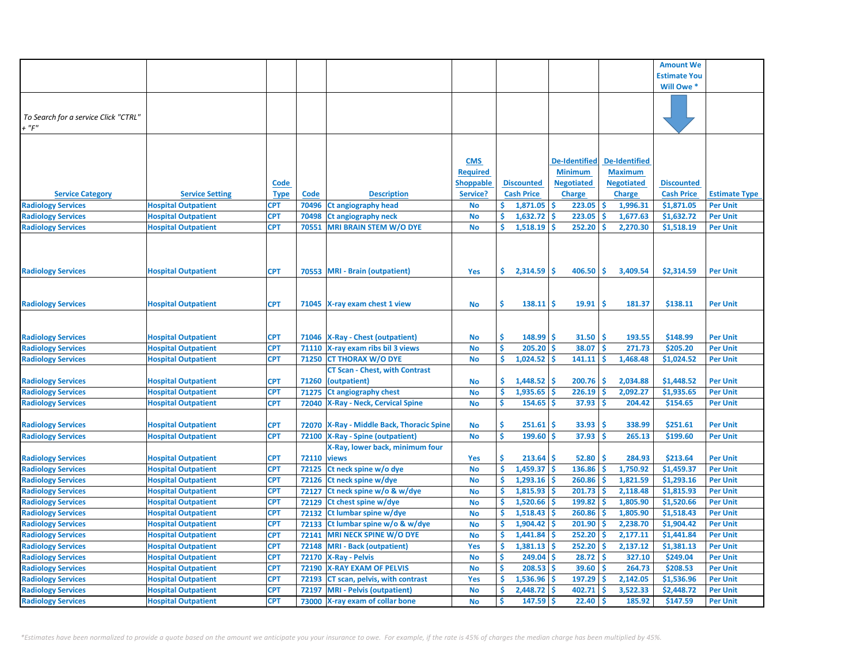|                                      |                            |             |       |                                        |                  |                      |                      |                      | <b>Amount We</b>    |                      |
|--------------------------------------|----------------------------|-------------|-------|----------------------------------------|------------------|----------------------|----------------------|----------------------|---------------------|----------------------|
|                                      |                            |             |       |                                        |                  |                      |                      |                      | <b>Estimate You</b> |                      |
|                                      |                            |             |       |                                        |                  |                      |                      |                      | Will Owe *          |                      |
|                                      |                            |             |       |                                        |                  |                      |                      |                      |                     |                      |
|                                      |                            |             |       |                                        |                  |                      |                      |                      |                     |                      |
| To Search for a service Click "CTRL" |                            |             |       |                                        |                  |                      |                      |                      |                     |                      |
| $+$ "F"                              |                            |             |       |                                        |                  |                      |                      |                      |                     |                      |
|                                      |                            |             |       |                                        |                  |                      |                      |                      |                     |                      |
|                                      |                            |             |       |                                        |                  |                      |                      |                      |                     |                      |
|                                      |                            |             |       |                                        | <b>CMS</b>       |                      | <b>De-Identified</b> | <b>De-Identified</b> |                     |                      |
|                                      |                            |             |       |                                        | <b>Required</b>  |                      | <b>Minimum</b>       | <b>Maximum</b>       |                     |                      |
|                                      |                            | <b>Code</b> |       |                                        | <b>Shoppable</b> | <b>Discounted</b>    | <b>Negotiated</b>    | <b>Negotiated</b>    | <b>Discounted</b>   |                      |
| <b>Service Category</b>              | <b>Service Setting</b>     | <b>Type</b> | Code  | <b>Description</b>                     | Service?         | <b>Cash Price</b>    | <b>Charge</b>        | <b>Charge</b>        | <b>Cash Price</b>   | <b>Estimate Type</b> |
| <b>Radiology Services</b>            | <b>Hospital Outpatient</b> | CPT         | 70496 | <b>Ct angiography head</b>             | No               | \$.<br>1,871.05      | \$<br>223.05         | -\$<br>1,996.31      | \$1,871.05          | <b>Per Unit</b>      |
| <b>Radiology Services</b>            | <b>Hospital Outpatient</b> | <b>CPT</b>  | 70498 | <b>Ct angiography neck</b>             | No               | Ś.<br>1,632.72       | \$<br>223.05         | 1,677.63<br>.\$      | \$1,632.72          | <b>Per Unit</b>      |
| <b>Radiology Services</b>            | <b>Hospital Outpatient</b> | <b>CPT</b>  | 70551 | <b>MRI BRAIN STEM W/O DYE</b>          | No               | \$<br>1,518.19       | Ŝ.<br>252.20         | <b>S</b><br>2,270.30 | \$1,518.19          | <b>Per Unit</b>      |
|                                      |                            |             |       |                                        |                  |                      |                      |                      |                     |                      |
|                                      |                            |             |       |                                        |                  |                      |                      |                      |                     |                      |
|                                      |                            |             |       |                                        |                  |                      |                      |                      |                     |                      |
| <b>Radiology Services</b>            | <b>Hospital Outpatient</b> | <b>CPT</b>  | 70553 | <b>MRI</b> - Brain (outpatient)        | Yes              | \$.<br>2,314.59      | \$<br>406.50         | Ŝ<br>3,409.54        | \$2,314.59          | <b>Per Unit</b>      |
|                                      |                            |             |       |                                        |                  |                      |                      |                      |                     |                      |
|                                      |                            |             |       |                                        |                  |                      |                      |                      |                     |                      |
| <b>Radiology Services</b>            | <b>Hospital Outpatient</b> | <b>CPT</b>  |       | 71045 X-ray exam chest 1 view          | No               | \$.<br>$138.11$ \$   | 19.91                | \$.<br>181.37        | \$138.11            | <b>Per Unit</b>      |
|                                      |                            |             |       |                                        |                  |                      |                      |                      |                     |                      |
|                                      |                            |             |       |                                        |                  |                      |                      |                      |                     |                      |
| <b>Radiology Services</b>            | <b>Hospital Outpatient</b> | <b>CPT</b>  | 71046 | <b>X-Ray - Chest (outpatient)</b>      | <b>No</b>        | \$.<br>$148.99$ \$   | 31.50                | Ŝ<br>193.55          | \$148.99            | <b>Per Unit</b>      |
| <b>Radiology Services</b>            | <b>Hospital Outpatient</b> | <b>CPT</b>  | 71110 | X-ray exam ribs bil 3 views            | <b>No</b>        | Ś<br>205.20          | <b>S</b><br>38.07    | Ś<br>271.73          | \$205.20            | <b>Per Unit</b>      |
| <b>Radiology Services</b>            | <b>Hospital Outpatient</b> | <b>CPT</b>  |       | 71250 CT THORAX W/O DYE                | <b>No</b>        | Ŝ.<br>$1,024.52$ \$  | 141.11               | Ŝ<br>1,468.48        | \$1,024.52          | <b>Per Unit</b>      |
|                                      |                            |             |       | <b>CT Scan - Chest, with Contrast</b>  |                  |                      |                      |                      |                     |                      |
| <b>Radiology Services</b>            | <b>Hospital Outpatient</b> | <b>CPT</b>  | 71260 | (outpatient)                           | No               | \$.<br>$1,448.52$ \$ | 200.76               | Ŝ<br>2,034.88        | \$1,448.52          | <b>Per Unit</b>      |
| <b>Radiology Services</b>            | <b>Hospital Outpatient</b> | <b>CPT</b>  | 71275 | <b>Ct angiography chest</b>            | <b>No</b>        | \$<br>$1,935.65$ \$  | 226.19               | Ŝ<br>2,092.27        | \$1,935.65          | <b>Per Unit</b>      |
| <b>Radiology Services</b>            | <b>Hospital Outpatient</b> | <b>CPT</b>  | 72040 | <b>X-Ray - Neck, Cervical Spine</b>    | <b>No</b>        | \$<br>$154.65$ \$    | 37.93                | Ŝ<br>204.42          | \$154.65            | <b>Per Unit</b>      |
|                                      |                            |             |       |                                        |                  |                      |                      |                      |                     |                      |
| <b>Radiology Services</b>            | <b>Hospital Outpatient</b> | <b>CPT</b>  | 72070 | X-Ray - Middle Back, Thoracic Spine    | No               | Ś<br>$251.61$ \$     | 33.93                | Ŝ<br>338.99          | \$251.61            | <b>Per Unit</b>      |
| <b>Radiology Services</b>            | <b>Hospital Outpatient</b> | <b>CPT</b>  | 72100 | <b>X-Ray - Spine (outpatient)</b>      | <b>No</b>        | \$<br>$199.60$ \$    | 37.93                | Ś<br>265.13          | \$199.60            | <b>Per Unit</b>      |
|                                      |                            |             |       | X-Ray, lower back, minimum four        |                  |                      |                      |                      |                     |                      |
| <b>Radiology Services</b>            | <b>Hospital Outpatient</b> | <b>CPT</b>  | 72110 | views                                  | <b>Yes</b>       | \$<br>$213.64$ \$    | 52.80                | Ś<br>284.93          | \$213.64            | <b>Per Unit</b>      |
|                                      |                            | <b>CPT</b>  | 72125 | Ct neck spine w/o dye                  | <b>No</b>        | Ŝ.<br>$1,459.37$ \$  | 136.86               | 1,750.92<br><b>S</b> | \$1,459.37          | <b>Per Unit</b>      |
| <b>Radiology Services</b>            | <b>Hospital Outpatient</b> | <b>CPT</b>  | 72126 |                                        | <b>No</b>        | \$<br>$1,293.16$ \$  | 260.86               | 1,821.59<br>-Ś       | \$1,293.16          | <b>Per Unit</b>      |
| <b>Radiology Services</b>            | <b>Hospital Outpatient</b> | <b>CPT</b>  |       | Ct neck spine w/dye                    |                  | \$<br>$1,815.93$ \$  | $201.73$ \$          | 2,118.48             | \$1,815.93          |                      |
| <b>Radiology Services</b>            | <b>Hospital Outpatient</b> |             | 72127 | Ct neck spine w/o & w/dye              | <b>No</b>        | Ŝ                    | $199.82$ \$          |                      |                     | <b>Per Unit</b>      |
| <b>Radiology Services</b>            | <b>Hospital Outpatient</b> | <b>CPT</b>  | 72129 | Ct chest spine w/dye                   | <b>No</b>        | $1,520.66$ \$        |                      | 1,805.90             | \$1,520.66          | <b>Per Unit</b>      |
| <b>Radiology Services</b>            | <b>Hospital Outpatient</b> | <b>CPT</b>  | 72132 | Ct lumbar spine w/dye                  | <b>No</b>        | $1,518.43$ \$<br>\$  | $260.86$ \$          | 1,805.90             | \$1,518.43          | <b>Per Unit</b>      |
| <b>Radiology Services</b>            | <b>Hospital Outpatient</b> | <b>CPT</b>  | 72133 | <b>Ct lumbar spine w/o &amp; w/dye</b> | <b>No</b>        | \$<br>$1,904.42$ \$  | 201.90               | ۱Ś<br>2,238.70       | \$1,904.42          | <b>Per Unit</b>      |
| <b>Radiology Services</b>            | <b>Hospital Outpatient</b> | <b>CPT</b>  | 72141 | MRI NECK SPINE W/O DYE                 | <b>No</b>        | \$<br>$1,441.84$ \$  | $252.20$ \$          | 2,177.11             | \$1,441.84          | <b>Per Unit</b>      |
| <b>Radiology Services</b>            | <b>Hospital Outpatient</b> | <b>CPT</b>  | 72148 | <b>MRI</b> - Back (outpatient)         | Yes              | \$<br>$1,381.13$ \$  | 252.20               | -Ś<br>2,137.12       | \$1,381.13          | <b>Per Unit</b>      |
| <b>Radiology Services</b>            | <b>Hospital Outpatient</b> | <b>CPT</b>  |       | 72170 X-Ray - Pelvis                   | <b>No</b>        | \$<br>$249.04$ \$    | $28.72$ \$           | 327.10               | \$249.04            | <b>Per Unit</b>      |
| <b>Radiology Services</b>            | <b>Hospital Outpatient</b> | <b>CPT</b>  | 72190 | <b>X-RAY EXAM OF PELVIS</b>            | <b>No</b>        | \$<br>$208.53$ \$    | $39.60$ \$           | 264.73               | \$208.53            | <b>Per Unit</b>      |
| <b>Radiology Services</b>            | <b>Hospital Outpatient</b> | <b>CPT</b>  | 72193 | CT scan, pelvis, with contrast         | Yes              | \$<br>$1,536.96$ \$  | $197.29$ \$          | 2,142.05             | \$1,536.96          | <b>Per Unit</b>      |
| <b>Radiology Services</b>            | <b>Hospital Outpatient</b> | <b>CPT</b>  | 72197 | <b>MRI - Pelvis (outpatient)</b>       | <b>No</b>        | 2,448.72 \$<br>\$    | 402.71               | 3,522.33<br>۱Ś       | \$2,448.72          | <b>Per Unit</b>      |
| <b>Radiology Services</b>            | <b>Hospital Outpatient</b> | <b>CPT</b>  |       | 73000 X-ray exam of collar bone        | <b>No</b>        | \$<br>$147.59$ \$    | $22.40$ \$           | 185.92               | \$147.59            | <b>Per Unit</b>      |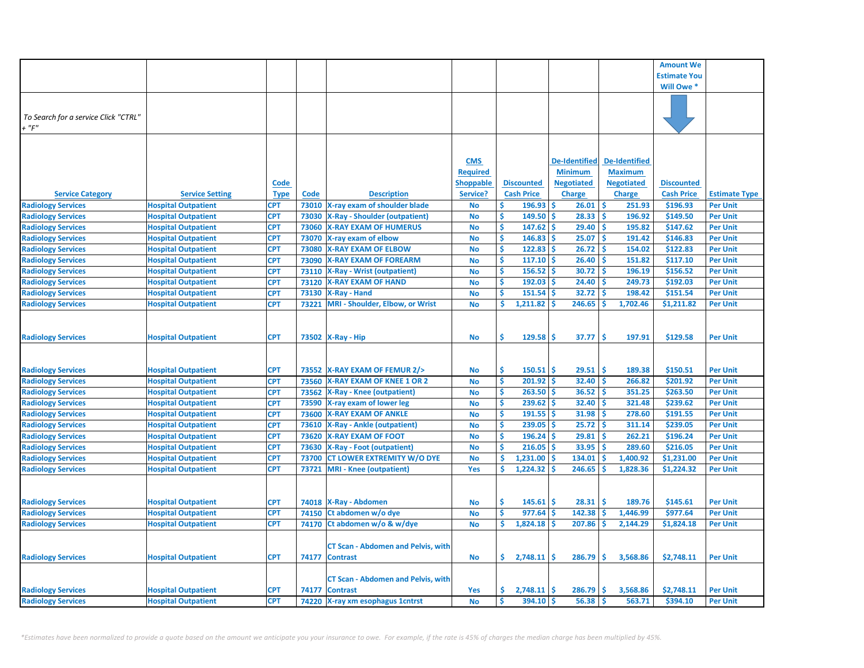|                                      |                            |             |             |                                           |                  |                      |                      |                      | <b>Amount We</b>    |                      |
|--------------------------------------|----------------------------|-------------|-------------|-------------------------------------------|------------------|----------------------|----------------------|----------------------|---------------------|----------------------|
|                                      |                            |             |             |                                           |                  |                      |                      |                      | <b>Estimate You</b> |                      |
|                                      |                            |             |             |                                           |                  |                      |                      |                      | Will Owe *          |                      |
|                                      |                            |             |             |                                           |                  |                      |                      |                      |                     |                      |
|                                      |                            |             |             |                                           |                  |                      |                      |                      |                     |                      |
| To Search for a service Click "CTRL" |                            |             |             |                                           |                  |                      |                      |                      |                     |                      |
| $+$ " $F$ "                          |                            |             |             |                                           |                  |                      |                      |                      |                     |                      |
|                                      |                            |             |             |                                           |                  |                      |                      |                      |                     |                      |
|                                      |                            |             |             |                                           |                  |                      |                      |                      |                     |                      |
|                                      |                            |             |             |                                           | <b>CMS</b>       |                      | <b>De-Identified</b> | <b>De-Identified</b> |                     |                      |
|                                      |                            |             |             |                                           | <b>Required</b>  |                      | <b>Minimum</b>       | <b>Maximum</b>       |                     |                      |
|                                      |                            | Code        |             |                                           | <b>Shoppable</b> | <b>Discounted</b>    | <b>Negotiated</b>    | <b>Negotiated</b>    | <b>Discounted</b>   |                      |
| <b>Service Category</b>              | <b>Service Setting</b>     | <b>Type</b> | <b>Code</b> | <b>Description</b>                        | Service?         | <b>Cash Price</b>    | <b>Charge</b>        | Charge               | <b>Cash Price</b>   | <b>Estimate Type</b> |
| <b>Radiology Services</b>            | <b>Hospital Outpatient</b> | <b>CPT</b>  | 73010       | X-ray exam of shoulder blade              | No               | Ś<br>196.93          | \$<br>26.01          | -\$<br>251.93        | \$196.93            | <b>Per Unit</b>      |
| <b>Radiology Services</b>            | <b>Hospital Outpatient</b> | <b>CPT</b>  | 73030       | <b>X-Ray - Shoulder (outpatient)</b>      | No               | \$<br>149.50         | \$<br>28.33          | -\$<br>196.92        | \$149.50            | <b>Per Unit</b>      |
| <b>Radiology Services</b>            | <b>Hospital Outpatient</b> | <b>CPT</b>  | 73060       | <b>X-RAY EXAM OF HUMERUS</b>              | <b>No</b>        | \$<br>$147.62$ \$    | 29.40                | -\$<br>195.82        | \$147.62            | <b>Per Unit</b>      |
| <b>Radiology Services</b>            | <b>Hospital Outpatient</b> | <b>CPT</b>  | 73070       | X-ray exam of elbow                       | <b>No</b>        | Ś<br>146.83          | 25.07<br>Ŝ           | Ŝ<br>191.42          | \$146.83            | <b>Per Unit</b>      |
| <b>Radiology Services</b>            | <b>Hospital Outpatient</b> | <b>CPT</b>  | 73080       | <b>X-RAY EXAM OF ELBOW</b>                | <b>No</b>        | \$<br>$122.83$ \$    | 26.72                | Ŝ<br>154.02          | \$122.83            | <b>Per Unit</b>      |
| <b>Radiology Services</b>            | <b>Hospital Outpatient</b> | <b>CPT</b>  | 73090       | <b>X-RAY EXAM OF FOREARM</b>              | <b>No</b>        | Ś<br>117.10          | ۱Ś<br>26.40          | Ŝ<br>151.82          | \$117.10            | <b>Per Unit</b>      |
| <b>Radiology Services</b>            | <b>Hospital Outpatient</b> | <b>CPT</b>  | 73110       | <b>X-Ray - Wrist (outpatient)</b>         | <b>No</b>        | \$<br>$156.52$ \$    | $30.72$ \$           | 196.19               | \$156.52            | <b>Per Unit</b>      |
| <b>Radiology Services</b>            | <b>Hospital Outpatient</b> | <b>CPT</b>  | 73120       | <b>X-RAY EXAM OF HAND</b>                 | <b>No</b>        | Ś<br>192.03          | Ŝ<br>24.40           | Ŝ<br>249.73          | \$192.03            | <b>Per Unit</b>      |
| <b>Radiology Services</b>            | <b>Hospital Outpatient</b> | <b>CPT</b>  | 73130       | X-Ray - Hand                              | <b>No</b>        | \$<br>$151.54$ \$    | $32.72$ \$           | 198.42               | \$151.54            | <b>Per Unit</b>      |
| <b>Radiology Services</b>            | <b>Hospital Outpatient</b> | <b>CPT</b>  | 73221       | <b>MRI - Shoulder, Elbow, or Wrist</b>    | <b>No</b>        | Ś<br>1,211.82        | 246.65<br><b>S</b>   | Ŝ<br>1,702.46        | \$1,211.82          | <b>Per Unit</b>      |
|                                      |                            |             |             |                                           |                  |                      |                      |                      |                     |                      |
|                                      |                            |             |             |                                           |                  |                      |                      |                      |                     |                      |
| <b>Radiology Services</b>            | <b>Hospital Outpatient</b> | <b>CPT</b>  |             | 73502   X-Ray - Hip                       | <b>No</b>        | Š.<br>129.58         | 37.77<br>\$          | Ŝ<br>197.91          | \$129.58            | <b>Per Unit</b>      |
|                                      |                            |             |             |                                           |                  |                      |                      |                      |                     |                      |
|                                      |                            |             |             |                                           |                  |                      |                      |                      |                     |                      |
| <b>Radiology Services</b>            | <b>Hospital Outpatient</b> | <b>CPT</b>  | 73552       | X-RAY EXAM OF FEMUR 2/>                   | <b>No</b>        | \$<br>$150.51$ \$    | 29.51                | Ŝ<br>189.38          | \$150.51            | <b>Per Unit</b>      |
| <b>Radiology Services</b>            | <b>Hospital Outpatient</b> | <b>CPT</b>  | 73560       | <b>X-RAY EXAM OF KNEE 1 OR 2</b>          | <b>No</b>        | \$<br>$201.92$ \$    | 32.40                | Ŝ<br>266.82          | \$201.92            | <b>Per Unit</b>      |
| <b>Radiology Services</b>            | <b>Hospital Outpatient</b> | <b>CPT</b>  | 73562       | <b>X-Ray - Knee (outpatient)</b>          | <b>No</b>        | \$<br>$263.50$ \$    | $36.52$ \$           | 351.25               | \$263.50            | <b>Per Unit</b>      |
| <b>Radiology Services</b>            | <b>Hospital Outpatient</b> | <b>CPT</b>  | 73590       | X-ray exam of lower leg                   | <b>No</b>        | \$<br>$239.62$ \$    | $32.40$ \$           | 321.48               | \$239.62            | <b>Per Unit</b>      |
| <b>Radiology Services</b>            | <b>Hospital Outpatient</b> | <b>CPT</b>  | 73600       | <b>X-RAY EXAM OF ANKLE</b>                | <b>No</b>        | \$<br>$191.55$ \$    | $31.98$ \$           | 278.60               | \$191.55            | <b>Per Unit</b>      |
| <b>Radiology Services</b>            | <b>Hospital Outpatient</b> | <b>CPT</b>  | 73610       | <b>X-Ray - Ankle (outpatient)</b>         | <b>No</b>        | \$<br>$239.05$ \$    | $25.72$ \$           | 311.14               | \$239.05            | <b>Per Unit</b>      |
| <b>Radiology Services</b>            | <b>Hospital Outpatient</b> | <b>CPT</b>  | 73620       | <b>X-RAY EXAM OF FOOT</b>                 | <b>No</b>        | \$<br>$196.24$ \$    | $29.81$ \$           | 262.21               | \$196.24            | <b>Per Unit</b>      |
| <b>Radiology Services</b>            | <b>Hospital Outpatient</b> | <b>CPT</b>  | 73630       | <b>X-Ray - Foot (outpatient)</b>          | <b>No</b>        | \$<br>$216.05$ \$    | $33.95$ \$           | 289.60               | \$216.05            | <b>Per Unit</b>      |
| <b>Radiology Services</b>            | <b>Hospital Outpatient</b> | <b>CPT</b>  | 73700       | <b>CT LOWER EXTREMITY W/O DYE</b>         | <b>No</b>        | Ś<br>$1,231.00$ \$   | 134.01               | 1,400.92<br>-Ś       | \$1,231.00          | <b>Per Unit</b>      |
| <b>Radiology Services</b>            | <b>Hospital Outpatient</b> | <b>CPT</b>  | 73721       | <b>MRI</b> - Knee (outpatient)            | Yes              | \$<br>$1,224.32$ \$  | 246.65               | Ŝ<br>1,828.36        | \$1,224.32          | <b>Per Unit</b>      |
|                                      |                            |             |             |                                           |                  |                      |                      |                      |                     |                      |
|                                      |                            |             |             |                                           |                  |                      |                      |                      |                     |                      |
| <b>Radiology Services</b>            | <b>Hospital Outpatient</b> | <b>CPT</b>  | 74018       | X-Ray - Abdomen                           | <b>No</b>        | \$<br>$145.61$ \$    | 28.31                | Ś<br>189.76          | \$145.61            | <b>Per Unit</b>      |
| <b>Radiology Services</b>            | <b>Hospital Outpatient</b> | <b>CPT</b>  | 74150       | Ct abdomen w/o dye                        | <b>No</b>        | \$<br>$977.64$ \$    | $142.38$ \$          | 1,446.99             | \$977.64            | <b>Per Unit</b>      |
| <b>Radiology Services</b>            | <b>Hospital Outpatient</b> | <b>CPT</b>  | 74170       | Ct abdomen w/o & w/dye                    | <b>No</b>        | \$<br>$1,824.18$ \$  | 207.86               | <b>S</b><br>2,144.29 | \$1,824.18          | <b>Per Unit</b>      |
|                                      |                            |             |             |                                           |                  |                      |                      |                      |                     |                      |
|                                      |                            |             |             | <b>CT Scan - Abdomen and Pelvis, with</b> |                  |                      |                      |                      |                     |                      |
| <b>Radiology Services</b>            | <b>Hospital Outpatient</b> | <b>CPT</b>  | 74177       | <b>Contrast</b>                           | No               | \$.<br>$2,748.11$ \$ | 286.79               | \$<br>3,568.86       | \$2,748.11          | <b>Per Unit</b>      |
|                                      |                            |             |             |                                           |                  |                      |                      |                      |                     |                      |
|                                      |                            |             |             | <b>CT Scan - Abdomen and Pelvis, with</b> |                  |                      |                      |                      |                     |                      |
| <b>Radiology Services</b>            | <b>Hospital Outpatient</b> | <b>CPT</b>  | 74177       | <b>Contrast</b>                           | Yes              | \$.<br>$2,748.11$ \$ | 286.79               | 3,568.86<br>Ŝ        | \$2,748.11          | <b>Per Unit</b>      |
| <b>Radiology Services</b>            | <b>Hospital Outpatient</b> | <b>CPT</b>  | 74220       | X-ray xm esophagus 1 cntrst               | <b>No</b>        | \$<br>394.10         | \$<br>56.38          | Ś<br>563.71          | \$394.10            | <b>Per Unit</b>      |
|                                      |                            |             |             |                                           |                  |                      |                      |                      |                     |                      |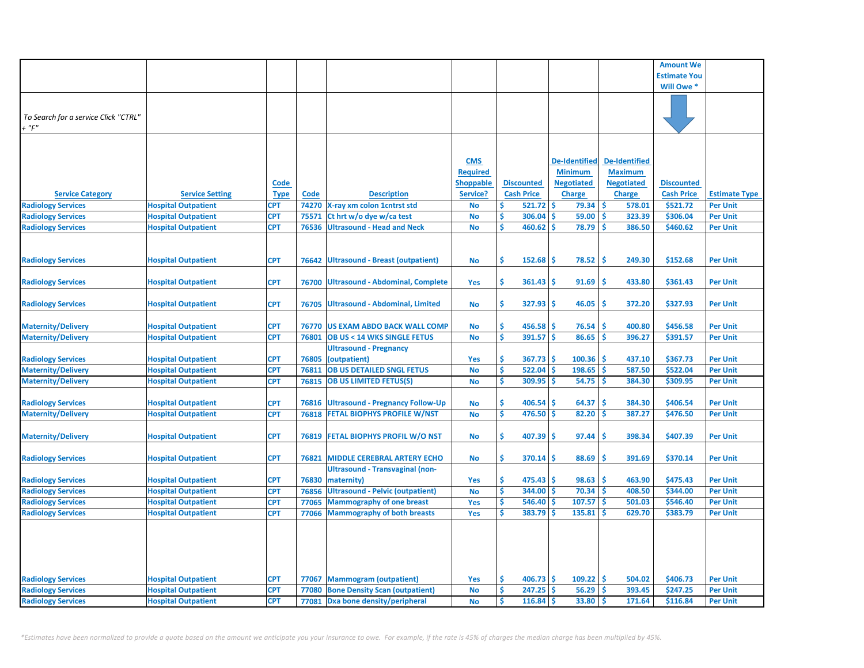| <b>Estimate You</b><br>Will Owe *<br>To Search for a service Click "CTRL"<br>$+$ " $F$ "<br><b>CMS</b><br><b>De-Identified</b><br><b>De-Identified</b><br><b>Required</b><br><b>Minimum</b><br><b>Maximum</b><br><b>Code</b><br><b>Shoppable</b><br><b>Discounted</b><br><b>Negotiated</b><br><b>Negotiated</b><br><b>Discounted</b><br><b>Code</b><br><b>Cash Price</b><br><b>Charge</b><br><b>Charge</b><br><b>Service Category</b><br><b>Service Setting</b><br><b>Type</b><br><b>Description</b><br>Service?<br><b>Cash Price</b><br><b>Estimate Type</b><br><b>Radiology Services</b><br>$521.72$ \$<br>$79.34$ \$<br><b>Hospital Outpatient</b><br><b>CPT</b><br>X-ray xm colon 1cntrst std<br>\$.<br>578.01<br>\$521.72<br>74270<br>No<br><b>Per Unit</b><br><b>CPT</b><br>Ś<br>Ś<br>Ś<br><b>Radiology Services</b><br>306.04<br>59.00<br>323.39<br>\$306.04<br><b>Hospital Outpatient</b><br>75571<br>Ct hrt w/o dye w/ca test<br><b>Per Unit</b><br>No<br>\$<br>Ŝ<br>460.62<br>\$<br>78.79<br>386.50<br><b>Radiology Services</b><br><b>Hospital Outpatient</b><br><b>CPT</b><br>76536<br><b>Ultrasound - Head and Neck</b><br>\$460.62<br><b>Per Unit</b><br>No<br><b>CPT</b><br>\$<br>78.52<br>\$<br>249.30<br>\$152.68<br>76642<br>Ultrasound - Breast (outpatient)<br><b>No</b><br>$152.68$ \$<br><b>Per Unit</b><br><b>Radiology Services</b><br><b>Hospital Outpatient</b><br>\$<br><b>CPT</b><br>Ś<br><b>Radiology Services</b><br><b>Hospital Outpatient</b><br>76700<br><b>Ultrasound - Abdominal, Complete</b><br>361.43<br>\$.<br>91.69<br>433.80<br>\$361.43<br><b>Per Unit</b><br><b>Yes</b><br>\$<br>327.93<br>46.05<br>Ŝ<br>372.20<br>\$327.93<br><b>Radiology Services</b><br><b>Hospital Outpatient</b><br><b>CPT</b><br><b>Ultrasound - Abdominal, Limited</b><br>\$.<br><b>Per Unit</b><br>76705<br>No<br><b>Maternity/Delivery</b><br>\$<br>456.58<br>Ŝ<br>\$456.58<br><b>Hospital Outpatient</b><br><b>CPT</b><br><b>US EXAM ABDO BACK WALL COMP</b><br>\$<br>76.54<br>400.80<br><b>Per Unit</b><br>76770<br><b>No</b><br>\$<br>$391.57$ \$<br>86.65<br>Ŝ<br><b>Hospital Outpatient</b><br><b>OB US &lt; 14 WKS SINGLE FETUS</b><br>396.27<br>\$391.57<br><b>CPT</b><br>76801<br><b>No</b><br><b>Per Unit</b><br><b>Ultrasound - Pregnancy</b><br><b>CPT</b><br>76805<br>\$<br>$367.73$ \$<br>$100.36$ \$<br>437.10<br>\$367.73<br><b>Hospital Outpatient</b><br>(outpatient)<br>Yes<br><b>Per Unit</b><br><b>Maternity/Delivery</b><br><b>OB US DETAILED SNGL FETUS</b><br>\$<br>$198.65$ \$<br><b>CPT</b><br>76811<br><b>No</b><br>$522.04$ \$<br>587.50<br>\$522.04<br><b>Hospital Outpatient</b><br><b>Per Unit</b><br>\$<br>$309.95$ \$<br>$54.75$ \$<br><b>Hospital Outpatient</b><br><b>CPT</b><br>76815   OB US LIMITED FETUS(S)<br><b>No</b><br>384.30<br>\$309.95<br><b>Per Unit</b><br><b>Ultrasound - Pregnancy Follow-Up</b><br>\$<br>$406.54$ \$<br>64.37<br>\$<br>384.30<br>\$406.54<br><b>Radiology Services</b><br><b>Hospital Outpatient</b><br><b>CPT</b><br>76816<br><b>No</b><br><b>Per Unit</b><br><b>Maternity/Delivery</b><br>\$<br>$476.50$ \$<br>82.20<br>Ŝ<br><b>Hospital Outpatient</b><br><b>CPT</b><br>76818<br><b>FETAL BIOPHYS PROFILE W/NST</b><br>387.27<br>\$476.50<br><b>No</b><br><b>Per Unit</b><br><b>Maternity/Delivery</b><br><b>CPT</b><br><b>FETAL BIOPHYS PROFIL W/O NST</b><br>\$<br>407.39<br>\$<br>97.44<br>Ŝ<br>398.34<br>\$407.39<br><b>Hospital Outpatient</b><br>76819<br><b>No</b><br><b>Per Unit</b><br>\$<br><b>CPT</b><br>76821<br><b>MIDDLE CEREBRAL ARTERY ECHO</b><br><b>No</b><br>370.14<br>\$<br>88.69<br>Ŝ<br>391.69<br>\$370.14<br><b>Per Unit</b><br><b>Radiology Services</b><br><b>Hospital Outpatient</b><br><b>Ultrasound - Transvaginal (non-</b><br><b>Radiology Services</b><br><b>Hospital Outpatient</b><br><b>CPT</b><br>76830<br>\$<br>475.43<br>\$<br>98.63<br>Ŝ<br>463.90<br>\$475.43<br><b>Per Unit</b><br>maternity)<br>Yes<br><b>Ultrasound - Pelvic (outpatient)</b><br>\$<br>344.00<br>70.34<br><b>Radiology Services</b><br><b>Hospital Outpatient</b><br><b>CPT</b><br>76856<br>Ŝ<br>408.50<br>\$344.00<br><b>No</b><br><b>Per Unit</b><br><b>Radiology Services</b><br>Ś<br>546.40<br>107.57<br><b>Hospital Outpatient</b><br><b>CPT</b><br><b>Mammography of one breast</b><br>Ś<br>Ŝ<br>\$546.40<br>77065<br>Yes<br>501.03<br><b>Per Unit</b><br><b>Radiology Services</b><br>\$<br>383.79<br>135.81<br><b>Hospital Outpatient</b><br><b>CPT</b><br><b>Mammography of both breasts</b><br>Ś<br>Ŝ<br>629.70<br>\$383.79<br>77066<br>Yes<br><b>Per Unit</b><br>\$<br><b>Hospital Outpatient</b><br>CPT<br><b>Mammogram (outpatient)</b><br>$406.73$ \$<br>109.22<br>-Ś<br>504.02<br>\$406.73<br><b>Per Unit</b><br>77067<br>Yes<br><b>CPT</b><br>Ś<br>247.25<br>56.29<br><b>Hospital Outpatient</b><br>77080<br><b>Bone Density Scan (outpatient)</b><br>No<br>Ŝ<br>.S<br>393.45<br>\$247.25<br><b>Per Unit</b><br><b>Hospital Outpatient</b><br><b>CPT</b><br>\$<br>$116.84$ \$<br>33.80<br>Ŝ<br>171.64<br>\$116.84<br>77081<br>Dxa bone density/peripheral<br><b>No</b><br><b>Per Unit</b> |                           |  |  |  |  |                  |  |
|----------------------------------------------------------------------------------------------------------------------------------------------------------------------------------------------------------------------------------------------------------------------------------------------------------------------------------------------------------------------------------------------------------------------------------------------------------------------------------------------------------------------------------------------------------------------------------------------------------------------------------------------------------------------------------------------------------------------------------------------------------------------------------------------------------------------------------------------------------------------------------------------------------------------------------------------------------------------------------------------------------------------------------------------------------------------------------------------------------------------------------------------------------------------------------------------------------------------------------------------------------------------------------------------------------------------------------------------------------------------------------------------------------------------------------------------------------------------------------------------------------------------------------------------------------------------------------------------------------------------------------------------------------------------------------------------------------------------------------------------------------------------------------------------------------------------------------------------------------------------------------------------------------------------------------------------------------------------------------------------------------------------------------------------------------------------------------------------------------------------------------------------------------------------------------------------------------------------------------------------------------------------------------------------------------------------------------------------------------------------------------------------------------------------------------------------------------------------------------------------------------------------------------------------------------------------------------------------------------------------------------------------------------------------------------------------------------------------------------------------------------------------------------------------------------------------------------------------------------------------------------------------------------------------------------------------------------------------------------------------------------------------------------------------------------------------------------------------------------------------------------------------------------------------------------------------------------------------------------------------------------------------------------------------------------------------------------------------------------------------------------------------------------------------------------------------------------------------------------------------------------------------------------------------------------------------------------------------------------------------------------------------------------------------------------------------------------------------------------------------------------------------------------------------------------------------------------------------------------------------------------------------------------------------------------------------------------------------------------------------------------------------------------------------------------------------------------------------------------------------------------------------------------------------------------------------------------------------------------------------------------------------------------------------------------------------------------------------------------------------------------------------------------------------------------------------------------------------------------------------------------------------------------------------------------------------------------------------------------------------------------------------------------------------------------------------------------------------------------------------------------------------------------------------------------------------------------------------------------------------------------------------------------------------------------------------------------------------------------------------------------------------------------------------------------------------------------------------------------------|---------------------------|--|--|--|--|------------------|--|
|                                                                                                                                                                                                                                                                                                                                                                                                                                                                                                                                                                                                                                                                                                                                                                                                                                                                                                                                                                                                                                                                                                                                                                                                                                                                                                                                                                                                                                                                                                                                                                                                                                                                                                                                                                                                                                                                                                                                                                                                                                                                                                                                                                                                                                                                                                                                                                                                                                                                                                                                                                                                                                                                                                                                                                                                                                                                                                                                                                                                                                                                                                                                                                                                                                                                                                                                                                                                                                                                                                                                                                                                                                                                                                                                                                                                                                                                                                                                                                                                                                                                                                                                                                                                                                                                                                                                                                                                                                                                                                                                                                                                                                                                                                                                                                                                                                                                                                                                                                                                                                                                                                                |                           |  |  |  |  | <b>Amount We</b> |  |
|                                                                                                                                                                                                                                                                                                                                                                                                                                                                                                                                                                                                                                                                                                                                                                                                                                                                                                                                                                                                                                                                                                                                                                                                                                                                                                                                                                                                                                                                                                                                                                                                                                                                                                                                                                                                                                                                                                                                                                                                                                                                                                                                                                                                                                                                                                                                                                                                                                                                                                                                                                                                                                                                                                                                                                                                                                                                                                                                                                                                                                                                                                                                                                                                                                                                                                                                                                                                                                                                                                                                                                                                                                                                                                                                                                                                                                                                                                                                                                                                                                                                                                                                                                                                                                                                                                                                                                                                                                                                                                                                                                                                                                                                                                                                                                                                                                                                                                                                                                                                                                                                                                                |                           |  |  |  |  |                  |  |
|                                                                                                                                                                                                                                                                                                                                                                                                                                                                                                                                                                                                                                                                                                                                                                                                                                                                                                                                                                                                                                                                                                                                                                                                                                                                                                                                                                                                                                                                                                                                                                                                                                                                                                                                                                                                                                                                                                                                                                                                                                                                                                                                                                                                                                                                                                                                                                                                                                                                                                                                                                                                                                                                                                                                                                                                                                                                                                                                                                                                                                                                                                                                                                                                                                                                                                                                                                                                                                                                                                                                                                                                                                                                                                                                                                                                                                                                                                                                                                                                                                                                                                                                                                                                                                                                                                                                                                                                                                                                                                                                                                                                                                                                                                                                                                                                                                                                                                                                                                                                                                                                                                                |                           |  |  |  |  |                  |  |
|                                                                                                                                                                                                                                                                                                                                                                                                                                                                                                                                                                                                                                                                                                                                                                                                                                                                                                                                                                                                                                                                                                                                                                                                                                                                                                                                                                                                                                                                                                                                                                                                                                                                                                                                                                                                                                                                                                                                                                                                                                                                                                                                                                                                                                                                                                                                                                                                                                                                                                                                                                                                                                                                                                                                                                                                                                                                                                                                                                                                                                                                                                                                                                                                                                                                                                                                                                                                                                                                                                                                                                                                                                                                                                                                                                                                                                                                                                                                                                                                                                                                                                                                                                                                                                                                                                                                                                                                                                                                                                                                                                                                                                                                                                                                                                                                                                                                                                                                                                                                                                                                                                                |                           |  |  |  |  |                  |  |
|                                                                                                                                                                                                                                                                                                                                                                                                                                                                                                                                                                                                                                                                                                                                                                                                                                                                                                                                                                                                                                                                                                                                                                                                                                                                                                                                                                                                                                                                                                                                                                                                                                                                                                                                                                                                                                                                                                                                                                                                                                                                                                                                                                                                                                                                                                                                                                                                                                                                                                                                                                                                                                                                                                                                                                                                                                                                                                                                                                                                                                                                                                                                                                                                                                                                                                                                                                                                                                                                                                                                                                                                                                                                                                                                                                                                                                                                                                                                                                                                                                                                                                                                                                                                                                                                                                                                                                                                                                                                                                                                                                                                                                                                                                                                                                                                                                                                                                                                                                                                                                                                                                                |                           |  |  |  |  |                  |  |
|                                                                                                                                                                                                                                                                                                                                                                                                                                                                                                                                                                                                                                                                                                                                                                                                                                                                                                                                                                                                                                                                                                                                                                                                                                                                                                                                                                                                                                                                                                                                                                                                                                                                                                                                                                                                                                                                                                                                                                                                                                                                                                                                                                                                                                                                                                                                                                                                                                                                                                                                                                                                                                                                                                                                                                                                                                                                                                                                                                                                                                                                                                                                                                                                                                                                                                                                                                                                                                                                                                                                                                                                                                                                                                                                                                                                                                                                                                                                                                                                                                                                                                                                                                                                                                                                                                                                                                                                                                                                                                                                                                                                                                                                                                                                                                                                                                                                                                                                                                                                                                                                                                                |                           |  |  |  |  |                  |  |
|                                                                                                                                                                                                                                                                                                                                                                                                                                                                                                                                                                                                                                                                                                                                                                                                                                                                                                                                                                                                                                                                                                                                                                                                                                                                                                                                                                                                                                                                                                                                                                                                                                                                                                                                                                                                                                                                                                                                                                                                                                                                                                                                                                                                                                                                                                                                                                                                                                                                                                                                                                                                                                                                                                                                                                                                                                                                                                                                                                                                                                                                                                                                                                                                                                                                                                                                                                                                                                                                                                                                                                                                                                                                                                                                                                                                                                                                                                                                                                                                                                                                                                                                                                                                                                                                                                                                                                                                                                                                                                                                                                                                                                                                                                                                                                                                                                                                                                                                                                                                                                                                                                                |                           |  |  |  |  |                  |  |
|                                                                                                                                                                                                                                                                                                                                                                                                                                                                                                                                                                                                                                                                                                                                                                                                                                                                                                                                                                                                                                                                                                                                                                                                                                                                                                                                                                                                                                                                                                                                                                                                                                                                                                                                                                                                                                                                                                                                                                                                                                                                                                                                                                                                                                                                                                                                                                                                                                                                                                                                                                                                                                                                                                                                                                                                                                                                                                                                                                                                                                                                                                                                                                                                                                                                                                                                                                                                                                                                                                                                                                                                                                                                                                                                                                                                                                                                                                                                                                                                                                                                                                                                                                                                                                                                                                                                                                                                                                                                                                                                                                                                                                                                                                                                                                                                                                                                                                                                                                                                                                                                                                                |                           |  |  |  |  |                  |  |
|                                                                                                                                                                                                                                                                                                                                                                                                                                                                                                                                                                                                                                                                                                                                                                                                                                                                                                                                                                                                                                                                                                                                                                                                                                                                                                                                                                                                                                                                                                                                                                                                                                                                                                                                                                                                                                                                                                                                                                                                                                                                                                                                                                                                                                                                                                                                                                                                                                                                                                                                                                                                                                                                                                                                                                                                                                                                                                                                                                                                                                                                                                                                                                                                                                                                                                                                                                                                                                                                                                                                                                                                                                                                                                                                                                                                                                                                                                                                                                                                                                                                                                                                                                                                                                                                                                                                                                                                                                                                                                                                                                                                                                                                                                                                                                                                                                                                                                                                                                                                                                                                                                                |                           |  |  |  |  |                  |  |
|                                                                                                                                                                                                                                                                                                                                                                                                                                                                                                                                                                                                                                                                                                                                                                                                                                                                                                                                                                                                                                                                                                                                                                                                                                                                                                                                                                                                                                                                                                                                                                                                                                                                                                                                                                                                                                                                                                                                                                                                                                                                                                                                                                                                                                                                                                                                                                                                                                                                                                                                                                                                                                                                                                                                                                                                                                                                                                                                                                                                                                                                                                                                                                                                                                                                                                                                                                                                                                                                                                                                                                                                                                                                                                                                                                                                                                                                                                                                                                                                                                                                                                                                                                                                                                                                                                                                                                                                                                                                                                                                                                                                                                                                                                                                                                                                                                                                                                                                                                                                                                                                                                                |                           |  |  |  |  |                  |  |
|                                                                                                                                                                                                                                                                                                                                                                                                                                                                                                                                                                                                                                                                                                                                                                                                                                                                                                                                                                                                                                                                                                                                                                                                                                                                                                                                                                                                                                                                                                                                                                                                                                                                                                                                                                                                                                                                                                                                                                                                                                                                                                                                                                                                                                                                                                                                                                                                                                                                                                                                                                                                                                                                                                                                                                                                                                                                                                                                                                                                                                                                                                                                                                                                                                                                                                                                                                                                                                                                                                                                                                                                                                                                                                                                                                                                                                                                                                                                                                                                                                                                                                                                                                                                                                                                                                                                                                                                                                                                                                                                                                                                                                                                                                                                                                                                                                                                                                                                                                                                                                                                                                                |                           |  |  |  |  |                  |  |
|                                                                                                                                                                                                                                                                                                                                                                                                                                                                                                                                                                                                                                                                                                                                                                                                                                                                                                                                                                                                                                                                                                                                                                                                                                                                                                                                                                                                                                                                                                                                                                                                                                                                                                                                                                                                                                                                                                                                                                                                                                                                                                                                                                                                                                                                                                                                                                                                                                                                                                                                                                                                                                                                                                                                                                                                                                                                                                                                                                                                                                                                                                                                                                                                                                                                                                                                                                                                                                                                                                                                                                                                                                                                                                                                                                                                                                                                                                                                                                                                                                                                                                                                                                                                                                                                                                                                                                                                                                                                                                                                                                                                                                                                                                                                                                                                                                                                                                                                                                                                                                                                                                                |                           |  |  |  |  |                  |  |
|                                                                                                                                                                                                                                                                                                                                                                                                                                                                                                                                                                                                                                                                                                                                                                                                                                                                                                                                                                                                                                                                                                                                                                                                                                                                                                                                                                                                                                                                                                                                                                                                                                                                                                                                                                                                                                                                                                                                                                                                                                                                                                                                                                                                                                                                                                                                                                                                                                                                                                                                                                                                                                                                                                                                                                                                                                                                                                                                                                                                                                                                                                                                                                                                                                                                                                                                                                                                                                                                                                                                                                                                                                                                                                                                                                                                                                                                                                                                                                                                                                                                                                                                                                                                                                                                                                                                                                                                                                                                                                                                                                                                                                                                                                                                                                                                                                                                                                                                                                                                                                                                                                                |                           |  |  |  |  |                  |  |
|                                                                                                                                                                                                                                                                                                                                                                                                                                                                                                                                                                                                                                                                                                                                                                                                                                                                                                                                                                                                                                                                                                                                                                                                                                                                                                                                                                                                                                                                                                                                                                                                                                                                                                                                                                                                                                                                                                                                                                                                                                                                                                                                                                                                                                                                                                                                                                                                                                                                                                                                                                                                                                                                                                                                                                                                                                                                                                                                                                                                                                                                                                                                                                                                                                                                                                                                                                                                                                                                                                                                                                                                                                                                                                                                                                                                                                                                                                                                                                                                                                                                                                                                                                                                                                                                                                                                                                                                                                                                                                                                                                                                                                                                                                                                                                                                                                                                                                                                                                                                                                                                                                                |                           |  |  |  |  |                  |  |
|                                                                                                                                                                                                                                                                                                                                                                                                                                                                                                                                                                                                                                                                                                                                                                                                                                                                                                                                                                                                                                                                                                                                                                                                                                                                                                                                                                                                                                                                                                                                                                                                                                                                                                                                                                                                                                                                                                                                                                                                                                                                                                                                                                                                                                                                                                                                                                                                                                                                                                                                                                                                                                                                                                                                                                                                                                                                                                                                                                                                                                                                                                                                                                                                                                                                                                                                                                                                                                                                                                                                                                                                                                                                                                                                                                                                                                                                                                                                                                                                                                                                                                                                                                                                                                                                                                                                                                                                                                                                                                                                                                                                                                                                                                                                                                                                                                                                                                                                                                                                                                                                                                                |                           |  |  |  |  |                  |  |
|                                                                                                                                                                                                                                                                                                                                                                                                                                                                                                                                                                                                                                                                                                                                                                                                                                                                                                                                                                                                                                                                                                                                                                                                                                                                                                                                                                                                                                                                                                                                                                                                                                                                                                                                                                                                                                                                                                                                                                                                                                                                                                                                                                                                                                                                                                                                                                                                                                                                                                                                                                                                                                                                                                                                                                                                                                                                                                                                                                                                                                                                                                                                                                                                                                                                                                                                                                                                                                                                                                                                                                                                                                                                                                                                                                                                                                                                                                                                                                                                                                                                                                                                                                                                                                                                                                                                                                                                                                                                                                                                                                                                                                                                                                                                                                                                                                                                                                                                                                                                                                                                                                                |                           |  |  |  |  |                  |  |
|                                                                                                                                                                                                                                                                                                                                                                                                                                                                                                                                                                                                                                                                                                                                                                                                                                                                                                                                                                                                                                                                                                                                                                                                                                                                                                                                                                                                                                                                                                                                                                                                                                                                                                                                                                                                                                                                                                                                                                                                                                                                                                                                                                                                                                                                                                                                                                                                                                                                                                                                                                                                                                                                                                                                                                                                                                                                                                                                                                                                                                                                                                                                                                                                                                                                                                                                                                                                                                                                                                                                                                                                                                                                                                                                                                                                                                                                                                                                                                                                                                                                                                                                                                                                                                                                                                                                                                                                                                                                                                                                                                                                                                                                                                                                                                                                                                                                                                                                                                                                                                                                                                                |                           |  |  |  |  |                  |  |
|                                                                                                                                                                                                                                                                                                                                                                                                                                                                                                                                                                                                                                                                                                                                                                                                                                                                                                                                                                                                                                                                                                                                                                                                                                                                                                                                                                                                                                                                                                                                                                                                                                                                                                                                                                                                                                                                                                                                                                                                                                                                                                                                                                                                                                                                                                                                                                                                                                                                                                                                                                                                                                                                                                                                                                                                                                                                                                                                                                                                                                                                                                                                                                                                                                                                                                                                                                                                                                                                                                                                                                                                                                                                                                                                                                                                                                                                                                                                                                                                                                                                                                                                                                                                                                                                                                                                                                                                                                                                                                                                                                                                                                                                                                                                                                                                                                                                                                                                                                                                                                                                                                                |                           |  |  |  |  |                  |  |
|                                                                                                                                                                                                                                                                                                                                                                                                                                                                                                                                                                                                                                                                                                                                                                                                                                                                                                                                                                                                                                                                                                                                                                                                                                                                                                                                                                                                                                                                                                                                                                                                                                                                                                                                                                                                                                                                                                                                                                                                                                                                                                                                                                                                                                                                                                                                                                                                                                                                                                                                                                                                                                                                                                                                                                                                                                                                                                                                                                                                                                                                                                                                                                                                                                                                                                                                                                                                                                                                                                                                                                                                                                                                                                                                                                                                                                                                                                                                                                                                                                                                                                                                                                                                                                                                                                                                                                                                                                                                                                                                                                                                                                                                                                                                                                                                                                                                                                                                                                                                                                                                                                                |                           |  |  |  |  |                  |  |
|                                                                                                                                                                                                                                                                                                                                                                                                                                                                                                                                                                                                                                                                                                                                                                                                                                                                                                                                                                                                                                                                                                                                                                                                                                                                                                                                                                                                                                                                                                                                                                                                                                                                                                                                                                                                                                                                                                                                                                                                                                                                                                                                                                                                                                                                                                                                                                                                                                                                                                                                                                                                                                                                                                                                                                                                                                                                                                                                                                                                                                                                                                                                                                                                                                                                                                                                                                                                                                                                                                                                                                                                                                                                                                                                                                                                                                                                                                                                                                                                                                                                                                                                                                                                                                                                                                                                                                                                                                                                                                                                                                                                                                                                                                                                                                                                                                                                                                                                                                                                                                                                                                                |                           |  |  |  |  |                  |  |
|                                                                                                                                                                                                                                                                                                                                                                                                                                                                                                                                                                                                                                                                                                                                                                                                                                                                                                                                                                                                                                                                                                                                                                                                                                                                                                                                                                                                                                                                                                                                                                                                                                                                                                                                                                                                                                                                                                                                                                                                                                                                                                                                                                                                                                                                                                                                                                                                                                                                                                                                                                                                                                                                                                                                                                                                                                                                                                                                                                                                                                                                                                                                                                                                                                                                                                                                                                                                                                                                                                                                                                                                                                                                                                                                                                                                                                                                                                                                                                                                                                                                                                                                                                                                                                                                                                                                                                                                                                                                                                                                                                                                                                                                                                                                                                                                                                                                                                                                                                                                                                                                                                                |                           |  |  |  |  |                  |  |
|                                                                                                                                                                                                                                                                                                                                                                                                                                                                                                                                                                                                                                                                                                                                                                                                                                                                                                                                                                                                                                                                                                                                                                                                                                                                                                                                                                                                                                                                                                                                                                                                                                                                                                                                                                                                                                                                                                                                                                                                                                                                                                                                                                                                                                                                                                                                                                                                                                                                                                                                                                                                                                                                                                                                                                                                                                                                                                                                                                                                                                                                                                                                                                                                                                                                                                                                                                                                                                                                                                                                                                                                                                                                                                                                                                                                                                                                                                                                                                                                                                                                                                                                                                                                                                                                                                                                                                                                                                                                                                                                                                                                                                                                                                                                                                                                                                                                                                                                                                                                                                                                                                                |                           |  |  |  |  |                  |  |
|                                                                                                                                                                                                                                                                                                                                                                                                                                                                                                                                                                                                                                                                                                                                                                                                                                                                                                                                                                                                                                                                                                                                                                                                                                                                                                                                                                                                                                                                                                                                                                                                                                                                                                                                                                                                                                                                                                                                                                                                                                                                                                                                                                                                                                                                                                                                                                                                                                                                                                                                                                                                                                                                                                                                                                                                                                                                                                                                                                                                                                                                                                                                                                                                                                                                                                                                                                                                                                                                                                                                                                                                                                                                                                                                                                                                                                                                                                                                                                                                                                                                                                                                                                                                                                                                                                                                                                                                                                                                                                                                                                                                                                                                                                                                                                                                                                                                                                                                                                                                                                                                                                                |                           |  |  |  |  |                  |  |
|                                                                                                                                                                                                                                                                                                                                                                                                                                                                                                                                                                                                                                                                                                                                                                                                                                                                                                                                                                                                                                                                                                                                                                                                                                                                                                                                                                                                                                                                                                                                                                                                                                                                                                                                                                                                                                                                                                                                                                                                                                                                                                                                                                                                                                                                                                                                                                                                                                                                                                                                                                                                                                                                                                                                                                                                                                                                                                                                                                                                                                                                                                                                                                                                                                                                                                                                                                                                                                                                                                                                                                                                                                                                                                                                                                                                                                                                                                                                                                                                                                                                                                                                                                                                                                                                                                                                                                                                                                                                                                                                                                                                                                                                                                                                                                                                                                                                                                                                                                                                                                                                                                                |                           |  |  |  |  |                  |  |
|                                                                                                                                                                                                                                                                                                                                                                                                                                                                                                                                                                                                                                                                                                                                                                                                                                                                                                                                                                                                                                                                                                                                                                                                                                                                                                                                                                                                                                                                                                                                                                                                                                                                                                                                                                                                                                                                                                                                                                                                                                                                                                                                                                                                                                                                                                                                                                                                                                                                                                                                                                                                                                                                                                                                                                                                                                                                                                                                                                                                                                                                                                                                                                                                                                                                                                                                                                                                                                                                                                                                                                                                                                                                                                                                                                                                                                                                                                                                                                                                                                                                                                                                                                                                                                                                                                                                                                                                                                                                                                                                                                                                                                                                                                                                                                                                                                                                                                                                                                                                                                                                                                                |                           |  |  |  |  |                  |  |
|                                                                                                                                                                                                                                                                                                                                                                                                                                                                                                                                                                                                                                                                                                                                                                                                                                                                                                                                                                                                                                                                                                                                                                                                                                                                                                                                                                                                                                                                                                                                                                                                                                                                                                                                                                                                                                                                                                                                                                                                                                                                                                                                                                                                                                                                                                                                                                                                                                                                                                                                                                                                                                                                                                                                                                                                                                                                                                                                                                                                                                                                                                                                                                                                                                                                                                                                                                                                                                                                                                                                                                                                                                                                                                                                                                                                                                                                                                                                                                                                                                                                                                                                                                                                                                                                                                                                                                                                                                                                                                                                                                                                                                                                                                                                                                                                                                                                                                                                                                                                                                                                                                                |                           |  |  |  |  |                  |  |
|                                                                                                                                                                                                                                                                                                                                                                                                                                                                                                                                                                                                                                                                                                                                                                                                                                                                                                                                                                                                                                                                                                                                                                                                                                                                                                                                                                                                                                                                                                                                                                                                                                                                                                                                                                                                                                                                                                                                                                                                                                                                                                                                                                                                                                                                                                                                                                                                                                                                                                                                                                                                                                                                                                                                                                                                                                                                                                                                                                                                                                                                                                                                                                                                                                                                                                                                                                                                                                                                                                                                                                                                                                                                                                                                                                                                                                                                                                                                                                                                                                                                                                                                                                                                                                                                                                                                                                                                                                                                                                                                                                                                                                                                                                                                                                                                                                                                                                                                                                                                                                                                                                                | <b>Maternity/Delivery</b> |  |  |  |  |                  |  |
|                                                                                                                                                                                                                                                                                                                                                                                                                                                                                                                                                                                                                                                                                                                                                                                                                                                                                                                                                                                                                                                                                                                                                                                                                                                                                                                                                                                                                                                                                                                                                                                                                                                                                                                                                                                                                                                                                                                                                                                                                                                                                                                                                                                                                                                                                                                                                                                                                                                                                                                                                                                                                                                                                                                                                                                                                                                                                                                                                                                                                                                                                                                                                                                                                                                                                                                                                                                                                                                                                                                                                                                                                                                                                                                                                                                                                                                                                                                                                                                                                                                                                                                                                                                                                                                                                                                                                                                                                                                                                                                                                                                                                                                                                                                                                                                                                                                                                                                                                                                                                                                                                                                |                           |  |  |  |  |                  |  |
|                                                                                                                                                                                                                                                                                                                                                                                                                                                                                                                                                                                                                                                                                                                                                                                                                                                                                                                                                                                                                                                                                                                                                                                                                                                                                                                                                                                                                                                                                                                                                                                                                                                                                                                                                                                                                                                                                                                                                                                                                                                                                                                                                                                                                                                                                                                                                                                                                                                                                                                                                                                                                                                                                                                                                                                                                                                                                                                                                                                                                                                                                                                                                                                                                                                                                                                                                                                                                                                                                                                                                                                                                                                                                                                                                                                                                                                                                                                                                                                                                                                                                                                                                                                                                                                                                                                                                                                                                                                                                                                                                                                                                                                                                                                                                                                                                                                                                                                                                                                                                                                                                                                | <b>Radiology Services</b> |  |  |  |  |                  |  |
|                                                                                                                                                                                                                                                                                                                                                                                                                                                                                                                                                                                                                                                                                                                                                                                                                                                                                                                                                                                                                                                                                                                                                                                                                                                                                                                                                                                                                                                                                                                                                                                                                                                                                                                                                                                                                                                                                                                                                                                                                                                                                                                                                                                                                                                                                                                                                                                                                                                                                                                                                                                                                                                                                                                                                                                                                                                                                                                                                                                                                                                                                                                                                                                                                                                                                                                                                                                                                                                                                                                                                                                                                                                                                                                                                                                                                                                                                                                                                                                                                                                                                                                                                                                                                                                                                                                                                                                                                                                                                                                                                                                                                                                                                                                                                                                                                                                                                                                                                                                                                                                                                                                |                           |  |  |  |  |                  |  |
|                                                                                                                                                                                                                                                                                                                                                                                                                                                                                                                                                                                                                                                                                                                                                                                                                                                                                                                                                                                                                                                                                                                                                                                                                                                                                                                                                                                                                                                                                                                                                                                                                                                                                                                                                                                                                                                                                                                                                                                                                                                                                                                                                                                                                                                                                                                                                                                                                                                                                                                                                                                                                                                                                                                                                                                                                                                                                                                                                                                                                                                                                                                                                                                                                                                                                                                                                                                                                                                                                                                                                                                                                                                                                                                                                                                                                                                                                                                                                                                                                                                                                                                                                                                                                                                                                                                                                                                                                                                                                                                                                                                                                                                                                                                                                                                                                                                                                                                                                                                                                                                                                                                | <b>Maternity/Delivery</b> |  |  |  |  |                  |  |
|                                                                                                                                                                                                                                                                                                                                                                                                                                                                                                                                                                                                                                                                                                                                                                                                                                                                                                                                                                                                                                                                                                                                                                                                                                                                                                                                                                                                                                                                                                                                                                                                                                                                                                                                                                                                                                                                                                                                                                                                                                                                                                                                                                                                                                                                                                                                                                                                                                                                                                                                                                                                                                                                                                                                                                                                                                                                                                                                                                                                                                                                                                                                                                                                                                                                                                                                                                                                                                                                                                                                                                                                                                                                                                                                                                                                                                                                                                                                                                                                                                                                                                                                                                                                                                                                                                                                                                                                                                                                                                                                                                                                                                                                                                                                                                                                                                                                                                                                                                                                                                                                                                                |                           |  |  |  |  |                  |  |
|                                                                                                                                                                                                                                                                                                                                                                                                                                                                                                                                                                                                                                                                                                                                                                                                                                                                                                                                                                                                                                                                                                                                                                                                                                                                                                                                                                                                                                                                                                                                                                                                                                                                                                                                                                                                                                                                                                                                                                                                                                                                                                                                                                                                                                                                                                                                                                                                                                                                                                                                                                                                                                                                                                                                                                                                                                                                                                                                                                                                                                                                                                                                                                                                                                                                                                                                                                                                                                                                                                                                                                                                                                                                                                                                                                                                                                                                                                                                                                                                                                                                                                                                                                                                                                                                                                                                                                                                                                                                                                                                                                                                                                                                                                                                                                                                                                                                                                                                                                                                                                                                                                                |                           |  |  |  |  |                  |  |
|                                                                                                                                                                                                                                                                                                                                                                                                                                                                                                                                                                                                                                                                                                                                                                                                                                                                                                                                                                                                                                                                                                                                                                                                                                                                                                                                                                                                                                                                                                                                                                                                                                                                                                                                                                                                                                                                                                                                                                                                                                                                                                                                                                                                                                                                                                                                                                                                                                                                                                                                                                                                                                                                                                                                                                                                                                                                                                                                                                                                                                                                                                                                                                                                                                                                                                                                                                                                                                                                                                                                                                                                                                                                                                                                                                                                                                                                                                                                                                                                                                                                                                                                                                                                                                                                                                                                                                                                                                                                                                                                                                                                                                                                                                                                                                                                                                                                                                                                                                                                                                                                                                                |                           |  |  |  |  |                  |  |
|                                                                                                                                                                                                                                                                                                                                                                                                                                                                                                                                                                                                                                                                                                                                                                                                                                                                                                                                                                                                                                                                                                                                                                                                                                                                                                                                                                                                                                                                                                                                                                                                                                                                                                                                                                                                                                                                                                                                                                                                                                                                                                                                                                                                                                                                                                                                                                                                                                                                                                                                                                                                                                                                                                                                                                                                                                                                                                                                                                                                                                                                                                                                                                                                                                                                                                                                                                                                                                                                                                                                                                                                                                                                                                                                                                                                                                                                                                                                                                                                                                                                                                                                                                                                                                                                                                                                                                                                                                                                                                                                                                                                                                                                                                                                                                                                                                                                                                                                                                                                                                                                                                                |                           |  |  |  |  |                  |  |
|                                                                                                                                                                                                                                                                                                                                                                                                                                                                                                                                                                                                                                                                                                                                                                                                                                                                                                                                                                                                                                                                                                                                                                                                                                                                                                                                                                                                                                                                                                                                                                                                                                                                                                                                                                                                                                                                                                                                                                                                                                                                                                                                                                                                                                                                                                                                                                                                                                                                                                                                                                                                                                                                                                                                                                                                                                                                                                                                                                                                                                                                                                                                                                                                                                                                                                                                                                                                                                                                                                                                                                                                                                                                                                                                                                                                                                                                                                                                                                                                                                                                                                                                                                                                                                                                                                                                                                                                                                                                                                                                                                                                                                                                                                                                                                                                                                                                                                                                                                                                                                                                                                                |                           |  |  |  |  |                  |  |
|                                                                                                                                                                                                                                                                                                                                                                                                                                                                                                                                                                                                                                                                                                                                                                                                                                                                                                                                                                                                                                                                                                                                                                                                                                                                                                                                                                                                                                                                                                                                                                                                                                                                                                                                                                                                                                                                                                                                                                                                                                                                                                                                                                                                                                                                                                                                                                                                                                                                                                                                                                                                                                                                                                                                                                                                                                                                                                                                                                                                                                                                                                                                                                                                                                                                                                                                                                                                                                                                                                                                                                                                                                                                                                                                                                                                                                                                                                                                                                                                                                                                                                                                                                                                                                                                                                                                                                                                                                                                                                                                                                                                                                                                                                                                                                                                                                                                                                                                                                                                                                                                                                                |                           |  |  |  |  |                  |  |
|                                                                                                                                                                                                                                                                                                                                                                                                                                                                                                                                                                                                                                                                                                                                                                                                                                                                                                                                                                                                                                                                                                                                                                                                                                                                                                                                                                                                                                                                                                                                                                                                                                                                                                                                                                                                                                                                                                                                                                                                                                                                                                                                                                                                                                                                                                                                                                                                                                                                                                                                                                                                                                                                                                                                                                                                                                                                                                                                                                                                                                                                                                                                                                                                                                                                                                                                                                                                                                                                                                                                                                                                                                                                                                                                                                                                                                                                                                                                                                                                                                                                                                                                                                                                                                                                                                                                                                                                                                                                                                                                                                                                                                                                                                                                                                                                                                                                                                                                                                                                                                                                                                                |                           |  |  |  |  |                  |  |
|                                                                                                                                                                                                                                                                                                                                                                                                                                                                                                                                                                                                                                                                                                                                                                                                                                                                                                                                                                                                                                                                                                                                                                                                                                                                                                                                                                                                                                                                                                                                                                                                                                                                                                                                                                                                                                                                                                                                                                                                                                                                                                                                                                                                                                                                                                                                                                                                                                                                                                                                                                                                                                                                                                                                                                                                                                                                                                                                                                                                                                                                                                                                                                                                                                                                                                                                                                                                                                                                                                                                                                                                                                                                                                                                                                                                                                                                                                                                                                                                                                                                                                                                                                                                                                                                                                                                                                                                                                                                                                                                                                                                                                                                                                                                                                                                                                                                                                                                                                                                                                                                                                                |                           |  |  |  |  |                  |  |
|                                                                                                                                                                                                                                                                                                                                                                                                                                                                                                                                                                                                                                                                                                                                                                                                                                                                                                                                                                                                                                                                                                                                                                                                                                                                                                                                                                                                                                                                                                                                                                                                                                                                                                                                                                                                                                                                                                                                                                                                                                                                                                                                                                                                                                                                                                                                                                                                                                                                                                                                                                                                                                                                                                                                                                                                                                                                                                                                                                                                                                                                                                                                                                                                                                                                                                                                                                                                                                                                                                                                                                                                                                                                                                                                                                                                                                                                                                                                                                                                                                                                                                                                                                                                                                                                                                                                                                                                                                                                                                                                                                                                                                                                                                                                                                                                                                                                                                                                                                                                                                                                                                                |                           |  |  |  |  |                  |  |
|                                                                                                                                                                                                                                                                                                                                                                                                                                                                                                                                                                                                                                                                                                                                                                                                                                                                                                                                                                                                                                                                                                                                                                                                                                                                                                                                                                                                                                                                                                                                                                                                                                                                                                                                                                                                                                                                                                                                                                                                                                                                                                                                                                                                                                                                                                                                                                                                                                                                                                                                                                                                                                                                                                                                                                                                                                                                                                                                                                                                                                                                                                                                                                                                                                                                                                                                                                                                                                                                                                                                                                                                                                                                                                                                                                                                                                                                                                                                                                                                                                                                                                                                                                                                                                                                                                                                                                                                                                                                                                                                                                                                                                                                                                                                                                                                                                                                                                                                                                                                                                                                                                                |                           |  |  |  |  |                  |  |
|                                                                                                                                                                                                                                                                                                                                                                                                                                                                                                                                                                                                                                                                                                                                                                                                                                                                                                                                                                                                                                                                                                                                                                                                                                                                                                                                                                                                                                                                                                                                                                                                                                                                                                                                                                                                                                                                                                                                                                                                                                                                                                                                                                                                                                                                                                                                                                                                                                                                                                                                                                                                                                                                                                                                                                                                                                                                                                                                                                                                                                                                                                                                                                                                                                                                                                                                                                                                                                                                                                                                                                                                                                                                                                                                                                                                                                                                                                                                                                                                                                                                                                                                                                                                                                                                                                                                                                                                                                                                                                                                                                                                                                                                                                                                                                                                                                                                                                                                                                                                                                                                                                                |                           |  |  |  |  |                  |  |
|                                                                                                                                                                                                                                                                                                                                                                                                                                                                                                                                                                                                                                                                                                                                                                                                                                                                                                                                                                                                                                                                                                                                                                                                                                                                                                                                                                                                                                                                                                                                                                                                                                                                                                                                                                                                                                                                                                                                                                                                                                                                                                                                                                                                                                                                                                                                                                                                                                                                                                                                                                                                                                                                                                                                                                                                                                                                                                                                                                                                                                                                                                                                                                                                                                                                                                                                                                                                                                                                                                                                                                                                                                                                                                                                                                                                                                                                                                                                                                                                                                                                                                                                                                                                                                                                                                                                                                                                                                                                                                                                                                                                                                                                                                                                                                                                                                                                                                                                                                                                                                                                                                                |                           |  |  |  |  |                  |  |
|                                                                                                                                                                                                                                                                                                                                                                                                                                                                                                                                                                                                                                                                                                                                                                                                                                                                                                                                                                                                                                                                                                                                                                                                                                                                                                                                                                                                                                                                                                                                                                                                                                                                                                                                                                                                                                                                                                                                                                                                                                                                                                                                                                                                                                                                                                                                                                                                                                                                                                                                                                                                                                                                                                                                                                                                                                                                                                                                                                                                                                                                                                                                                                                                                                                                                                                                                                                                                                                                                                                                                                                                                                                                                                                                                                                                                                                                                                                                                                                                                                                                                                                                                                                                                                                                                                                                                                                                                                                                                                                                                                                                                                                                                                                                                                                                                                                                                                                                                                                                                                                                                                                |                           |  |  |  |  |                  |  |
|                                                                                                                                                                                                                                                                                                                                                                                                                                                                                                                                                                                                                                                                                                                                                                                                                                                                                                                                                                                                                                                                                                                                                                                                                                                                                                                                                                                                                                                                                                                                                                                                                                                                                                                                                                                                                                                                                                                                                                                                                                                                                                                                                                                                                                                                                                                                                                                                                                                                                                                                                                                                                                                                                                                                                                                                                                                                                                                                                                                                                                                                                                                                                                                                                                                                                                                                                                                                                                                                                                                                                                                                                                                                                                                                                                                                                                                                                                                                                                                                                                                                                                                                                                                                                                                                                                                                                                                                                                                                                                                                                                                                                                                                                                                                                                                                                                                                                                                                                                                                                                                                                                                |                           |  |  |  |  |                  |  |
|                                                                                                                                                                                                                                                                                                                                                                                                                                                                                                                                                                                                                                                                                                                                                                                                                                                                                                                                                                                                                                                                                                                                                                                                                                                                                                                                                                                                                                                                                                                                                                                                                                                                                                                                                                                                                                                                                                                                                                                                                                                                                                                                                                                                                                                                                                                                                                                                                                                                                                                                                                                                                                                                                                                                                                                                                                                                                                                                                                                                                                                                                                                                                                                                                                                                                                                                                                                                                                                                                                                                                                                                                                                                                                                                                                                                                                                                                                                                                                                                                                                                                                                                                                                                                                                                                                                                                                                                                                                                                                                                                                                                                                                                                                                                                                                                                                                                                                                                                                                                                                                                                                                |                           |  |  |  |  |                  |  |
|                                                                                                                                                                                                                                                                                                                                                                                                                                                                                                                                                                                                                                                                                                                                                                                                                                                                                                                                                                                                                                                                                                                                                                                                                                                                                                                                                                                                                                                                                                                                                                                                                                                                                                                                                                                                                                                                                                                                                                                                                                                                                                                                                                                                                                                                                                                                                                                                                                                                                                                                                                                                                                                                                                                                                                                                                                                                                                                                                                                                                                                                                                                                                                                                                                                                                                                                                                                                                                                                                                                                                                                                                                                                                                                                                                                                                                                                                                                                                                                                                                                                                                                                                                                                                                                                                                                                                                                                                                                                                                                                                                                                                                                                                                                                                                                                                                                                                                                                                                                                                                                                                                                |                           |  |  |  |  |                  |  |
|                                                                                                                                                                                                                                                                                                                                                                                                                                                                                                                                                                                                                                                                                                                                                                                                                                                                                                                                                                                                                                                                                                                                                                                                                                                                                                                                                                                                                                                                                                                                                                                                                                                                                                                                                                                                                                                                                                                                                                                                                                                                                                                                                                                                                                                                                                                                                                                                                                                                                                                                                                                                                                                                                                                                                                                                                                                                                                                                                                                                                                                                                                                                                                                                                                                                                                                                                                                                                                                                                                                                                                                                                                                                                                                                                                                                                                                                                                                                                                                                                                                                                                                                                                                                                                                                                                                                                                                                                                                                                                                                                                                                                                                                                                                                                                                                                                                                                                                                                                                                                                                                                                                |                           |  |  |  |  |                  |  |
|                                                                                                                                                                                                                                                                                                                                                                                                                                                                                                                                                                                                                                                                                                                                                                                                                                                                                                                                                                                                                                                                                                                                                                                                                                                                                                                                                                                                                                                                                                                                                                                                                                                                                                                                                                                                                                                                                                                                                                                                                                                                                                                                                                                                                                                                                                                                                                                                                                                                                                                                                                                                                                                                                                                                                                                                                                                                                                                                                                                                                                                                                                                                                                                                                                                                                                                                                                                                                                                                                                                                                                                                                                                                                                                                                                                                                                                                                                                                                                                                                                                                                                                                                                                                                                                                                                                                                                                                                                                                                                                                                                                                                                                                                                                                                                                                                                                                                                                                                                                                                                                                                                                |                           |  |  |  |  |                  |  |
|                                                                                                                                                                                                                                                                                                                                                                                                                                                                                                                                                                                                                                                                                                                                                                                                                                                                                                                                                                                                                                                                                                                                                                                                                                                                                                                                                                                                                                                                                                                                                                                                                                                                                                                                                                                                                                                                                                                                                                                                                                                                                                                                                                                                                                                                                                                                                                                                                                                                                                                                                                                                                                                                                                                                                                                                                                                                                                                                                                                                                                                                                                                                                                                                                                                                                                                                                                                                                                                                                                                                                                                                                                                                                                                                                                                                                                                                                                                                                                                                                                                                                                                                                                                                                                                                                                                                                                                                                                                                                                                                                                                                                                                                                                                                                                                                                                                                                                                                                                                                                                                                                                                | <b>Radiology Services</b> |  |  |  |  |                  |  |
|                                                                                                                                                                                                                                                                                                                                                                                                                                                                                                                                                                                                                                                                                                                                                                                                                                                                                                                                                                                                                                                                                                                                                                                                                                                                                                                                                                                                                                                                                                                                                                                                                                                                                                                                                                                                                                                                                                                                                                                                                                                                                                                                                                                                                                                                                                                                                                                                                                                                                                                                                                                                                                                                                                                                                                                                                                                                                                                                                                                                                                                                                                                                                                                                                                                                                                                                                                                                                                                                                                                                                                                                                                                                                                                                                                                                                                                                                                                                                                                                                                                                                                                                                                                                                                                                                                                                                                                                                                                                                                                                                                                                                                                                                                                                                                                                                                                                                                                                                                                                                                                                                                                | <b>Radiology Services</b> |  |  |  |  |                  |  |
|                                                                                                                                                                                                                                                                                                                                                                                                                                                                                                                                                                                                                                                                                                                                                                                                                                                                                                                                                                                                                                                                                                                                                                                                                                                                                                                                                                                                                                                                                                                                                                                                                                                                                                                                                                                                                                                                                                                                                                                                                                                                                                                                                                                                                                                                                                                                                                                                                                                                                                                                                                                                                                                                                                                                                                                                                                                                                                                                                                                                                                                                                                                                                                                                                                                                                                                                                                                                                                                                                                                                                                                                                                                                                                                                                                                                                                                                                                                                                                                                                                                                                                                                                                                                                                                                                                                                                                                                                                                                                                                                                                                                                                                                                                                                                                                                                                                                                                                                                                                                                                                                                                                | <b>Radiology Services</b> |  |  |  |  |                  |  |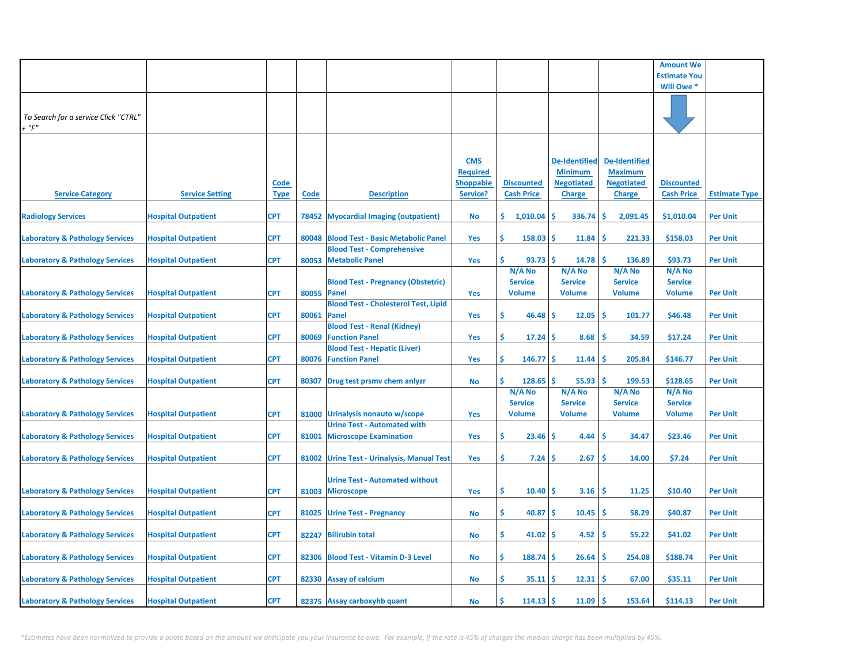|                                            |                            |             |             |                                             |                  |                   |                      |                      | <b>Amount We</b>    |                      |
|--------------------------------------------|----------------------------|-------------|-------------|---------------------------------------------|------------------|-------------------|----------------------|----------------------|---------------------|----------------------|
|                                            |                            |             |             |                                             |                  |                   |                      |                      | <b>Estimate You</b> |                      |
|                                            |                            |             |             |                                             |                  |                   |                      |                      | Will Owe *          |                      |
|                                            |                            |             |             |                                             |                  |                   |                      |                      |                     |                      |
|                                            |                            |             |             |                                             |                  |                   |                      |                      |                     |                      |
| To Search for a service Click "CTRL"       |                            |             |             |                                             |                  |                   |                      |                      |                     |                      |
| $+$ " $F$ "                                |                            |             |             |                                             |                  |                   |                      |                      |                     |                      |
|                                            |                            |             |             |                                             |                  |                   |                      |                      |                     |                      |
|                                            |                            |             |             |                                             |                  |                   |                      |                      |                     |                      |
|                                            |                            |             |             |                                             | <b>CMS</b>       |                   | <b>De-Identified</b> | <b>De-Identified</b> |                     |                      |
|                                            |                            |             |             |                                             | <b>Required</b>  |                   | <b>Minimum</b>       | <b>Maximum</b>       |                     |                      |
|                                            |                            | <b>Code</b> |             |                                             | <b>Shoppable</b> | <b>Discounted</b> | <b>Negotiated</b>    | <b>Negotiated</b>    | <b>Discounted</b>   |                      |
| <b>Service Category</b>                    | <b>Service Setting</b>     | <b>Type</b> | Code        | <b>Description</b>                          | Service?         | <b>Cash Price</b> | <b>Charge</b>        | <b>Charge</b>        | <b>Cash Price</b>   | <b>Estimate Type</b> |
|                                            |                            |             |             |                                             |                  |                   |                      |                      |                     |                      |
| <b>Radiology Services</b>                  | <b>Hospital Outpatient</b> | <b>CPT</b>  |             | 78452 Myocardial Imaging (outpatient)       | No               | \$.<br>1,010.04   | \$<br>336.74         | \$.<br>2,091.45      | \$1,010.04          | <b>Per Unit</b>      |
|                                            |                            |             |             |                                             |                  |                   |                      |                      |                     |                      |
| <b>Laboratory &amp; Pathology Services</b> | <b>Hospital Outpatient</b> | <b>CPT</b>  | 80048       | <b>Blood Test - Basic Metabolic Panel</b>   | Yes              | Ŝ.<br>158.03      | Ś<br>11.84           | Ś<br>221.33          | \$158.03            | Per Unit             |
|                                            |                            |             |             | <b>Blood Test - Comprehensive</b>           |                  |                   |                      |                      |                     |                      |
| <b>Laboratory &amp; Pathology Services</b> | <b>Hospital Outpatient</b> | <b>CPT</b>  |             | 80053 Metabolic Panel                       | Yes              | Ś.<br>93.73       | Ŝ.<br>14.78          | Ś<br>136.89          | \$93.73             | <b>Per Unit</b>      |
|                                            |                            |             |             |                                             |                  | $N/A$ No          | N/A No               | N/A No               | $N/A$ No            |                      |
|                                            |                            |             |             | <b>Blood Test - Pregnancy (Obstetric)</b>   |                  | <b>Service</b>    | <b>Service</b>       | <b>Service</b>       | <b>Service</b>      |                      |
| <b>Laboratory &amp; Pathology Services</b> | <b>Hospital Outpatient</b> | <b>CPT</b>  | 80055 Panel |                                             | Yes              | Volume            | <b>Volume</b>        | <b>Volume</b>        | <b>Volume</b>       | <b>Per Unit</b>      |
|                                            |                            |             |             | <b>Blood Test - Cholesterol Test, Lipid</b> |                  |                   |                      |                      |                     |                      |
| <b>Laboratory &amp; Pathology Services</b> | <b>Hospital Outpatient</b> | <b>CPT</b>  | 80061       | Panel                                       | Yes              | \$<br>46.48       | 12.05<br>S           | \$.<br>101.77        | \$46.48             | <b>Per Unit</b>      |
|                                            |                            |             |             | <b>Blood Test - Renal (Kidney)</b>          |                  |                   |                      |                      |                     |                      |
| <b>Laboratory &amp; Pathology Services</b> | <b>Hospital Outpatient</b> | CPT         | 80069       | <b>Function Panel</b>                       | Yes              | \$<br>17.24       | 8.68<br>s            | .S<br>34.59          | \$17.24             | <b>Per Unit</b>      |
|                                            |                            |             |             | <b>Blood Test - Hepatic (Liver)</b>         |                  |                   |                      |                      |                     |                      |
| <b>Laboratory &amp; Pathology Services</b> | <b>Hospital Outpatient</b> | <b>CPT</b>  | 80076       | <b>Function Panel</b>                       | Yes              | Ŝ.<br>146.77      | \$.<br>11.44         | -S<br>205.84         | \$146.77            | <b>Per Unit</b>      |
|                                            |                            |             |             |                                             |                  |                   |                      |                      |                     |                      |
| <b>Laboratory &amp; Pathology Services</b> | <b>Hospital Outpatient</b> | <b>CPT</b>  | 80307       | Drug test prsmv chem anlyzr                 | No               | Ś.<br>128.65      | 55.93<br>s           | -Ś<br>199.53         | \$128.65            | <b>Per Unit</b>      |
|                                            |                            |             |             |                                             |                  | N/A No            | N/A No               | N/A No               | N/A No              |                      |
|                                            |                            |             |             |                                             |                  | <b>Service</b>    | <b>Service</b>       | <b>Service</b>       | <b>Service</b>      |                      |
| <b>Laboratory &amp; Pathology Services</b> | <b>Hospital Outpatient</b> | <b>CPT</b>  | 81000       | Urinalysis nonauto w/scope                  | Yes              | Volume            | <b>Volume</b>        | <b>Volume</b>        | <b>Volume</b>       | <b>Per Unit</b>      |
|                                            |                            |             |             | <b>Urine Test - Automated with</b>          |                  |                   |                      |                      |                     |                      |
| <b>Laboratory &amp; Pathology Services</b> | <b>Hospital Outpatient</b> | <b>CPT</b>  | 81001       | <b>Microscope Examination</b>               | Yes              | \$.<br>23.46      | 4.44<br>S            | <b>S</b><br>34.47    | \$23.46             | <b>Per Unit</b>      |
|                                            |                            |             |             |                                             |                  |                   |                      |                      |                     |                      |
| <b>Laboratory &amp; Pathology Services</b> | <b>Hospital Outpatient</b> | <b>CPT</b>  |             | 81002 Urine Test - Urinalysis, Manual Test  | Yes              | \$.<br>7.24       | 2.67<br>S            | <b>S</b><br>14.00    | \$7.24              | <b>Per Unit</b>      |
|                                            |                            |             |             |                                             |                  |                   |                      |                      |                     |                      |
|                                            |                            |             |             | <b>Urine Test - Automated without</b>       |                  |                   |                      |                      |                     |                      |
| <b>Laboratory &amp; Pathology Services</b> | <b>Hospital Outpatient</b> | <b>CPT</b>  | 81003       | <b>Microscope</b>                           | Yes              | \$.<br>10.40      | 3.16<br>\$.          | <b>S</b><br>11.25    | \$10.40             | <b>Per Unit</b>      |
|                                            |                            |             |             |                                             |                  |                   |                      |                      |                     |                      |
| <b>Laboratory &amp; Pathology Services</b> | <b>Hospital Outpatient</b> | <b>CPT</b>  | 81025       | <b>Urine Test - Pregnancy</b>               | <b>No</b>        | \$.<br>40.87      | 10.45<br>\$.         | <b>S</b><br>58.29    | \$40.87             | <b>Per Unit</b>      |
|                                            |                            |             |             |                                             |                  |                   |                      |                      |                     |                      |
| <b>Laboratory &amp; Pathology Services</b> | <b>Hospital Outpatient</b> | <b>CPT</b>  | 82247       | <b>Bilirubin total</b>                      | <b>No</b>        | \$.<br>41.02      | 4.52<br>s            | Ŝ<br>55.22           | \$41.02             | <b>Per Unit</b>      |
|                                            |                            |             |             |                                             |                  |                   |                      |                      |                     |                      |
| <b>Laboratory &amp; Pathology Services</b> | <b>Hospital Outpatient</b> | <b>CPT</b>  |             | 82306 Blood Test - Vitamin D-3 Level        | <b>No</b>        | \$<br>188.74      | 26.64<br>s           | .S<br>254.08         | \$188.74            | <b>Per Unit</b>      |
|                                            |                            |             |             |                                             |                  |                   |                      |                      |                     |                      |
| <b>Laboratory &amp; Pathology Services</b> | <b>Hospital Outpatient</b> | <b>CPT</b>  |             | 82330 Assay of calcium                      | <b>No</b>        | \$.<br>35.11      | 12.31<br>s           | .S<br>67.00          | \$35.11             | <b>Per Unit</b>      |
|                                            |                            |             |             |                                             |                  |                   |                      |                      |                     |                      |
| <b>Laboratory &amp; Pathology Services</b> | <b>Hospital Outpatient</b> | <b>CPT</b>  |             | 82375 Assay carboxyhb quant                 | <b>No</b>        | Ŝ.<br>114.13      | \$.<br>11.09         | Ś<br>153.64          | \$114.13            | <b>Per Unit</b>      |
|                                            |                            |             |             |                                             |                  |                   |                      |                      |                     |                      |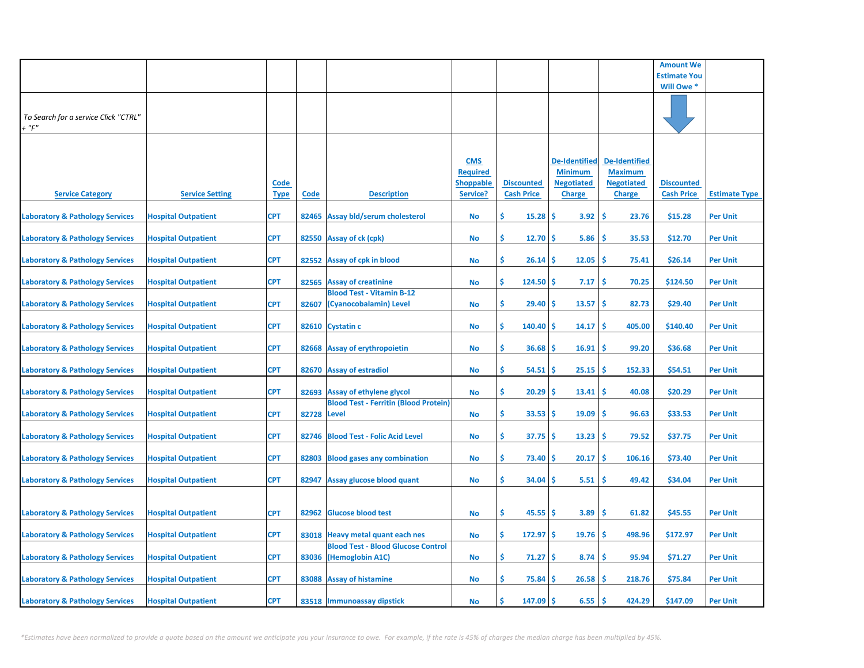|                                               |                            |                            |             |                                                                     |                                                               |                                        |                                                                       |                                                                              | <b>Amount We</b>                       |                      |
|-----------------------------------------------|----------------------------|----------------------------|-------------|---------------------------------------------------------------------|---------------------------------------------------------------|----------------------------------------|-----------------------------------------------------------------------|------------------------------------------------------------------------------|----------------------------------------|----------------------|
|                                               |                            |                            |             |                                                                     |                                                               |                                        |                                                                       |                                                                              | <b>Estimate You</b>                    |                      |
|                                               |                            |                            |             |                                                                     |                                                               |                                        |                                                                       |                                                                              | Will Owe *                             |                      |
| To Search for a service Click "CTRL"<br>+ "F" |                            |                            |             |                                                                     |                                                               |                                        |                                                                       |                                                                              |                                        |                      |
| <b>Service Category</b>                       | <b>Service Setting</b>     | <u>Code</u><br><b>Type</b> | <b>Code</b> | <b>Description</b>                                                  | <b>CMS</b><br><b>Required</b><br><u>Shoppable</u><br>Service? | <b>Discounted</b><br><b>Cash Price</b> | De-Identified<br><b>Minimum</b><br><b>Negotiated</b><br><b>Charge</b> | <b>De-Identified</b><br><b>Maximum</b><br><b>Negotiated</b><br><b>Charge</b> | <b>Discounted</b><br><b>Cash Price</b> | <b>Estimate Type</b> |
| <b>Laboratory &amp; Pathology Services</b>    | <b>Hospital Outpatient</b> | <b>CPT</b>                 |             | 82465 Assay bld/serum cholesterol                                   | No                                                            | \$.<br>15.28                           | \$.<br>3.92                                                           | \$<br>23.76                                                                  | \$15.28                                | <b>Per Unit</b>      |
| <b>Laboratory &amp; Pathology Services</b>    | <b>Hospital Outpatient</b> | <b>CPT</b>                 | 82550       | <b>Assay of ck (cpk)</b>                                            | No                                                            | \$<br>12.70                            | \$.<br>5.86                                                           | \$.<br>35.53                                                                 | \$12.70                                | <b>Per Unit</b>      |
| <b>Laboratory &amp; Pathology Services</b>    | <b>Hospital Outpatient</b> | <b>CPT</b>                 |             | 82552 Assay of cpk in blood                                         | No                                                            | \$<br>26.14                            | 12.05<br>\$.                                                          | \$.<br>75.41                                                                 | \$26.14                                | <b>Per Unit</b>      |
| <b>Laboratory &amp; Pathology Services</b>    | <b>Hospital Outpatient</b> | <b>CPT</b>                 | 82565       | <b>Assay of creatinine</b>                                          | No                                                            | \$<br>124.50                           | s<br>7.17                                                             | <b>S</b><br>70.25                                                            | \$124.50                               | <b>Per Unit</b>      |
| <b>Laboratory &amp; Pathology Services</b>    | <b>Hospital Outpatient</b> | <b>CPT</b>                 | 82607       | <b>Blood Test - Vitamin B-12</b><br>(Cyanocobalamin) Level          | No                                                            | \$<br>29.40                            | 13.57<br>\$.                                                          | -\$<br>82.73                                                                 | \$29.40                                | <b>Per Unit</b>      |
| <b>Laboratory &amp; Pathology Services</b>    | <b>Hospital Outpatient</b> | <b>CPT</b>                 |             | 82610 Cystatin c                                                    | No                                                            | \$<br>140.40                           | 14.17<br>s                                                            | \$.<br>405.00                                                                | \$140.40                               | <b>Per Unit</b>      |
| <b>Laboratory &amp; Pathology Services</b>    | <b>Hospital Outpatient</b> | <b>CPT</b>                 |             | 82668 Assay of erythropoietin                                       | No                                                            | \$<br>36.68                            | 16.91<br>\$.                                                          | <b>S</b><br>99.20                                                            | \$36.68                                | <b>Per Unit</b>      |
| <b>Laboratory &amp; Pathology Services</b>    | <b>Hospital Outpatient</b> | <b>CPT</b>                 |             | 82670 Assay of estradiol                                            | No                                                            | \$<br>54.51                            | \$<br>25.15                                                           | <b>S</b><br>152.33                                                           | \$54.51                                | <b>Per Unit</b>      |
| <b>Laboratory &amp; Pathology Services</b>    | <b>Hospital Outpatient</b> | <b>CPT</b>                 | 82693       | Assay of ethylene glycol                                            | No                                                            | \$<br>20.29                            | 13.41<br>s                                                            | \$<br>40.08                                                                  | \$20.29                                | <b>Per Unit</b>      |
| <b>Laboratory &amp; Pathology Services</b>    | <b>Hospital Outpatient</b> | <b>CPT</b>                 | 82728 Level | <b>Blood Test - Ferritin (Blood Protein)</b>                        | No                                                            | \$<br>33.53                            | \$.<br>19.09                                                          | <b>S</b><br>96.63                                                            | \$33.53                                | <b>Per Unit</b>      |
| <b>Laboratory &amp; Pathology Services</b>    | <b>Hospital Outpatient</b> | <b>CPT</b>                 |             | 82746 Blood Test - Folic Acid Level                                 | No                                                            | \$<br>37.75                            | \$<br>13.23                                                           | -\$<br>79.52                                                                 | \$37.75                                | <b>Per Unit</b>      |
| <b>Laboratory &amp; Pathology Services</b>    | <b>Hospital Outpatient</b> | <b>CPT</b>                 | 82803       | <b>Blood gases any combination</b>                                  | No                                                            | \$<br>73.40                            | \$.<br>20.17                                                          | <b>S</b><br>106.16                                                           | \$73.40                                | <b>Per Unit</b>      |
| <b>Laboratory &amp; Pathology Services</b>    | <b>Hospital Outpatient</b> | <b>CPT</b>                 | 82947       | Assay glucose blood quant                                           | No                                                            | \$<br>34.04                            | 5.51<br>s                                                             | \$<br>49.42                                                                  | \$34.04                                | <b>Per Unit</b>      |
| <b>Laboratory &amp; Pathology Services</b>    | <b>Hospital Outpatient</b> | <b>CPT</b>                 | 82962       | <b>Glucose blood test</b>                                           | No                                                            | \$<br>$45.55$ \$                       | 3.89                                                                  | -\$<br>61.82                                                                 | \$45.55                                | <b>Per Unit</b>      |
| <b>Laboratory &amp; Pathology Services</b>    | <b>Hospital Outpatient</b> | <b>CPT</b>                 |             | 83018 Heavy metal quant each nes                                    | No                                                            | \$<br>$172.97$ \$                      | 19.76                                                                 | -\$<br>498.96                                                                | \$172.97                               | <b>Per Unit</b>      |
| <b>Laboratory &amp; Pathology Services</b>    | <b>Hospital Outpatient</b> | <b>CPT</b>                 |             | <b>Blood Test - Blood Glucose Control</b><br>83036 (Hemoglobin A1C) | No                                                            | \$<br>71.27                            | 8.74<br>-\$                                                           | Ŝ<br>95.94                                                                   | \$71.27                                | <b>Per Unit</b>      |
| <b>Laboratory &amp; Pathology Services</b>    | <b>Hospital Outpatient</b> | <b>CPT</b>                 |             | 83088 Assay of histamine                                            | No                                                            | \$<br>75.84                            | 26.58<br>s                                                            | Ŝ<br>218.76                                                                  | \$75.84                                | <b>Per Unit</b>      |
| <b>Laboratory &amp; Pathology Services</b>    | <b>Hospital Outpatient</b> | <b>CPT</b>                 |             | 83518 Immunoassay dipstick                                          | No                                                            | Ś<br>147.09                            | \$.<br>6.55                                                           | <b>S</b><br>424.29                                                           | \$147.09                               | <b>Per Unit</b>      |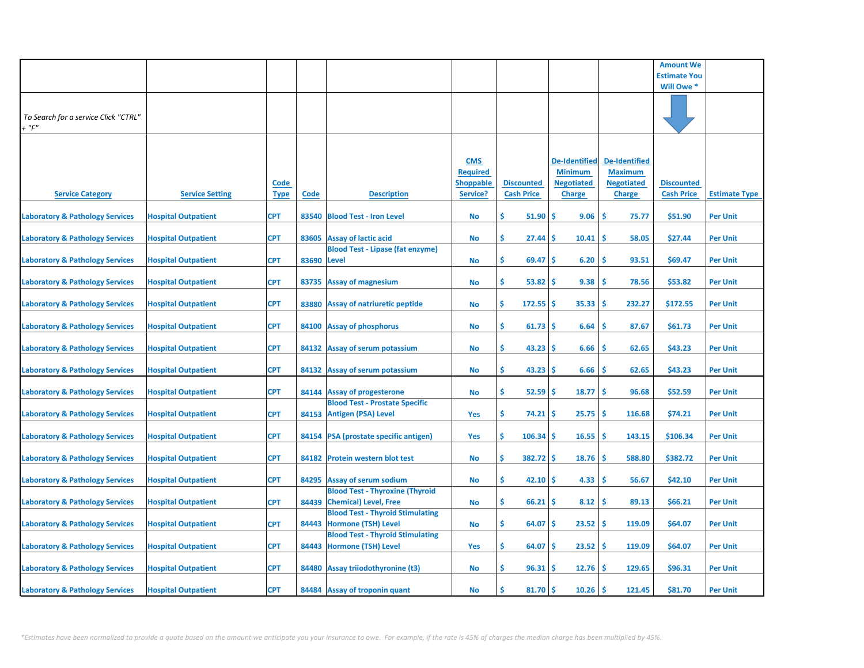|                                                     |                            |                            |             |                                                                         |                                                               |                                        |                                                                       |                                                                              | <b>Amount We</b>                       |                      |
|-----------------------------------------------------|----------------------------|----------------------------|-------------|-------------------------------------------------------------------------|---------------------------------------------------------------|----------------------------------------|-----------------------------------------------------------------------|------------------------------------------------------------------------------|----------------------------------------|----------------------|
|                                                     |                            |                            |             |                                                                         |                                                               |                                        |                                                                       |                                                                              | <b>Estimate You</b>                    |                      |
|                                                     |                            |                            |             |                                                                         |                                                               |                                        |                                                                       |                                                                              | Will Owe *                             |                      |
| To Search for a service Click "CTRL"<br>$+$ " $F$ " |                            |                            |             |                                                                         |                                                               |                                        |                                                                       |                                                                              |                                        |                      |
| <b>Service Category</b>                             | <b>Service Setting</b>     | <b>Code</b><br><u>Type</u> | <b>Code</b> | <b>Description</b>                                                      | <b>CMS</b><br><b>Required</b><br><b>Shoppable</b><br>Service? | <b>Discounted</b><br><b>Cash Price</b> | De-Identified<br><b>Minimum</b><br><b>Negotiated</b><br><b>Charge</b> | <b>De-Identified</b><br><b>Maximum</b><br><b>Negotiated</b><br><b>Charge</b> | <b>Discounted</b><br><b>Cash Price</b> | <b>Estimate Type</b> |
| <b>Laboratory &amp; Pathology Services</b>          | <b>Hospital Outpatient</b> | CPT                        |             | 83540 Blood Test - Iron Level                                           | No                                                            | Ŝ.<br>51.90                            | \$<br>9.06                                                            | \$<br>75.77                                                                  | \$51.90                                | <b>Per Unit</b>      |
| <b>Laboratory &amp; Pathology Services</b>          | <b>Hospital Outpatient</b> | <b>CPT</b>                 |             | 83605 Assay of lactic acid<br><b>Blood Test - Lipase (fat enzyme)</b>   | <b>No</b>                                                     | \$.<br>27.44                           | \$<br>10.41                                                           | \$<br>58.05                                                                  | \$27.44                                | <b>Per Unit</b>      |
| <b>Laboratory &amp; Pathology Services</b>          | <b>Hospital Outpatient</b> | <b>CPT</b>                 | 83690 Level |                                                                         | <b>No</b>                                                     | \$.<br>69.47                           | 6.20<br>\$                                                            | \$<br>93.51                                                                  | \$69.47                                | <b>Per Unit</b>      |
| <b>Laboratory &amp; Pathology Services</b>          | <b>Hospital Outpatient</b> | <b>CPT</b>                 | 83735       | <b>Assay of magnesium</b>                                               | <b>No</b>                                                     | \$.<br>53.82                           | 9.38<br>\$                                                            | \$.<br>78.56                                                                 | \$53.82                                | <b>Per Unit</b>      |
| <b>Laboratory &amp; Pathology Services</b>          | <b>Hospital Outpatient</b> | <b>CPT</b>                 | 83880       | <b>Assay of natriuretic peptide</b>                                     | <b>No</b>                                                     | \$<br>172.55                           | 35.33<br>\$                                                           | 232.27<br>-S                                                                 | \$172.55                               | <b>Per Unit</b>      |
| <b>Laboratory &amp; Pathology Services</b>          | <b>Hospital Outpatient</b> | <b>CPT</b>                 |             | 84100 Assay of phosphorus                                               | <b>No</b>                                                     | \$<br>61.73                            | \$<br>6.64                                                            | \$<br>87.67                                                                  | \$61.73                                | <b>Per Unit</b>      |
| <b>Laboratory &amp; Pathology Services</b>          | <b>Hospital Outpatient</b> | <b>CPT</b>                 |             | 84132 Assay of serum potassium                                          | <b>No</b>                                                     | \$<br>43.23                            | \$<br>6.66                                                            | Ŝ<br>62.65                                                                   | \$43.23                                | <b>Per Unit</b>      |
| <b>Laboratory &amp; Pathology Services</b>          | <b>Hospital Outpatient</b> | <b>CPT</b>                 |             | 84132 Assay of serum potassium                                          | <b>No</b>                                                     | \$<br>43.23                            | \$<br>6.66                                                            | \$<br>62.65                                                                  | \$43.23                                | <b>Per Unit</b>      |
| <b>Laboratory &amp; Pathology Services</b>          | <b>Hospital Outpatient</b> | <b>CPT</b>                 |             | 84144 Assay of progesterone                                             | No                                                            | \$<br>52.59                            | 18.77<br>\$                                                           | \$<br>96.68                                                                  | \$52.59                                | <b>Per Unit</b>      |
| <b>Laboratory &amp; Pathology Services</b>          | <b>Hospital Outpatient</b> | <b>CPT</b>                 |             | <b>Blood Test - Prostate Specific</b><br>84153 Antigen (PSA) Level      | Yes                                                           | \$<br>74.21                            | \$<br>25.75                                                           | \$.<br>116.68                                                                | \$74.21                                | <b>Per Unit</b>      |
| <b>Laboratory &amp; Pathology Services</b>          | <b>Hospital Outpatient</b> | <b>CPT</b>                 |             | 84154   PSA (prostate specific antigen)                                 | Yes                                                           | \$<br>106.34                           | \$<br>16.55                                                           | <b>S</b><br>143.15                                                           | \$106.34                               | <b>Per Unit</b>      |
| <b>Laboratory &amp; Pathology Services</b>          | <b>Hospital Outpatient</b> | <b>CPT</b>                 |             | 84182 Protein western blot test                                         | No                                                            | \$<br>382.72                           | \$<br>18.76                                                           | \$<br>588.80                                                                 | \$382.72                               | <b>Per Unit</b>      |
| <b>Laboratory &amp; Pathology Services</b>          | <b>Hospital Outpatient</b> | <b>CPT</b>                 | 84295       | <b>Assay of serum sodium</b>                                            | <b>No</b>                                                     | \$<br>42.10                            | 4.33<br>\$                                                            | \$<br>56.67                                                                  | \$42.10                                | <b>Per Unit</b>      |
| <b>Laboratory &amp; Pathology Services</b>          | <b>Hospital Outpatient</b> | <b>CPT</b>                 | 84439       | <b>Blood Test - Thyroxine (Thyroid</b><br><b>Chemical</b> ) Level, Free | <b>No</b>                                                     | \$<br>66.21                            | 8.12<br>\$                                                            | \$<br>89.13                                                                  | \$66.21                                | <b>Per Unit</b>      |
| <b>Laboratory &amp; Pathology Services</b>          | <b>Hospital Outpatient</b> | <b>CPT</b>                 | 84443       | <b>Blood Test - Thyroid Stimulating</b><br><b>Hormone (TSH) Level</b>   | <b>No</b>                                                     | \$<br>64.07                            | 23.52<br>\$                                                           | <b>S</b><br>119.09                                                           | \$64.07                                | <b>Per Unit</b>      |
| <b>Laboratory &amp; Pathology Services</b>          | <b>Hospital Outpatient</b> | <b>CPT</b>                 |             | <b>Blood Test - Thyroid Stimulating</b><br>84443 Hormone (TSH) Level    | Yes                                                           | \$<br>64.07                            | 23.52<br>S                                                            | <b>S</b><br>119.09                                                           | \$64.07                                | <b>Per Unit</b>      |
| <b>Laboratory &amp; Pathology Services</b>          | <b>Hospital Outpatient</b> | <b>CPT</b>                 |             | 84480 Assay triiodothyronine (t3)                                       | <b>No</b>                                                     | \$.<br>96.31                           | 12.76<br>\$.                                                          | <b>S</b><br>129.65                                                           | \$96.31                                | <b>Per Unit</b>      |
| <b>Laboratory &amp; Pathology Services</b>          | <b>Hospital Outpatient</b> | <b>CPT</b>                 |             | 84484 Assay of troponin quant                                           | <b>No</b>                                                     | \$<br>81.70                            | 10.26<br>\$.                                                          | -\$<br>121.45                                                                | \$81.70                                | <b>Per Unit</b>      |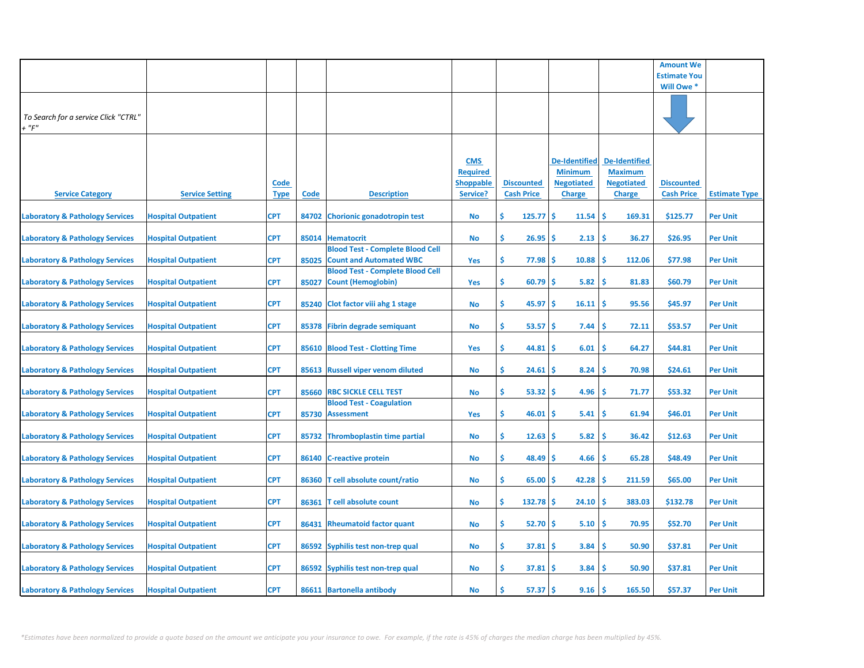|                                                     |                            |                            |             |                                                                           |                                                               |                                        |                                                                              |                                                                              | <b>Amount We</b>                       |                      |
|-----------------------------------------------------|----------------------------|----------------------------|-------------|---------------------------------------------------------------------------|---------------------------------------------------------------|----------------------------------------|------------------------------------------------------------------------------|------------------------------------------------------------------------------|----------------------------------------|----------------------|
|                                                     |                            |                            |             |                                                                           |                                                               |                                        |                                                                              |                                                                              | <b>Estimate You</b>                    |                      |
|                                                     |                            |                            |             |                                                                           |                                                               |                                        |                                                                              |                                                                              | Will Owe *                             |                      |
| To Search for a service Click "CTRL"<br>$+$ " $F$ " |                            |                            |             |                                                                           |                                                               |                                        |                                                                              |                                                                              |                                        |                      |
| <b>Service Category</b>                             | <b>Service Setting</b>     | <u>Code</u><br><b>Type</b> | <b>Code</b> | <b>Description</b>                                                        | <b>CMS</b><br><b>Required</b><br><b>Shoppable</b><br>Service? | <b>Discounted</b><br><b>Cash Price</b> | <b>De-Identified</b><br><b>Minimum</b><br><b>Negotiated</b><br><b>Charge</b> | <b>De-Identified</b><br><b>Maximum</b><br><b>Negotiated</b><br><b>Charge</b> | <b>Discounted</b><br><b>Cash Price</b> | <b>Estimate Type</b> |
| <b>Laboratory &amp; Pathology Services</b>          | <b>Hospital Outpatient</b> | CPT                        | 84702       | <b>Chorionic gonadotropin test</b>                                        | No                                                            | Ŝ.<br>125.77                           | \$<br>11.54                                                                  | \$<br>169.31                                                                 | \$125.77                               | <b>Per Unit</b>      |
| <b>Laboratory &amp; Pathology Services</b>          | <b>Hospital Outpatient</b> | <b>CPT</b>                 |             | 85014 Hematocrit                                                          | No                                                            | \$.<br>26.95                           | 2.13<br>\$.                                                                  | -\$<br>36.27                                                                 | \$26.95                                | <b>Per Unit</b>      |
| <b>Laboratory &amp; Pathology Services</b>          | <b>Hospital Outpatient</b> | <b>CPT</b>                 | 85025       | <b>Blood Test - Complete Blood Cell</b><br><b>Count and Automated WBC</b> | Yes                                                           | \$.<br>77.98                           | \$<br>10.88                                                                  | <b>S</b><br>112.06                                                           | \$77.98                                | <b>Per Unit</b>      |
| <b>Laboratory &amp; Pathology Services</b>          | <b>Hospital Outpatient</b> | <b>CPT</b>                 | 85027       | <b>Blood Test - Complete Blood Cell</b><br><b>Count (Hemoglobin)</b>      | Yes                                                           | \$.<br>60.79                           | \$.<br>5.82                                                                  | <b>S</b><br>81.83                                                            | \$60.79                                | <b>Per Unit</b>      |
| <b>Laboratory &amp; Pathology Services</b>          | <b>Hospital Outpatient</b> | <b>CPT</b>                 | 85240       | Clot factor viii ahg 1 stage                                              | <b>No</b>                                                     | \$.<br>45.97                           | \$.<br>16.11                                                                 | <b>S</b><br>95.56                                                            | \$45.97                                | <b>Per Unit</b>      |
| <b>Laboratory &amp; Pathology Services</b>          | <b>Hospital Outpatient</b> | <b>CPT</b>                 |             | 85378 Fibrin degrade semiquant                                            | No                                                            | \$.<br>53.57                           | \$<br>7.44                                                                   | <b>S</b><br>72.11                                                            | \$53.57                                | <b>Per Unit</b>      |
| <b>Laboratory &amp; Pathology Services</b>          | <b>Hospital Outpatient</b> | <b>CPT</b>                 |             | 85610 Blood Test - Clotting Time                                          | Yes                                                           | \$<br>44.81                            | 6.01<br>S                                                                    | Ŝ<br>64.27                                                                   | \$44.81                                | <b>Per Unit</b>      |
| <b>Laboratory &amp; Pathology Services</b>          | <b>Hospital Outpatient</b> | <b>CPT</b>                 |             | 85613 Russell viper venom diluted                                         | No                                                            | \$<br>24.61                            | \$<br>8.24                                                                   | \$<br>70.98                                                                  | \$24.61                                | <b>Per Unit</b>      |
| <b>Laboratory &amp; Pathology Services</b>          | <b>Hospital Outpatient</b> | <b>CPT</b>                 | 85660       | <b>RBC SICKLE CELL TEST</b>                                               | <b>No</b>                                                     | \$<br>53.32                            | 4.96<br>\$.                                                                  | <b>S</b><br>71.77                                                            | \$53.32                                | <b>Per Unit</b>      |
| <b>Laboratory &amp; Pathology Services</b>          | <b>Hospital Outpatient</b> | <b>CPT</b>                 |             | <b>Blood Test - Coagulation</b><br>85730 Assessment                       | Yes                                                           | \$<br>46.01                            | 5.41<br>S                                                                    | \$<br>61.94                                                                  | \$46.01                                | <b>Per Unit</b>      |
| <b>Laboratory &amp; Pathology Services</b>          | <b>Hospital Outpatient</b> | <b>CPT</b>                 |             | 85732 Thromboplastin time partial                                         | No                                                            | Ŝ.<br>12.63                            | 5.82<br>s                                                                    | <b>S</b><br>36.42                                                            | \$12.63                                | <b>Per Unit</b>      |
| <b>Laboratory &amp; Pathology Services</b>          | <b>Hospital Outpatient</b> | <b>CPT</b>                 |             | 86140 C-reactive protein                                                  | No                                                            | \$<br>48.49                            | 4.66<br>s                                                                    | <b>S</b><br>65.28                                                            | \$48.49                                | <b>Per Unit</b>      |
| <b>Laboratory &amp; Pathology Services</b>          | <b>Hospital Outpatient</b> | <b>CPT</b>                 |             | 86360 T cell absolute count/ratio                                         | <b>No</b>                                                     | Ŝ.<br>65.00                            | \$.<br>42.28                                                                 | Ŝ<br>211.59                                                                  | \$65.00                                | <b>Per Unit</b>      |
| <b>Laboratory &amp; Pathology Services</b>          | <b>Hospital Outpatient</b> | <b>CPT</b>                 | 86361       | T cell absolute count                                                     | <b>No</b>                                                     | \$<br>132.78                           | \$<br>24.10                                                                  | -S<br>383.03                                                                 | \$132.78                               | <b>Per Unit</b>      |
| <b>Laboratory &amp; Pathology Services</b>          | <b>Hospital Outpatient</b> | <b>CPT</b>                 |             | 86431 Rheumatoid factor quant                                             | <b>No</b>                                                     | \$<br>52.70                            | \$.<br>5.10                                                                  | <b>S</b><br>70.95                                                            | \$52.70                                | <b>Per Unit</b>      |
| <b>Laboratory &amp; Pathology Services</b>          | <b>Hospital Outpatient</b> | <b>CPT</b>                 |             | 86592 Syphilis test non-trep qual                                         | <b>No</b>                                                     | \$<br>37.81                            | 3.84<br>S                                                                    | Ŝ<br>50.90                                                                   | \$37.81                                | <b>Per Unit</b>      |
| <b>Laboratory &amp; Pathology Services</b>          | <b>Hospital Outpatient</b> | <b>CPT</b>                 |             | 86592 Syphilis test non-trep qual                                         | <b>No</b>                                                     | \$<br>37.81                            | 3.84<br>S                                                                    | Ś<br>50.90                                                                   | \$37.81                                | <b>Per Unit</b>      |
| <b>Laboratory &amp; Pathology Services</b>          | <b>Hospital Outpatient</b> | <b>CPT</b>                 |             | 86611 Bartonella antibody                                                 | <b>No</b>                                                     | Ś<br>57.37                             | 9.16<br>\$.                                                                  | \$.<br>165.50                                                                | \$57.37                                | <b>Per Unit</b>      |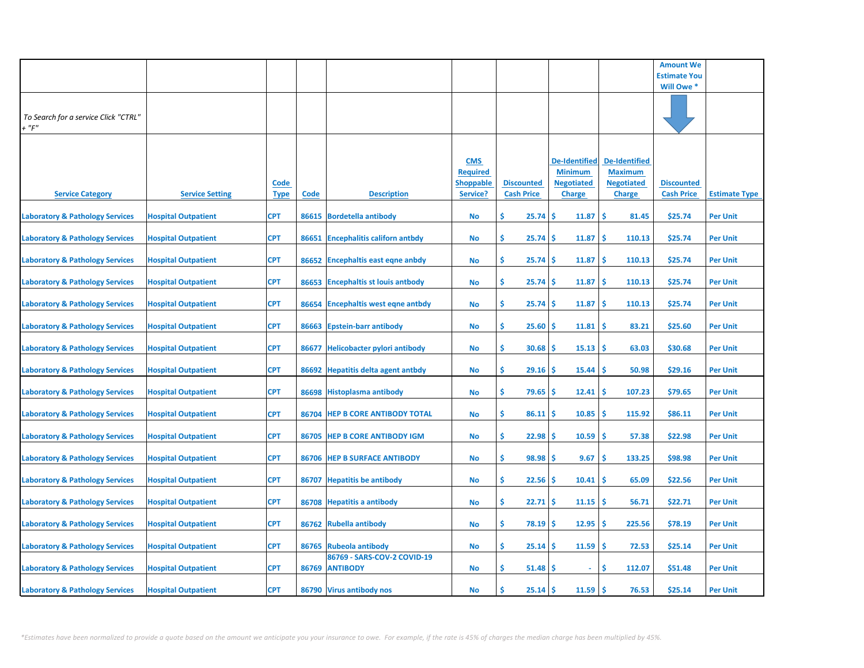|                                                     |                            |                            |             |                                               |                                                               |                                        |                                                                              |                                                                              | <b>Amount We</b>                       |                      |
|-----------------------------------------------------|----------------------------|----------------------------|-------------|-----------------------------------------------|---------------------------------------------------------------|----------------------------------------|------------------------------------------------------------------------------|------------------------------------------------------------------------------|----------------------------------------|----------------------|
|                                                     |                            |                            |             |                                               |                                                               |                                        |                                                                              |                                                                              | <b>Estimate You</b>                    |                      |
|                                                     |                            |                            |             |                                               |                                                               |                                        |                                                                              |                                                                              | Will Owe *                             |                      |
| To Search for a service Click "CTRL"<br>$+$ " $F$ " |                            |                            |             |                                               |                                                               |                                        |                                                                              |                                                                              |                                        |                      |
| <b>Service Category</b>                             | <b>Service Setting</b>     | <b>Code</b><br><u>Type</u> | <b>Code</b> | <b>Description</b>                            | <b>CMS</b><br><b>Required</b><br><b>Shoppable</b><br>Service? | <b>Discounted</b><br><b>Cash Price</b> | <b>De-Identified</b><br><b>Minimum</b><br><b>Negotiated</b><br><b>Charge</b> | <b>De-Identified</b><br><b>Maximum</b><br><b>Negotiated</b><br><b>Charge</b> | <b>Discounted</b><br><b>Cash Price</b> | <b>Estimate Type</b> |
| <b>Laboratory &amp; Pathology Services</b>          | <b>Hospital Outpatient</b> | CPT                        |             | 86615 Bordetella antibody                     | No                                                            | \$.<br>25.74                           | \$<br>11.87                                                                  | \$<br>81.45                                                                  | \$25.74                                | <b>Per Unit</b>      |
| <b>Laboratory &amp; Pathology Services</b>          | <b>Hospital Outpatient</b> | <b>CPT</b>                 | 86651       | <b>Encephalitis californ antbdy</b>           | <b>No</b>                                                     | \$<br>25.74                            | 11.87<br>\$                                                                  | \$<br>110.13                                                                 | \$25.74                                | <b>Per Unit</b>      |
| <b>Laboratory &amp; Pathology Services</b>          | <b>Hospital Outpatient</b> | <b>CPT</b>                 | 86652       | <b>Encephaltis east eqne anbdy</b>            | <b>No</b>                                                     | \$<br>25.74                            | 11.87<br>\$                                                                  | \$<br>110.13                                                                 | \$25.74                                | <b>Per Unit</b>      |
| <b>Laboratory &amp; Pathology Services</b>          | <b>Hospital Outpatient</b> | <b>CPT</b>                 |             | 86653 Encephaltis st louis antbody            | <b>No</b>                                                     | \$.<br>25.74                           | 11.87<br>\$                                                                  | \$.<br>110.13                                                                | \$25.74                                | <b>Per Unit</b>      |
| <b>Laboratory &amp; Pathology Services</b>          | <b>Hospital Outpatient</b> | <b>CPT</b>                 | 86654       | <b>Encephaltis west eqne antbdy</b>           | <b>No</b>                                                     | \$.<br>25.74                           | 11.87<br>\$                                                                  | \$.<br>110.13                                                                | \$25.74                                | <b>Per Unit</b>      |
| <b>Laboratory &amp; Pathology Services</b>          | <b>Hospital Outpatient</b> | <b>CPT</b>                 |             | 86663 Epstein-barr antibody                   | <b>No</b>                                                     | \$<br>25.60                            | 11.81<br>\$.                                                                 | \$<br>83.21                                                                  | \$25.60                                | <b>Per Unit</b>      |
| <b>Laboratory &amp; Pathology Services</b>          | <b>Hospital Outpatient</b> | <b>CPT</b>                 | 86677       | <b>Helicobacter pylori antibody</b>           | <b>No</b>                                                     | \$<br>30.68                            | 15.13<br>\$                                                                  | \$.<br>63.03                                                                 | \$30.68                                | <b>Per Unit</b>      |
| <b>Laboratory &amp; Pathology Services</b>          | <b>Hospital Outpatient</b> | <b>CPT</b>                 |             | 86692 Hepatitis delta agent antbdy            | <b>No</b>                                                     | \$<br>29.16                            | \$<br>15.44                                                                  | -\$<br>50.98                                                                 | \$29.16                                | <b>Per Unit</b>      |
| <b>Laboratory &amp; Pathology Services</b>          | <b>Hospital Outpatient</b> | <b>CPT</b>                 |             | 86698 Histoplasma antibody                    | <b>No</b>                                                     | \$<br>79.65                            | \$<br>12.41                                                                  | \$<br>107.23                                                                 | \$79.65                                | <b>Per Unit</b>      |
| <b>Laboratory &amp; Pathology Services</b>          | <b>Hospital Outpatient</b> | <b>CPT</b>                 |             | 86704 HEP B CORE ANTIBODY TOTAL               | <b>No</b>                                                     | \$<br>86.11                            | 10.85<br>\$                                                                  | \$<br>115.92                                                                 | \$86.11                                | <b>Per Unit</b>      |
| <b>Laboratory &amp; Pathology Services</b>          | <b>Hospital Outpatient</b> | <b>CPT</b>                 | 86705       | <b>HEP B CORE ANTIBODY IGM</b>                | <b>No</b>                                                     | \$<br>22.98                            | \$<br>10.59                                                                  | \$<br>57.38                                                                  | \$22.98                                | <b>Per Unit</b>      |
| <b>Laboratory &amp; Pathology Services</b>          | <b>Hospital Outpatient</b> | <b>CPT</b>                 | 86706       | <b>HEP B SURFACE ANTIBODY</b>                 | No                                                            | \$<br>98.98                            | \$<br>9.67                                                                   | \$<br>133.25                                                                 | \$98.98                                | <b>Per Unit</b>      |
| <b>Laboratory &amp; Pathology Services</b>          | <b>Hospital Outpatient</b> | <b>CPT</b>                 | 86707       | <b>Hepatitis be antibody</b>                  | <b>No</b>                                                     | \$<br>22.56                            | 10.41<br>\$                                                                  | \$<br>65.09                                                                  | \$22.56                                | <b>Per Unit</b>      |
| <b>Laboratory &amp; Pathology Services</b>          | <b>Hospital Outpatient</b> | <b>CPT</b>                 |             | 86708 Hepatitis a antibody                    | <b>No</b>                                                     | \$<br>22.71                            | \$<br>11.15                                                                  | -\$<br>56.71                                                                 | \$22.71                                | <b>Per Unit</b>      |
| <b>Laboratory &amp; Pathology Services</b>          | <b>Hospital Outpatient</b> | <b>CPT</b>                 |             | 86762 Rubella antibody                        | <b>No</b>                                                     | \$<br>78.19                            | 12.95<br>\$                                                                  | 225.56<br><b>S</b>                                                           | \$78.19                                | <b>Per Unit</b>      |
| <b>Laboratory &amp; Pathology Services</b>          | <b>Hospital Outpatient</b> | <b>CPT</b>                 | 86765       | <b>Rubeola antibody</b>                       | No                                                            | \$<br>25.14                            | 11.59<br>S                                                                   | \$<br>72.53                                                                  | \$25.14                                | <b>Per Unit</b>      |
| <b>Laboratory &amp; Pathology Services</b>          | <b>Hospital Outpatient</b> | <b>CPT</b>                 |             | 86769 - SARS-COV-2 COVID-19<br>86769 ANTIBODY | <b>No</b>                                                     | \$.<br>51.48                           | \$.                                                                          | Ŝ<br>112.07                                                                  | \$51.48                                | <b>Per Unit</b>      |
| <b>Laboratory &amp; Pathology Services</b>          | <b>Hospital Outpatient</b> | <b>CPT</b>                 |             | 86790 Virus antibody nos                      | <b>No</b>                                                     | \$<br>25.14                            | 11.59<br>\$                                                                  | -\$<br>76.53                                                                 | \$25.14                                | <b>Per Unit</b>      |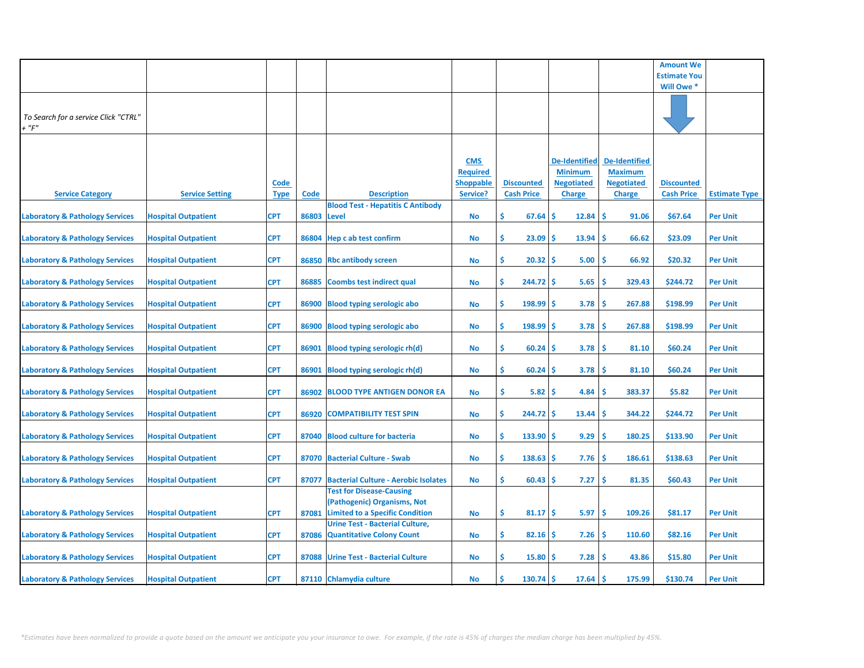|                                            |                            |             |       |                                             |                  |                   |                   |                      | <b>Amount We</b>    |                      |
|--------------------------------------------|----------------------------|-------------|-------|---------------------------------------------|------------------|-------------------|-------------------|----------------------|---------------------|----------------------|
|                                            |                            |             |       |                                             |                  |                   |                   |                      |                     |                      |
|                                            |                            |             |       |                                             |                  |                   |                   |                      | <b>Estimate You</b> |                      |
|                                            |                            |             |       |                                             |                  |                   |                   |                      | Will Owe *          |                      |
|                                            |                            |             |       |                                             |                  |                   |                   |                      |                     |                      |
|                                            |                            |             |       |                                             |                  |                   |                   |                      |                     |                      |
| To Search for a service Click "CTRL"       |                            |             |       |                                             |                  |                   |                   |                      |                     |                      |
| $+$ " $F$ "                                |                            |             |       |                                             |                  |                   |                   |                      |                     |                      |
|                                            |                            |             |       |                                             |                  |                   |                   |                      |                     |                      |
|                                            |                            |             |       |                                             |                  |                   |                   |                      |                     |                      |
|                                            |                            |             |       |                                             |                  |                   |                   |                      |                     |                      |
|                                            |                            |             |       |                                             | <b>CMS</b>       |                   | De-Identified     | <b>De-Identified</b> |                     |                      |
|                                            |                            |             |       |                                             | <b>Required</b>  |                   | <b>Minimum</b>    | <b>Maximum</b>       |                     |                      |
|                                            |                            | <u>Code</u> |       |                                             | <b>Shoppable</b> | <b>Discounted</b> | <b>Negotiated</b> | <b>Negotiated</b>    | <b>Discounted</b>   |                      |
| <b>Service Category</b>                    | <b>Service Setting</b>     | <b>Type</b> | Code  | <b>Description</b>                          | Service?         | <b>Cash Price</b> | <b>Charge</b>     | <b>Charge</b>        | <b>Cash Price</b>   | <b>Estimate Type</b> |
|                                            |                            |             |       | <b>Blood Test - Hepatitis C Antibody</b>    |                  |                   |                   |                      |                     |                      |
|                                            |                            |             | 86803 |                                             |                  | \$<br>67.64       | 12.84<br>\$       | <b>S</b><br>91.06    | \$67.64             | Per Unit             |
| <b>Laboratory &amp; Pathology Services</b> | <b>Hospital Outpatient</b> | <b>CPT</b>  |       | Level                                       | No               |                   |                   |                      |                     |                      |
|                                            |                            |             |       |                                             |                  |                   |                   |                      |                     |                      |
| <b>Laboratory &amp; Pathology Services</b> | <b>Hospital Outpatient</b> | <b>CPT</b>  | 86804 | Hep c ab test confirm                       | No               | \$<br>23.09       | 13.94<br>\$.      | \$<br>66.62          | \$23.09             | <b>Per Unit</b>      |
|                                            |                            |             |       |                                             |                  |                   |                   |                      |                     |                      |
| <b>Laboratory &amp; Pathology Services</b> | <b>Hospital Outpatient</b> | <b>CPT</b>  |       | 86850 Rbc antibody screen                   | No               | \$<br>20.32       | \$<br>5.00        | Ŝ<br>66.92           | \$20.32             | <b>Per Unit</b>      |
|                                            |                            |             |       |                                             |                  |                   |                   |                      |                     |                      |
|                                            |                            | <b>CPT</b>  |       |                                             | No               | \$                | \$                | Ŝ<br>329.43          |                     |                      |
| <b>Laboratory &amp; Pathology Services</b> | <b>Hospital Outpatient</b> |             | 86885 | <b>Coombs test indirect qual</b>            |                  | 244.72            | 5.65              |                      | \$244.72            | <b>Per Unit</b>      |
|                                            |                            |             |       |                                             |                  |                   |                   |                      |                     |                      |
| <b>Laboratory &amp; Pathology Services</b> | <b>Hospital Outpatient</b> | <b>CPT</b>  | 86900 | <b>Blood typing serologic abo</b>           | No               | \$<br>198.99      | \$<br>3.78        | \$<br>267.88         | \$198.99            | <b>Per Unit</b>      |
|                                            |                            |             |       |                                             |                  |                   |                   |                      |                     |                      |
| <b>Laboratory &amp; Pathology Services</b> | <b>Hospital Outpatient</b> | <b>CPT</b>  | 86900 | <b>Blood typing serologic abo</b>           | No               | Ŝ.<br>198.99      | \$<br>3.78        | \$<br>267.88         | \$198.99            | <b>Per Unit</b>      |
|                                            |                            |             |       |                                             |                  |                   |                   |                      |                     |                      |
|                                            |                            |             | 86901 |                                             |                  | \$<br>60.24       | \$<br>3.78        | <b>S</b><br>81.10    | \$60.24             | <b>Per Unit</b>      |
| <b>Laboratory &amp; Pathology Services</b> | <b>Hospital Outpatient</b> | <b>CPT</b>  |       | <b>Blood typing serologic rh(d)</b>         | <b>No</b>        |                   |                   |                      |                     |                      |
|                                            |                            |             |       |                                             |                  |                   |                   |                      |                     |                      |
| <b>Laboratory &amp; Pathology Services</b> | <b>Hospital Outpatient</b> | <b>CPT</b>  | 86901 | <b>Blood typing serologic rh(d)</b>         | No               | \$<br>60.24       | 3.78<br>\$        | Ś<br>81.10           | \$60.24             | <b>Per Unit</b>      |
|                                            |                            |             |       |                                             |                  |                   |                   |                      |                     |                      |
| <b>Laboratory &amp; Pathology Services</b> | <b>Hospital Outpatient</b> | <b>CPT</b>  | 86902 | <b>BLOOD TYPE ANTIGEN DONOR EA</b>          | No               | \$.<br>5.82       | \$<br>4.84        | Ŝ<br>383.37          | \$5.82              | <b>Per Unit</b>      |
|                                            |                            |             |       |                                             |                  |                   |                   |                      |                     |                      |
|                                            |                            | <b>CPT</b>  | 86920 | <b>COMPATIBILITY TEST SPIN</b>              |                  | Ŝ.<br>244.72      | \$.<br>13.44      | <b>S</b><br>344.22   | \$244.72            | <b>Per Unit</b>      |
| <b>Laboratory &amp; Pathology Services</b> | <b>Hospital Outpatient</b> |             |       |                                             | No               |                   |                   |                      |                     |                      |
|                                            |                            |             |       |                                             |                  |                   |                   |                      |                     |                      |
| <b>Laboratory &amp; Pathology Services</b> | <b>Hospital Outpatient</b> | <b>CPT</b>  | 87040 | <b>Blood culture for bacteria</b>           | <b>No</b>        | \$<br>133.90      | \$<br>9.29        | <b>S</b><br>180.25   | \$133.90            | <b>Per Unit</b>      |
|                                            |                            |             |       |                                             |                  |                   |                   |                      |                     |                      |
| <b>Laboratory &amp; Pathology Services</b> | <b>Hospital Outpatient</b> | <b>CPT</b>  |       | 87070 Bacterial Culture - Swab              | <b>No</b>        | \$<br>138.63      | \$.<br>7.76       | Ŝ<br>186.61          | \$138.63            | <b>Per Unit</b>      |
|                                            |                            |             |       |                                             |                  |                   |                   |                      |                     |                      |
|                                            |                            | <b>CPT</b>  | 87077 | <b>Bacterial Culture - Aerobic Isolates</b> | No               | \$<br>60.43       | 7.27<br>Ś         | \$<br>81.35          | \$60.43             | <b>Per Unit</b>      |
| <b>Laboratory &amp; Pathology Services</b> | <b>Hospital Outpatient</b> |             |       |                                             |                  |                   |                   |                      |                     |                      |
|                                            |                            |             |       | <b>Test for Disease-Causing</b>             |                  |                   |                   |                      |                     |                      |
|                                            |                            |             |       | (Pathogenic) Organisms, Not                 |                  |                   |                   |                      |                     |                      |
| <b>Laboratory &amp; Pathology Services</b> | <b>Hospital Outpatient</b> | <b>CPT</b>  | 87081 | <b>Limited to a Specific Condition</b>      | No               | \$<br>$81.17$ \$  | 5.97              | \$<br>109.26         | \$81.17             | <b>Per Unit</b>      |
|                                            |                            |             |       | <b>Urine Test - Bacterial Culture,</b>      |                  |                   |                   |                      |                     |                      |
| <b>Laboratory &amp; Pathology Services</b> | <b>Hospital Outpatient</b> | <b>CPT</b>  | 87086 | <b>Quantitative Colony Count</b>            | No               | \$<br>82.16       | \$.<br>7.26       | <b>S</b><br>110.60   | \$82.16             | <b>Per Unit</b>      |
|                                            |                            |             |       |                                             |                  |                   |                   |                      |                     |                      |
|                                            |                            |             |       |                                             |                  |                   |                   |                      |                     |                      |
| <b>Laboratory &amp; Pathology Services</b> | <b>Hospital Outpatient</b> | <b>CPT</b>  | 87088 | <b>Urine Test - Bacterial Culture</b>       | No               | \$<br>15.80       | 7.28<br>S         | 43.86<br>.S          | \$15.80             | <b>Per Unit</b>      |
|                                            |                            |             |       |                                             |                  |                   |                   |                      |                     |                      |
| <b>Laboratory &amp; Pathology Services</b> | <b>Hospital Outpatient</b> | <b>CPT</b>  |       | 87110 Chlamydia culture                     | No               | Ŝ<br>130.74       | \$.<br>17.64      | \$.<br>175.99        | \$130.74            | <b>Per Unit</b>      |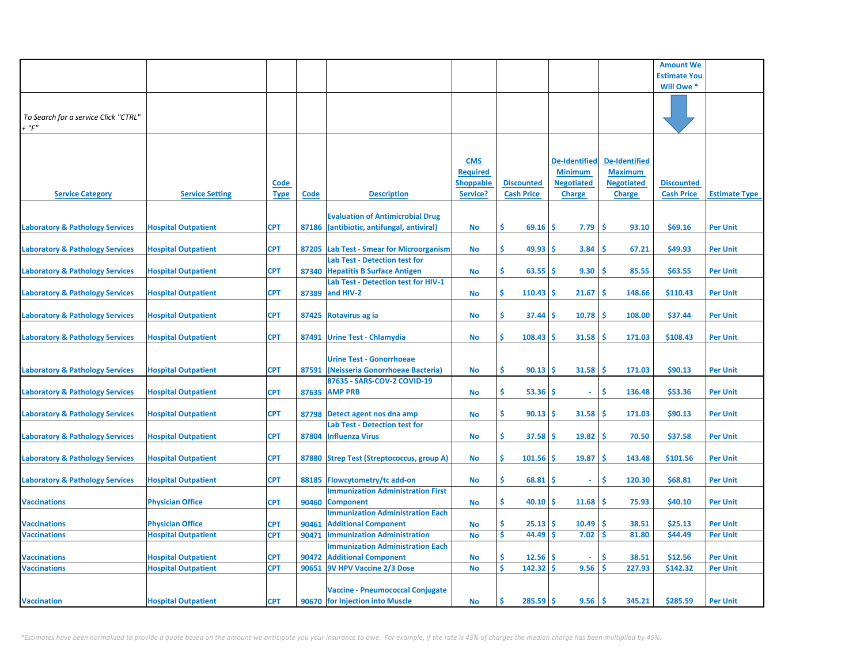|                                            |                            |             |             |                                           |                  |                          |                      |                      | <b>Amount We</b>    |                      |
|--------------------------------------------|----------------------------|-------------|-------------|-------------------------------------------|------------------|--------------------------|----------------------|----------------------|---------------------|----------------------|
|                                            |                            |             |             |                                           |                  |                          |                      |                      | <b>Estimate You</b> |                      |
|                                            |                            |             |             |                                           |                  |                          |                      |                      | Will Owe *          |                      |
|                                            |                            |             |             |                                           |                  |                          |                      |                      |                     |                      |
|                                            |                            |             |             |                                           |                  |                          |                      |                      |                     |                      |
| To Search for a service Click "CTRL"       |                            |             |             |                                           |                  |                          |                      |                      |                     |                      |
| $+$ " $F$ "                                |                            |             |             |                                           |                  |                          |                      |                      |                     |                      |
|                                            |                            |             |             |                                           |                  |                          |                      |                      |                     |                      |
|                                            |                            |             |             |                                           |                  |                          |                      |                      |                     |                      |
|                                            |                            |             |             |                                           | <b>CMS</b>       |                          | <b>De-Identified</b> | <b>De-Identified</b> |                     |                      |
|                                            |                            |             |             |                                           | <b>Required</b>  |                          | <b>Minimum</b>       | <b>Maximum</b>       |                     |                      |
|                                            |                            | <b>Code</b> |             |                                           | <b>Shoppable</b> | <b>Discounted</b>        | <b>Negotiated</b>    | <b>Negotiated</b>    | <b>Discounted</b>   |                      |
| <b>Service Category</b>                    | <b>Service Setting</b>     | <b>Type</b> | <b>Code</b> | <b>Description</b>                        | Service?         | <b>Cash Price</b>        | <b>Charge</b>        | <b>Charge</b>        | <b>Cash Price</b>   | <b>Estimate Type</b> |
|                                            |                            |             |             |                                           |                  |                          |                      |                      |                     |                      |
|                                            |                            |             |             | <b>Evaluation of Antimicrobial Drug</b>   |                  |                          |                      |                      |                     |                      |
| <b>Laboratory &amp; Pathology Services</b> | <b>Hospital Outpatient</b> | <b>CPT</b>  | 87186       | (antibiotic, antifungal, antiviral)       | No               | Ŝ.<br>69.16              | \$<br>7.79           | <b>S</b><br>93.10    | \$69.16             | <b>Per Unit</b>      |
|                                            |                            |             |             |                                           |                  |                          |                      |                      |                     |                      |
| <b>Laboratory &amp; Pathology Services</b> | <b>Hospital Outpatient</b> | <b>CPT</b>  | 87205       | <b>Lab Test - Smear for Microorganism</b> | No               | \$.<br>49.93             | \$.<br>3.84          | <b>S</b><br>67.21    | \$49.93             | <b>Per Unit</b>      |
|                                            |                            |             |             | <b>Lab Test - Detection test for</b>      |                  |                          |                      |                      |                     |                      |
| <b>Laboratory &amp; Pathology Services</b> | <b>Hospital Outpatient</b> | <b>CPT</b>  | 87340       | <b>Hepatitis B Surface Antigen</b>        | No               | Ŝ.<br>63.55              | \$<br>9.30           | \$.<br>85.55         | \$63.55             | <b>Per Unit</b>      |
|                                            |                            |             |             | Lab Test - Detection test for HIV-1       |                  |                          |                      |                      |                     |                      |
| <b>Laboratory &amp; Pathology Services</b> | <b>Hospital Outpatient</b> | <b>CPT</b>  | 87389       | and HIV-2                                 | No               | \$<br>110.43             | \$<br>21.67          | Ŝ<br>148.66          | \$110.43            | <b>Per Unit</b>      |
|                                            |                            |             |             |                                           |                  |                          |                      |                      |                     |                      |
| <b>Laboratory &amp; Pathology Services</b> | <b>Hospital Outpatient</b> | <b>CPT</b>  | 87425       | Rotavirus ag ia                           | No               | Ŝ.<br>37.44              | \$<br>10.78          | \$.<br>108.00        | \$37.44             | <b>Per Unit</b>      |
|                                            |                            |             |             |                                           |                  |                          |                      |                      |                     |                      |
| <b>Laboratory &amp; Pathology Services</b> | <b>Hospital Outpatient</b> | <b>CPT</b>  | 87491       | <b>Urine Test - Chlamydia</b>             | No               | \$<br>108.43             | 31.58<br>\$.         | \$.<br>171.03        | \$108.43            | <b>Per Unit</b>      |
|                                            |                            |             |             |                                           |                  |                          |                      |                      |                     |                      |
|                                            |                            |             |             | <b>Urine Test - Gonorrhoeae</b>           |                  |                          |                      |                      |                     |                      |
|                                            |                            | <b>CPT</b>  | 87591       | (Neisseria Gonorrhoeae Bacteria)          | No               | \$<br>90.13              | \$<br>31.58          | \$.<br>171.03        | \$90.13             | <b>Per Unit</b>      |
| <b>Laboratory &amp; Pathology Services</b> | <b>Hospital Outpatient</b> |             |             | 87635 - SARS-COV-2 COVID-19               |                  |                          |                      |                      |                     |                      |
|                                            |                            |             |             | 87635 AMP PRB                             |                  | \$<br>53.36              | \$<br>$\omega$       | \$<br>136.48         | \$53.36             |                      |
| <b>Laboratory &amp; Pathology Services</b> | <b>Hospital Outpatient</b> | <b>CPT</b>  |             |                                           | No               |                          |                      |                      |                     | <b>Per Unit</b>      |
|                                            |                            | <b>CPT</b>  |             |                                           |                  | \$<br>90.13              | \$<br>31.58          | Ŝ<br>171.03          | \$90.13             | <b>Per Unit</b>      |
| <b>Laboratory &amp; Pathology Services</b> | <b>Hospital Outpatient</b> |             |             | 87798 Detect agent nos dna amp            | No               |                          |                      |                      |                     |                      |
|                                            |                            |             |             | <b>Lab Test - Detection test for</b>      |                  | Ŝ.                       |                      | \$.                  |                     |                      |
| <b>Laboratory &amp; Pathology Services</b> | <b>Hospital Outpatient</b> | <b>CPT</b>  | 87804       | <b>Influenza Virus</b>                    | <b>No</b>        | 37.58                    | \$.<br>19.82         | 70.50                | \$37.58             | <b>Per Unit</b>      |
|                                            |                            |             |             |                                           |                  |                          |                      |                      |                     |                      |
| <b>Laboratory &amp; Pathology Services</b> | <b>Hospital Outpatient</b> | <b>CPT</b>  |             | 87880 Strep Test (Streptococcus, group A) | No               | Ŝ.<br>101.56             | \$.<br>19.87         | Ŝ<br>143.48          | \$101.56            | <b>Per Unit</b>      |
|                                            |                            |             |             |                                           |                  |                          |                      |                      |                     |                      |
| <b>Laboratory &amp; Pathology Services</b> | <b>Hospital Outpatient</b> | <b>CPT</b>  | 88185       | <b>Flowcytometry/tc add-on</b>            | No               | Ŝ.<br>68.81              | s<br>$\sim$          | <b>S</b><br>120.30   | \$68.81             | <b>Per Unit</b>      |
|                                            |                            |             |             | <b>Immunization Administration First</b>  |                  |                          |                      |                      |                     |                      |
| <b>Vaccinations</b>                        | <b>Physician Office</b>    | <b>CPT</b>  | 90460       | <b>Component</b>                          | No               | Ŝ.<br>40.10              | 11.68<br>s           | \$.<br>75.93         | \$40.10             | <b>Per Unit</b>      |
|                                            |                            |             |             | <b>Immunization Administration Each</b>   |                  |                          |                      |                      |                     |                      |
| <b>Vaccinations</b>                        | <b>Physician Office</b>    | <b>CPT</b>  | 90461       | <b>Additional Component</b>               | No               | \$<br>25.13              | 10.49<br>\$.         | \$.<br>38.51         | \$25.13             | <b>Per Unit</b>      |
| <b>Vaccinations</b>                        | <b>Hospital Outpatient</b> | <b>CPT</b>  | 90471       | <b>Immunization Administration</b>        | <b>No</b>        | \$<br>44.49              | 7.02<br>\$           | Ŝ<br>81.80           | \$44.49             | <b>Per Unit</b>      |
|                                            |                            |             |             | <b>Immunization Administration Each</b>   |                  |                          |                      |                      |                     |                      |
| <b>Vaccinations</b>                        | <b>Hospital Outpatient</b> | <b>CPT</b>  | 90472       | <b>Additional Component</b>               | No               | Ś<br>$12.56 \, \text{S}$ |                      | \$.<br>38.51         | \$12.56             | <b>Per Unit</b>      |
| <b>Vaccinations</b>                        | <b>Hospital Outpatient</b> | <b>CPT</b>  | 90651       | 9V HPV Vaccine 2/3 Dose                   | No               | Ś<br>142.32              | <b>S</b><br>9.56     | Ś<br>227.93          | \$142.32            | <b>Per Unit</b>      |
|                                            |                            |             |             |                                           |                  |                          |                      |                      |                     |                      |
|                                            |                            |             |             | <b>Vaccine - Pneumococcal Conjugate</b>   |                  |                          |                      |                      |                     |                      |
| <b>Vaccination</b>                         | <b>Hospital Outpatient</b> | <b>CPT</b>  |             | 90670 for Injection into Muscle           | No               | Ś<br>285.59              | \$<br>9.56           | \$.<br>345.21        | \$285.59            | <b>Per Unit</b>      |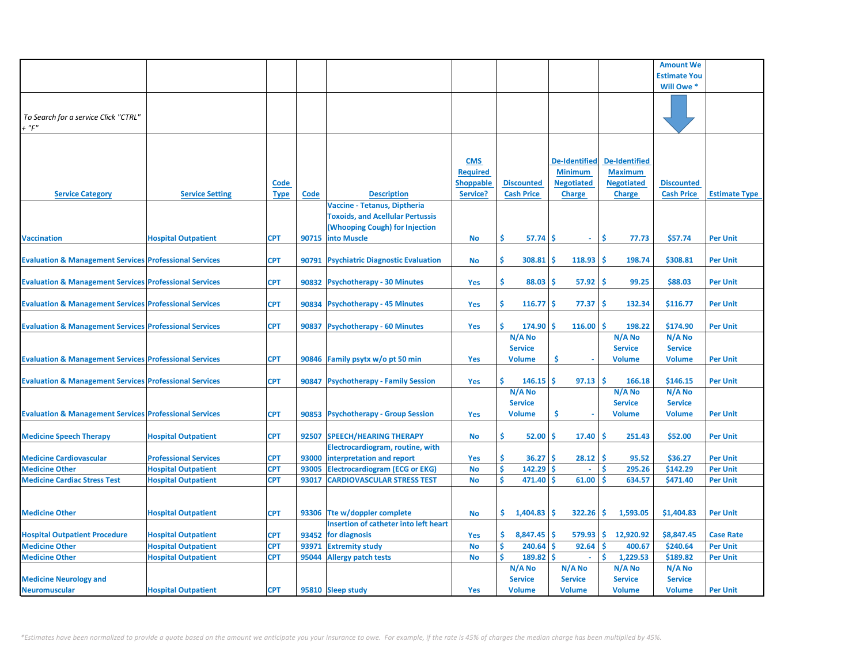|                                                                   |                              |             |       |                                              |                  |                      |                      |                      | <b>Amount We</b>    |                      |
|-------------------------------------------------------------------|------------------------------|-------------|-------|----------------------------------------------|------------------|----------------------|----------------------|----------------------|---------------------|----------------------|
|                                                                   |                              |             |       |                                              |                  |                      |                      |                      | <b>Estimate You</b> |                      |
|                                                                   |                              |             |       |                                              |                  |                      |                      |                      | Will Owe *          |                      |
|                                                                   |                              |             |       |                                              |                  |                      |                      |                      |                     |                      |
|                                                                   |                              |             |       |                                              |                  |                      |                      |                      |                     |                      |
| To Search for a service Click "CTRL"                              |                              |             |       |                                              |                  |                      |                      |                      |                     |                      |
| $+$ " $F$ "                                                       |                              |             |       |                                              |                  |                      |                      |                      |                     |                      |
|                                                                   |                              |             |       |                                              |                  |                      |                      |                      |                     |                      |
|                                                                   |                              |             |       |                                              |                  |                      |                      |                      |                     |                      |
|                                                                   |                              |             |       |                                              |                  |                      |                      |                      |                     |                      |
|                                                                   |                              |             |       |                                              | <b>CMS</b>       |                      | <b>De-Identified</b> | <b>De-Identified</b> |                     |                      |
|                                                                   |                              |             |       |                                              | <b>Required</b>  |                      | <b>Minimum</b>       | <b>Maximum</b>       |                     |                      |
|                                                                   |                              | Code        |       |                                              | <b>Shoppable</b> | <b>Discounted</b>    | <b>Negotiated</b>    | <b>Negotiated</b>    | <b>Discounted</b>   |                      |
| <b>Service Category</b>                                           | <b>Service Setting</b>       | <b>Type</b> | Code  | <b>Description</b>                           | Service?         | <b>Cash Price</b>    | <b>Charge</b>        | <b>Charge</b>        | <b>Cash Price</b>   | <b>Estimate Type</b> |
|                                                                   |                              |             |       | Vaccine - Tetanus, Diptheria                 |                  |                      |                      |                      |                     |                      |
|                                                                   |                              |             |       | <b>Toxoids, and Acellular Pertussis</b>      |                  |                      |                      |                      |                     |                      |
|                                                                   |                              |             |       | (Whooping Cough) for Injection               |                  |                      |                      |                      |                     |                      |
| <b>Vaccination</b>                                                | <b>Hospital Outpatient</b>   | CPT         | 90715 | into Muscle                                  | No               | \$<br>$57.74$ \$     | $\omega$             | Ŝ.<br>77.73          | \$57.74             | <b>Per Unit</b>      |
|                                                                   |                              |             |       |                                              |                  |                      |                      |                      |                     |                      |
| <b>Evaluation &amp; Management Services Professional Services</b> |                              | CPT         | 90791 | <b>Psychiatric Diagnostic Evaluation</b>     | No               | \$.<br>308.81        | -Ś<br>118.93         | 198.74<br>-S         | \$308.81            | <b>Per Unit</b>      |
|                                                                   |                              |             |       |                                              |                  |                      |                      |                      |                     |                      |
| <b>Evaluation &amp; Management Services Professional Services</b> |                              | CPT         | 90832 | <b>Psychotherapy - 30 Minutes</b>            | <b>Yes</b>       | \$<br>88.03          | 57.92<br>.S          | 99.25<br>۱\$         | \$88.03             | <b>Per Unit</b>      |
|                                                                   |                              |             |       |                                              |                  |                      |                      |                      |                     |                      |
| <b>Evaluation &amp; Management Services Professional Services</b> |                              | <b>CPT</b>  | 90834 | <b>Psychotherapy - 45 Minutes</b>            | Yes              | \$<br>116.77         | 77.37<br>۱\$         | -Ś<br>132.34         | \$116.77            | <b>Per Unit</b>      |
|                                                                   |                              |             |       |                                              |                  |                      |                      |                      |                     |                      |
| <b>Evaluation &amp; Management Services Professional Services</b> |                              | <b>CPT</b>  | 90837 | <b>Psychotherapy - 60 Minutes</b>            | Yes              | \$.<br>174.90        | -Ś<br>116.00         | 198.22<br>-S         | \$174.90            | <b>Per Unit</b>      |
|                                                                   |                              |             |       |                                              |                  | N/A No               |                      | N/A No               | N/A No              |                      |
|                                                                   |                              |             |       |                                              |                  | <b>Service</b>       |                      | <b>Service</b>       | <b>Service</b>      |                      |
| <b>Evaluation &amp; Management Services Professional Services</b> |                              | <b>CPT</b>  |       | 90846 Family psytx w/o pt 50 min             | Yes              | <b>Volume</b>        | \$.                  | <b>Volume</b>        | <b>Volume</b>       | <b>Per Unit</b>      |
|                                                                   |                              |             |       |                                              |                  |                      |                      |                      |                     |                      |
| <b>Evaluation &amp; Management Services Professional Services</b> |                              | <b>CPT</b>  |       | 90847 Psychotherapy - Family Session         | Yes              | Ś<br>146.15          | Ŝ<br>97.13           | .S<br>166.18         | \$146.15            | <b>Per Unit</b>      |
|                                                                   |                              |             |       |                                              |                  | N/A No               |                      | N/A No               | N/A No              |                      |
|                                                                   |                              |             |       |                                              |                  | <b>Service</b>       |                      | <b>Service</b>       | <b>Service</b>      |                      |
| <b>Evaluation &amp; Management Services Professional Services</b> |                              | <b>CPT</b>  | 90853 | <b>Psychotherapy - Group Session</b>         | <b>Yes</b>       | <b>Volume</b>        | \$                   | <b>Volume</b>        | <b>Volume</b>       | <b>Per Unit</b>      |
|                                                                   |                              |             |       |                                              |                  |                      |                      |                      |                     |                      |
| <b>Medicine Speech Therapy</b>                                    | <b>Hospital Outpatient</b>   | <b>CPT</b>  | 92507 | <b>SPEECH/HEARING THERAPY</b>                |                  | \$<br>52.00          | '\$<br>17.40         | 251.43<br>-\$        | \$52.00             | <b>Per Unit</b>      |
|                                                                   |                              |             |       |                                              | No               |                      |                      |                      |                     |                      |
|                                                                   |                              |             |       | Electrocardiogram, routine, with             |                  |                      |                      |                      |                     |                      |
| <b>Medicine Cardiovascular</b>                                    | <b>Professional Services</b> | <b>CPT</b>  | 93000 | interpretation and report                    | <b>Yes</b>       | \$<br>36.27          | 28.12<br>-\$         | -\$<br>95.52         | \$36.27             | <b>Per Unit</b>      |
| <b>Medicine Other</b>                                             | <b>Hospital Outpatient</b>   | <b>CPT</b>  | 93005 | <b>Electrocardiogram (ECG or EKG)</b>        | <b>No</b>        | \$<br>142.29 \$      |                      | \$<br>295.26         | \$142.29            | <b>Per Unit</b>      |
| <b>Medicine Cardiac Stress Test</b>                               | <b>Hospital Outpatient</b>   | <b>CPT</b>  | 93017 | <b>CARDIOVASCULAR STRESS TEST</b>            | <b>No</b>        | \$<br>471.40         | -Ś<br>61.00          | Ś<br>634.57          | \$471.40            | <b>Per Unit</b>      |
|                                                                   |                              |             |       |                                              |                  |                      |                      |                      |                     |                      |
|                                                                   |                              |             |       |                                              |                  |                      |                      |                      |                     |                      |
| <b>Medicine Other</b>                                             | <b>Hospital Outpatient</b>   | <b>CPT</b>  | 93306 | Tte w/doppler complete                       | No               | $1,404.83$ \$<br>\$. | 322.26               | 1,593.05<br>۱\$      | \$1,404.83          | <b>Per Unit</b>      |
|                                                                   |                              |             |       | <b>Insertion of catheter into left heart</b> |                  |                      |                      |                      |                     |                      |
| <b>Hospital Outpatient Procedure</b>                              | <b>Hospital Outpatient</b>   | <b>CPT</b>  |       | 93452 for diagnosis                          | Yes              | \$.<br>8,847.45      | ۱\$<br>$579.93$ \$   | 12,920.92            | \$8,847.45          | <b>Case Rate</b>     |
| <b>Medicine Other</b>                                             | <b>Hospital Outpatient</b>   | <b>CPT</b>  | 93971 | <b>Extremity study</b>                       | <b>No</b>        | \$<br>240.64         | ∣\$<br>92.64         | -\$<br>400.67        | \$240.64            | <b>Per Unit</b>      |
| <b>Medicine Other</b>                                             | <b>Hospital Outpatient</b>   | <b>CPT</b>  |       | 95044 Allergy patch tests                    | No               | Ś.<br>$189.82$ \$    | $\sim$               | Ś.<br>1,229.53       | \$189.82            | <b>Per Unit</b>      |
|                                                                   |                              |             |       |                                              |                  | N/A No               | N/A No               | N/A No               | N/A No              |                      |
| <b>Medicine Neurology and</b>                                     |                              |             |       |                                              |                  | <b>Service</b>       | <b>Service</b>       | <b>Service</b>       | <b>Service</b>      |                      |
| <b>Neuromuscular</b>                                              | <b>Hospital Outpatient</b>   | <b>CPT</b>  |       | 95810 Sleep study                            | Yes              | <b>Volume</b>        | <b>Volume</b>        | <b>Volume</b>        | <b>Volume</b>       | <b>Per Unit</b>      |
|                                                                   |                              |             |       |                                              |                  |                      |                      |                      |                     |                      |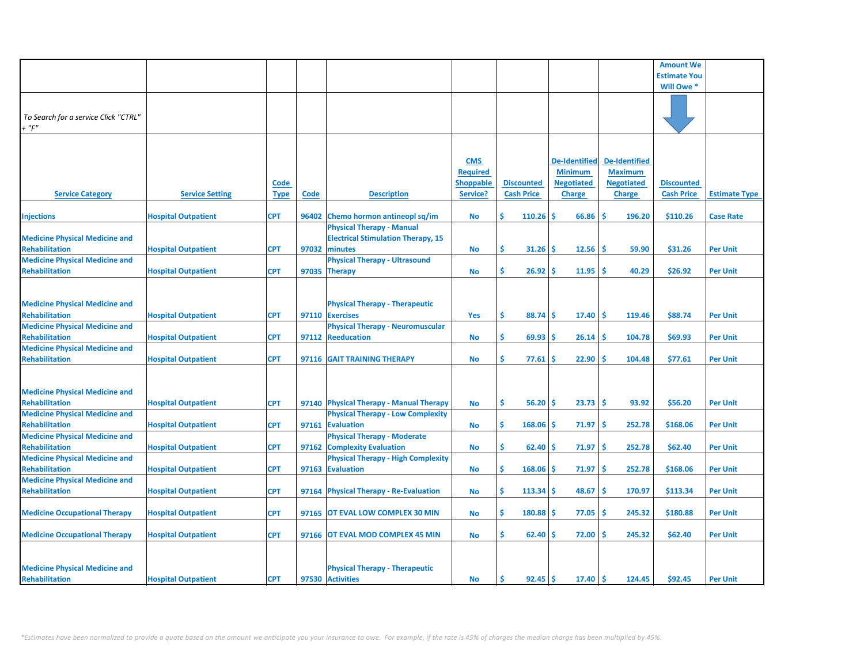|                                       |                            |             |       |                                           |                  |                   |                      |                      | <b>Amount We</b>    |                      |
|---------------------------------------|----------------------------|-------------|-------|-------------------------------------------|------------------|-------------------|----------------------|----------------------|---------------------|----------------------|
|                                       |                            |             |       |                                           |                  |                   |                      |                      |                     |                      |
|                                       |                            |             |       |                                           |                  |                   |                      |                      | <b>Estimate You</b> |                      |
|                                       |                            |             |       |                                           |                  |                   |                      |                      | Will Owe *          |                      |
|                                       |                            |             |       |                                           |                  |                   |                      |                      |                     |                      |
| To Search for a service Click "CTRL"  |                            |             |       |                                           |                  |                   |                      |                      |                     |                      |
| $+$ " $F$ "                           |                            |             |       |                                           |                  |                   |                      |                      |                     |                      |
|                                       |                            |             |       |                                           |                  |                   |                      |                      |                     |                      |
|                                       |                            |             |       |                                           |                  |                   |                      |                      |                     |                      |
|                                       |                            |             |       |                                           |                  |                   |                      |                      |                     |                      |
|                                       |                            |             |       |                                           | <b>CMS</b>       |                   | <b>De-Identified</b> | <b>De-Identified</b> |                     |                      |
|                                       |                            |             |       |                                           | <b>Required</b>  |                   | <b>Minimum</b>       | <b>Maximum</b>       |                     |                      |
|                                       |                            | <b>Code</b> |       |                                           | <b>Shoppable</b> | <b>Discounted</b> | <b>Negotiated</b>    | <b>Negotiated</b>    | <b>Discounted</b>   |                      |
| <b>Service Category</b>               | <b>Service Setting</b>     | <b>Type</b> | Code  | <b>Description</b>                        | Service?         | <b>Cash Price</b> | <b>Charge</b>        | <b>Charge</b>        | <b>Cash Price</b>   | <b>Estimate Type</b> |
|                                       |                            |             |       |                                           |                  |                   |                      |                      |                     |                      |
| <b>Injections</b>                     | <b>Hospital Outpatient</b> | <b>CPT</b>  | 96402 | Chemo hormon antineopl sq/im              | <b>No</b>        | Ś<br>110.26       | Ŝ.<br>66.86          | Ŝ<br>196.20          | \$110.26            | <b>Case Rate</b>     |
|                                       |                            |             |       | <b>Physical Therapy - Manual</b>          |                  |                   |                      |                      |                     |                      |
| <b>Medicine Physical Medicine and</b> |                            |             |       | <b>Electrical Stimulation Therapy, 15</b> |                  |                   |                      |                      |                     |                      |
| <b>Rehabilitation</b>                 | <b>Hospital Outpatient</b> | <b>CPT</b>  | 97032 | minutes                                   | No               | \$<br>31.26       | 12.56<br><b>S</b>    | -Ś<br>59.90          | \$31.26             | <b>Per Unit</b>      |
| <b>Medicine Physical Medicine and</b> |                            |             |       | <b>Physical Therapy - Ultrasound</b>      |                  |                   |                      |                      |                     |                      |
| <b>Rehabilitation</b>                 | <b>Hospital Outpatient</b> | <b>CPT</b>  |       | 97035 Therapy                             | <b>No</b>        | \$.<br>26.92      | 11.95<br><b>S</b>    | -Ś<br>40.29          | \$26.92             | <b>Per Unit</b>      |
|                                       |                            |             |       |                                           |                  |                   |                      |                      |                     |                      |
|                                       |                            |             |       |                                           |                  |                   |                      |                      |                     |                      |
| <b>Medicine Physical Medicine and</b> |                            |             |       | <b>Physical Therapy - Therapeutic</b>     |                  |                   |                      |                      |                     |                      |
| <b>Rehabilitation</b>                 | <b>Hospital Outpatient</b> | <b>CPT</b>  |       | 97110 Exercises                           | Yes              | \$<br>88.74       | -\$<br>17.40         | <b>S</b><br>119.46   | \$88.74             | <b>Per Unit</b>      |
| <b>Medicine Physical Medicine and</b> |                            |             |       | <b>Physical Therapy - Neuromuscular</b>   |                  |                   |                      |                      |                     |                      |
| <b>Rehabilitation</b>                 | <b>Hospital Outpatient</b> | <b>CPT</b>  |       | 97112 Reeducation                         |                  | \$.<br>69.93      | 26.14<br>\$.         | Ŝ<br>104.78          | \$69.93             | <b>Per Unit</b>      |
| <b>Medicine Physical Medicine and</b> |                            |             |       |                                           | No               |                   |                      |                      |                     |                      |
|                                       |                            |             |       |                                           |                  |                   |                      | Ŝ                    |                     |                      |
| <b>Rehabilitation</b>                 | <b>Hospital Outpatient</b> | <b>CPT</b>  |       | 97116 GAIT TRAINING THERAPY               | <b>No</b>        | \$<br>77.61       | 22.90<br>-S          | 104.48               | \$77.61             | <b>Per Unit</b>      |
|                                       |                            |             |       |                                           |                  |                   |                      |                      |                     |                      |
|                                       |                            |             |       |                                           |                  |                   |                      |                      |                     |                      |
| <b>Medicine Physical Medicine and</b> |                            |             |       |                                           |                  |                   |                      |                      |                     |                      |
| <b>Rehabilitation</b>                 | <b>Hospital Outpatient</b> | <b>CPT</b>  |       | 97140 Physical Therapy - Manual Therapy   | <b>No</b>        | \$<br>56.20       | -S<br>23.73          | -Ś<br>93.92          | \$56.20             | <b>Per Unit</b>      |
| <b>Medicine Physical Medicine and</b> |                            |             |       | <b>Physical Therapy - Low Complexity</b>  |                  |                   |                      |                      |                     |                      |
| <b>Rehabilitation</b>                 | <b>Hospital Outpatient</b> | <b>CPT</b>  | 97161 | <b>Evaluation</b>                         | No               | \$.<br>168.06     | Ŝ<br>71.97           | -Ś<br>252.78         | \$168.06            | <b>Per Unit</b>      |
| <b>Medicine Physical Medicine and</b> |                            |             |       | <b>Physical Therapy - Moderate</b>        |                  |                   |                      |                      |                     |                      |
| <b>Rehabilitation</b>                 | <b>Hospital Outpatient</b> | <b>CPT</b>  | 97162 | <b>Complexity Evaluation</b>              | <b>No</b>        | \$.<br>62.40      | 71.97<br>-S          | -Ś<br>252.78         | \$62.40             | <b>Per Unit</b>      |
| <b>Medicine Physical Medicine and</b> |                            |             |       | <b>Physical Therapy - High Complexity</b> |                  |                   |                      |                      |                     |                      |
| <b>Rehabilitation</b>                 | <b>Hospital Outpatient</b> | <b>CPT</b>  |       | 97163 Evaluation                          | No               | Ŝ.<br>168.06      | <b>S</b><br>71.97    | -Ś<br>252.78         | \$168.06            | <b>Per Unit</b>      |
| <b>Medicine Physical Medicine and</b> |                            |             |       |                                           |                  |                   |                      |                      |                     |                      |
| <b>Rehabilitation</b>                 | <b>Hospital Outpatient</b> | <b>CPT</b>  |       | 97164 Physical Therapy - Re-Evaluation    | No               | Ŝ.<br>113.34      | 48.67<br>-S          | Ŝ<br>170.97          | \$113.34            | <b>Per Unit</b>      |
|                                       |                            |             |       |                                           |                  |                   |                      |                      |                     |                      |
| <b>Medicine Occupational Therapy</b>  | <b>Hospital Outpatient</b> | <b>CPT</b>  |       | 97165 OT EVAL LOW COMPLEX 30 MIN          | <b>No</b>        | Ŝ.<br>180.88      | 77.05<br><b>S</b>    | -Ś<br>245.32         | \$180.88            | <b>Per Unit</b>      |
|                                       |                            |             |       |                                           |                  |                   |                      |                      |                     |                      |
| <b>Medicine Occupational Therapy</b>  | <b>Hospital Outpatient</b> | <b>CPT</b>  | 97166 | OT EVAL MOD COMPLEX 45 MIN                | <b>No</b>        | \$.<br>62.40      | 72.00<br><b>S</b>    | Ŝ<br>245.32          | \$62.40             | <b>Per Unit</b>      |
|                                       |                            |             |       |                                           |                  |                   |                      |                      |                     |                      |
|                                       |                            |             |       |                                           |                  |                   |                      |                      |                     |                      |
| <b>Medicine Physical Medicine and</b> |                            |             |       | <b>Physical Therapy - Therapeutic</b>     |                  |                   |                      |                      |                     |                      |
| Rehabilitation                        | <b>Hospital Outpatient</b> | <b>CPT</b>  |       | 97530 Activities                          | <b>No</b>        | Ŝ.<br>$92.45$ \$  | 17.40                | ۱Ś<br>124.45         | \$92.45             | <b>Per Unit</b>      |
|                                       |                            |             |       |                                           |                  |                   |                      |                      |                     |                      |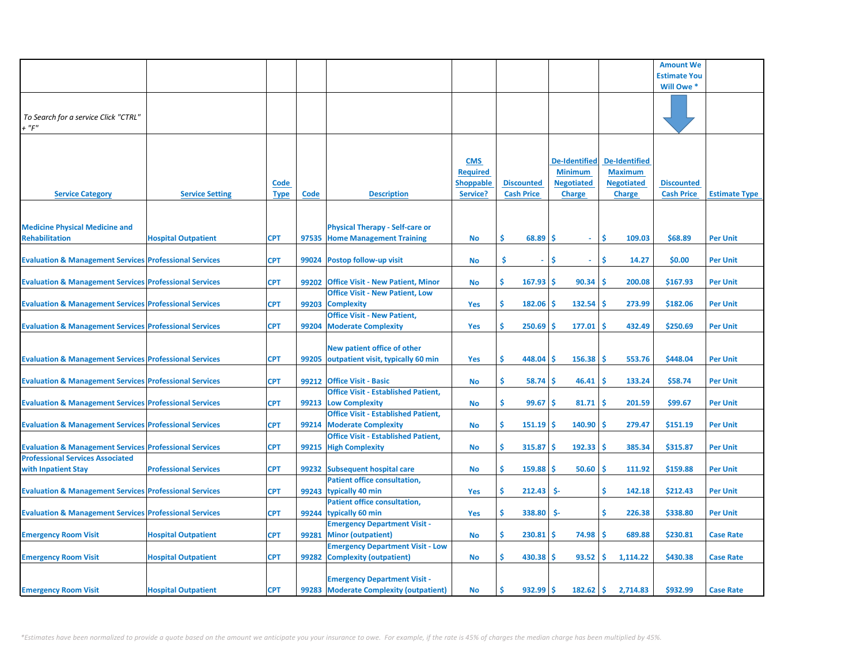|                                                                   |                                                                                                                               |                                        |                                            |                                                                                                                                                                                                                                                                                                                                                                                                                                                                                                                                                                                                                                                                                    |                                        |                                               |                                                                              | <b>Amount We</b>                                                                                |                      |
|-------------------------------------------------------------------|-------------------------------------------------------------------------------------------------------------------------------|----------------------------------------|--------------------------------------------|------------------------------------------------------------------------------------------------------------------------------------------------------------------------------------------------------------------------------------------------------------------------------------------------------------------------------------------------------------------------------------------------------------------------------------------------------------------------------------------------------------------------------------------------------------------------------------------------------------------------------------------------------------------------------------|----------------------------------------|-----------------------------------------------|------------------------------------------------------------------------------|-------------------------------------------------------------------------------------------------|----------------------|
|                                                                   |                                                                                                                               |                                        |                                            |                                                                                                                                                                                                                                                                                                                                                                                                                                                                                                                                                                                                                                                                                    |                                        |                                               |                                                                              | <b>Estimate You</b>                                                                             |                      |
|                                                                   |                                                                                                                               |                                        |                                            |                                                                                                                                                                                                                                                                                                                                                                                                                                                                                                                                                                                                                                                                                    |                                        |                                               |                                                                              | Will Owe *                                                                                      |                      |
|                                                                   |                                                                                                                               |                                        |                                            |                                                                                                                                                                                                                                                                                                                                                                                                                                                                                                                                                                                                                                                                                    |                                        |                                               |                                                                              |                                                                                                 |                      |
| <b>Service Setting</b>                                            | Code<br>Type                                                                                                                  | Code                                   | <b>Description</b>                         | <b>CMS</b><br><b>Required</b><br><b>Shoppable</b><br>Service?                                                                                                                                                                                                                                                                                                                                                                                                                                                                                                                                                                                                                      | <b>Discounted</b><br><b>Cash Price</b> | <b>Minimum</b><br><b>Negotiated</b><br>Charge | <b>De-Identified</b><br><b>Maximum</b><br><b>Negotiated</b><br><b>Charge</b> | <b>Discounted</b><br><b>Cash Price</b>                                                          | <b>Estimate Type</b> |
| <b>Hospital Outpatient</b>                                        | <b>CPT</b>                                                                                                                    |                                        |                                            | <b>No</b>                                                                                                                                                                                                                                                                                                                                                                                                                                                                                                                                                                                                                                                                          | \$<br>68.89                            | -Ś<br>$\sim$                                  | -\$<br>109.03                                                                | \$68.89                                                                                         | <b>Per Unit</b>      |
| <b>Evaluation &amp; Management Services Professional Services</b> | <b>CPT</b>                                                                                                                    | 99024                                  |                                            | <b>No</b>                                                                                                                                                                                                                                                                                                                                                                                                                                                                                                                                                                                                                                                                          | \$<br>ä,                               | Ś<br>$\omega$                                 | Ŝ.<br>14.27                                                                  | \$0.00                                                                                          | <b>Per Unit</b>      |
| <b>Evaluation &amp; Management Services Professional Services</b> | <b>CPT</b>                                                                                                                    |                                        |                                            | <b>No</b>                                                                                                                                                                                                                                                                                                                                                                                                                                                                                                                                                                                                                                                                          | \$<br>167.93                           | 90.34<br>-S                                   | ۱Ś<br>200.08                                                                 | \$167.93                                                                                        | <b>Per Unit</b>      |
| <b>Evaluation &amp; Management Services Professional Services</b> | CPT                                                                                                                           | 99203                                  |                                            | Yes                                                                                                                                                                                                                                                                                                                                                                                                                                                                                                                                                                                                                                                                                | \$<br>182.06                           | -S<br>132.54                                  | 273.99<br>۱\$                                                                | \$182.06                                                                                        | <b>Per Unit</b>      |
| <b>Evaluation &amp; Management Services Professional Services</b> | <b>CPT</b>                                                                                                                    | 99204                                  | <b>Office Visit - New Patient,</b>         | <b>Yes</b>                                                                                                                                                                                                                                                                                                                                                                                                                                                                                                                                                                                                                                                                         | \$<br>250.69                           | -Ś<br>177.01                                  | 432.49                                                                       | \$250.69                                                                                        | <b>Per Unit</b>      |
| <b>Evaluation &amp; Management Services Professional Services</b> |                                                                                                                               |                                        | New patient office of other                | Yes                                                                                                                                                                                                                                                                                                                                                                                                                                                                                                                                                                                                                                                                                | \$<br>448.04                           | -\$<br>156.38                                 | 553.76<br>-S                                                                 | \$448.04                                                                                        | <b>Per Unit</b>      |
| <b>Evaluation &amp; Management Services Professional Services</b> | <b>CPT</b>                                                                                                                    |                                        |                                            | No                                                                                                                                                                                                                                                                                                                                                                                                                                                                                                                                                                                                                                                                                 | \$<br>58.74                            | 46.41<br>-Ś                                   | 133.24<br>-Ś                                                                 | \$58.74                                                                                         | <b>Per Unit</b>      |
| <b>Evaluation &amp; Management Services Professional Services</b> | <b>CPT</b>                                                                                                                    | 99213                                  | <b>Office Visit - Established Patient,</b> | <b>No</b>                                                                                                                                                                                                                                                                                                                                                                                                                                                                                                                                                                                                                                                                          | \$<br>99.67                            | 81.71<br>-S                                   | 201.59<br>-Ś                                                                 | \$99.67                                                                                         | <b>Per Unit</b>      |
| <b>Evaluation &amp; Management Services Professional Services</b> | <b>CPT</b>                                                                                                                    | 99214                                  |                                            | No                                                                                                                                                                                                                                                                                                                                                                                                                                                                                                                                                                                                                                                                                 | \$<br>151.19                           | 140.90<br>-S                                  | 279.47<br>-Ś                                                                 | \$151.19                                                                                        | <b>Per Unit</b>      |
| <b>Evaluation &amp; Management Services Professional Services</b> | <b>CPT</b>                                                                                                                    |                                        | <b>Office Visit - Established Patient,</b> | <b>No</b>                                                                                                                                                                                                                                                                                                                                                                                                                                                                                                                                                                                                                                                                          | Ś<br>315.87                            | -\$<br>192.33                                 | ۱\$<br>385.34                                                                | \$315.87                                                                                        | <b>Per Unit</b>      |
| <b>Professional Services</b>                                      | <b>CPT</b>                                                                                                                    |                                        |                                            | No                                                                                                                                                                                                                                                                                                                                                                                                                                                                                                                                                                                                                                                                                 | Ś<br>159.88                            | -\$                                           | 111.92                                                                       | \$159.88                                                                                        | <b>Per Unit</b>      |
|                                                                   |                                                                                                                               |                                        | <b>Patient office consultation,</b>        |                                                                                                                                                                                                                                                                                                                                                                                                                                                                                                                                                                                                                                                                                    |                                        |                                               |                                                                              |                                                                                                 | <b>Per Unit</b>      |
|                                                                   |                                                                                                                               |                                        | <b>Patient office consultation,</b>        |                                                                                                                                                                                                                                                                                                                                                                                                                                                                                                                                                                                                                                                                                    |                                        |                                               |                                                                              |                                                                                                 |                      |
| <b>Evaluation &amp; Management Services Professional Services</b> | <b>CPT</b>                                                                                                                    |                                        |                                            | Yes                                                                                                                                                                                                                                                                                                                                                                                                                                                                                                                                                                                                                                                                                | \$<br>338.80                           | \$-                                           | -\$<br>226.38                                                                | \$338.80                                                                                        | <b>Per Unit</b>      |
|                                                                   |                                                                                                                               |                                        |                                            |                                                                                                                                                                                                                                                                                                                                                                                                                                                                                                                                                                                                                                                                                    | Ś                                      |                                               |                                                                              |                                                                                                 | <b>Case Rate</b>     |
| <b>Hospital Outpatient</b>                                        | <b>CPT</b>                                                                                                                    | 99282                                  | <b>Emergency Department Visit - Low</b>    | <b>No</b>                                                                                                                                                                                                                                                                                                                                                                                                                                                                                                                                                                                                                                                                          | Ś.                                     | 93.52                                         | 1,114.22                                                                     | \$430.38                                                                                        | <b>Case Rate</b>     |
|                                                                   | <b>CPT</b>                                                                                                                    |                                        | <b>Emergency Department Visit -</b>        | No                                                                                                                                                                                                                                                                                                                                                                                                                                                                                                                                                                                                                                                                                 | Ś.                                     |                                               | 2,714.83                                                                     | \$932.99                                                                                        | <b>Case Rate</b>     |
|                                                                   | <b>Evaluation &amp; Management Services Professional Services</b><br><b>Hospital Outpatient</b><br><b>Hospital Outpatient</b> | <b>CPT</b><br><b>CPT</b><br><b>CPT</b> | 99243<br>99281                             | <b>Physical Therapy - Self-care or</b><br>97535 Home Management Training<br>Postop follow-up visit<br>99202 Office Visit - New Patient, Minor<br><b>Office Visit - New Patient, Low</b><br><b>Complexity</b><br><b>Moderate Complexity</b><br>99205 outpatient visit, typically 60 min<br>99212 Office Visit - Basic<br><b>Low Complexity</b><br><b>Office Visit - Established Patient,</b><br><b>Moderate Complexity</b><br>99215 High Complexity<br>99232 Subsequent hospital care<br>typically 40 min<br>99244 typically 60 min<br><b>Emergency Department Visit -</b><br><b>Minor (outpatient)</b><br><b>Complexity (outpatient)</b><br>99283 Moderate Complexity (outpatient) | Yes<br><b>No</b>                       | 212.43<br>Ś                                   | \$-<br>$230.81$ \$<br>74.98<br>$430.38$   \$<br>$932.99$ \$                  | <b>De-Identified</b><br>۱Ś<br>$50.60$ \$<br>\$<br>142.18<br>689.88<br>۱\$<br>۱Ś.<br>$182.62$ \$ | \$212.43<br>\$230.81 |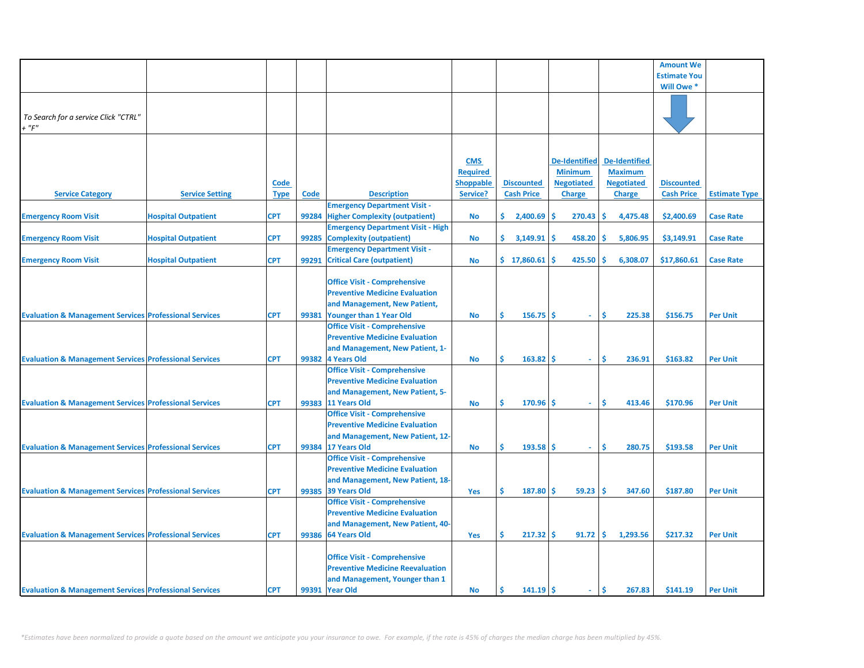|                                                                   |                            |             |             |                                          |                  |                   |                      |                      | <b>Amount We</b>    |                      |
|-------------------------------------------------------------------|----------------------------|-------------|-------------|------------------------------------------|------------------|-------------------|----------------------|----------------------|---------------------|----------------------|
|                                                                   |                            |             |             |                                          |                  |                   |                      |                      | <b>Estimate You</b> |                      |
|                                                                   |                            |             |             |                                          |                  |                   |                      |                      | Will Owe *          |                      |
|                                                                   |                            |             |             |                                          |                  |                   |                      |                      |                     |                      |
|                                                                   |                            |             |             |                                          |                  |                   |                      |                      |                     |                      |
| To Search for a service Click "CTRL"                              |                            |             |             |                                          |                  |                   |                      |                      |                     |                      |
| $+$ " $F$ "                                                       |                            |             |             |                                          |                  |                   |                      |                      |                     |                      |
|                                                                   |                            |             |             |                                          |                  |                   |                      |                      |                     |                      |
|                                                                   |                            |             |             |                                          |                  |                   |                      |                      |                     |                      |
|                                                                   |                            |             |             |                                          |                  |                   |                      |                      |                     |                      |
|                                                                   |                            |             |             |                                          | <b>CMS</b>       |                   | <b>De-Identified</b> | <b>De-Identified</b> |                     |                      |
|                                                                   |                            |             |             |                                          | <b>Required</b>  |                   | <b>Minimum</b>       | <b>Maximum</b>       |                     |                      |
|                                                                   |                            | Code        |             |                                          | <b>Shoppable</b> | <b>Discounted</b> | <b>Negotiated</b>    | <b>Negotiated</b>    | <b>Discounted</b>   |                      |
| <b>Service Category</b>                                           | <b>Service Setting</b>     | <b>Type</b> | <b>Code</b> | <b>Description</b>                       | Service?         | <b>Cash Price</b> | <b>Charge</b>        | <b>Charge</b>        | <b>Cash Price</b>   | <b>Estimate Type</b> |
|                                                                   |                            |             |             | <b>Emergency Department Visit -</b>      |                  |                   |                      |                      |                     |                      |
| <b>Emergency Room Visit</b>                                       | <b>Hospital Outpatient</b> | <b>CPT</b>  | 99284       | <b>Higher Complexity (outpatient)</b>    | <b>No</b>        | Ś.<br>2,400.69    | 270.43<br>Ś          | -Ś<br>4,475.48       | \$2,400.69          | <b>Case Rate</b>     |
|                                                                   |                            |             |             | <b>Emergency Department Visit - High</b> |                  |                   |                      |                      |                     |                      |
| <b>Emergency Room Visit</b>                                       | <b>Hospital Outpatient</b> | <b>CPT</b>  | 99285       | <b>Complexity (outpatient)</b>           |                  | Ś.<br>3,149.91    | 458.20<br>Ś          | 5,806.95<br>Ś        | \$3,149.91          | <b>Case Rate</b>     |
|                                                                   |                            |             |             |                                          | No               |                   |                      |                      |                     |                      |
|                                                                   |                            |             |             | <b>Emergency Department Visit -</b>      |                  |                   |                      |                      |                     |                      |
| <b>Emergency Room Visit</b>                                       | <b>Hospital Outpatient</b> | <b>CPT</b>  | 99291       | <b>Critical Care (outpatient)</b>        | <b>No</b>        | \$17,860.61       | 425.50               | 6,308.07<br>Ś        | \$17,860.61         | <b>Case Rate</b>     |
|                                                                   |                            |             |             |                                          |                  |                   |                      |                      |                     |                      |
|                                                                   |                            |             |             | <b>Office Visit - Comprehensive</b>      |                  |                   |                      |                      |                     |                      |
|                                                                   |                            |             |             | <b>Preventive Medicine Evaluation</b>    |                  |                   |                      |                      |                     |                      |
|                                                                   |                            |             |             | and Management, New Patient,             |                  |                   |                      |                      |                     |                      |
| <b>Evaluation &amp; Management Services Professional Services</b> |                            | <b>CPT</b>  | 99381       | Younger than 1 Year Old                  | <b>No</b>        | Ś<br>156.75       | -Ś<br>÷.             | -Ś<br>225.38         | \$156.75            | <b>Per Unit</b>      |
|                                                                   |                            |             |             | <b>Office Visit - Comprehensive</b>      |                  |                   |                      |                      |                     |                      |
|                                                                   |                            |             |             | <b>Preventive Medicine Evaluation</b>    |                  |                   |                      |                      |                     |                      |
|                                                                   |                            |             |             | and Management, New Patient, 1-          |                  |                   |                      |                      |                     |                      |
|                                                                   |                            | <b>CPT</b>  |             | 99382 4 Years Old                        |                  | Ś<br>163.82       | Ŝ<br>ä,              | \$.<br>236.91        | \$163.82            | <b>Per Unit</b>      |
| <b>Evaluation &amp; Management Services Professional Services</b> |                            |             |             |                                          | <b>No</b>        |                   |                      |                      |                     |                      |
|                                                                   |                            |             |             | <b>Office Visit - Comprehensive</b>      |                  |                   |                      |                      |                     |                      |
|                                                                   |                            |             |             | <b>Preventive Medicine Evaluation</b>    |                  |                   |                      |                      |                     |                      |
|                                                                   |                            |             |             | and Management, New Patient, 5-          |                  |                   |                      |                      |                     |                      |
| <b>Evaluation &amp; Management Services Professional Services</b> |                            | <b>CPT</b>  |             | 99383 11 Years Old                       | No               | Ś<br>170.96       | Ŝ<br>÷.              | Ŝ.<br>413.46         | \$170.96            | <b>Per Unit</b>      |
|                                                                   |                            |             |             | <b>Office Visit - Comprehensive</b>      |                  |                   |                      |                      |                     |                      |
|                                                                   |                            |             |             | <b>Preventive Medicine Evaluation</b>    |                  |                   |                      |                      |                     |                      |
|                                                                   |                            |             |             | and Management, New Patient, 12-         |                  |                   |                      |                      |                     |                      |
| <b>Evaluation &amp; Management Services Professional Services</b> |                            | CPT         |             | 99384 17 Years Old                       | No               | Ś<br>193.58       | Ŝ<br>$\omega$        | \$.<br>280.75        | \$193.58            | <b>Per Unit</b>      |
|                                                                   |                            |             |             | <b>Office Visit - Comprehensive</b>      |                  |                   |                      |                      |                     |                      |
|                                                                   |                            |             |             | <b>Preventive Medicine Evaluation</b>    |                  |                   |                      |                      |                     |                      |
|                                                                   |                            |             |             |                                          |                  |                   |                      |                      |                     |                      |
|                                                                   |                            |             |             | and Management, New Patient, 18-         |                  |                   |                      |                      |                     |                      |
| <b>Evaluation &amp; Management Services Professional Services</b> |                            | <b>CPT</b>  |             | 99385 39 Years Old                       | Yes              | Ŝ<br>187.80       | 59.23<br>Ŝ           | -\$<br>347.60        | \$187.80            | <b>Per Unit</b>      |
|                                                                   |                            |             |             | <b>Office Visit - Comprehensive</b>      |                  |                   |                      |                      |                     |                      |
|                                                                   |                            |             |             | <b>Preventive Medicine Evaluation</b>    |                  |                   |                      |                      |                     |                      |
|                                                                   |                            |             |             | and Management, New Patient, 40-         |                  |                   |                      |                      |                     |                      |
| <b>Evaluation &amp; Management Services Professional Services</b> |                            | <b>CPT</b>  |             | 99386 64 Years Old                       | Yes              | Ŝ<br>217.32       | -Ś<br>91.72          | Ŝ.<br>1,293.56       | \$217.32            | <b>Per Unit</b>      |
|                                                                   |                            |             |             |                                          |                  |                   |                      |                      |                     |                      |
|                                                                   |                            |             |             | <b>Office Visit - Comprehensive</b>      |                  |                   |                      |                      |                     |                      |
|                                                                   |                            |             |             | <b>Preventive Medicine Reevaluation</b>  |                  |                   |                      |                      |                     |                      |
|                                                                   |                            |             |             | and Management, Younger than 1           |                  |                   |                      |                      |                     |                      |
| <b>Evaluation &amp; Management Services Professional Services</b> |                            | <b>CPT</b>  |             | 99391 Year Old                           | No               | Ŝ.<br>$141.19$ \$ | $\sim$               | Ŝ.<br>267.83         | \$141.19            | <b>Per Unit</b>      |
|                                                                   |                            |             |             |                                          |                  |                   |                      |                      |                     |                      |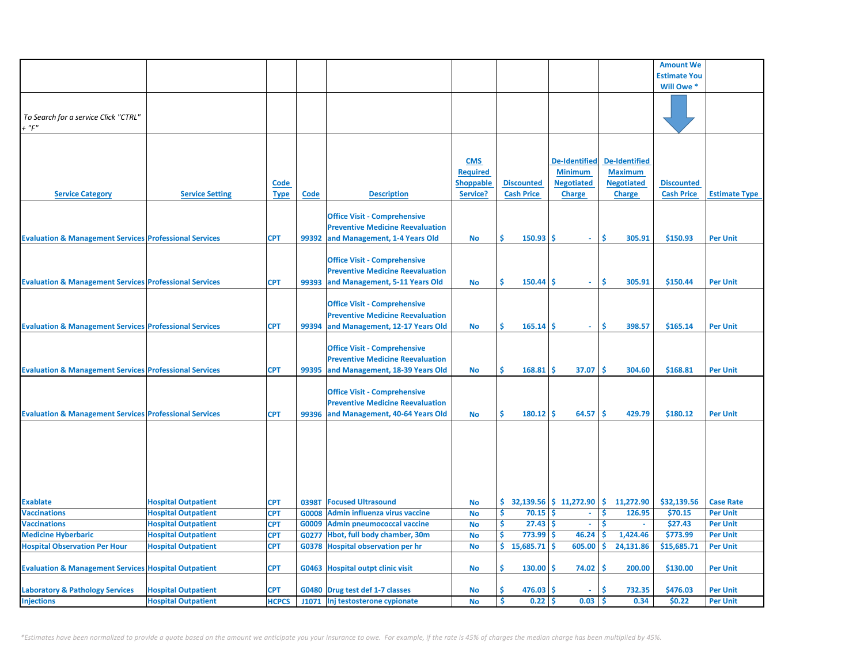| <b>Estimate You</b><br>Will Owe *<br>To Search for a service Click "CTRL"<br>$+$ " $F$ "<br><b>CMS</b><br><b>De-Identified</b><br><b>De-Identified</b><br><b>Required</b><br><b>Minimum</b><br><b>Maximum</b><br>Code<br><b>Shoppable</b><br><b>Discounted</b><br><b>Negotiated</b><br><b>Negotiated</b><br><b>Discounted</b><br><b>Service Category</b><br><b>Service Setting</b><br><b>Description</b><br>Service?<br><b>Cash Price</b><br><b>Charge</b><br><b>Cash Price</b><br><b>Estimate Type</b><br><b>Type</b><br>Code<br><b>Charge</b><br><b>Office Visit - Comprehensive</b><br><b>Preventive Medicine Reevaluation</b><br>Ś.<br>150.93<br>Ŝ<br>Ś<br>305.91<br>\$150.93<br><b>Evaluation &amp; Management Services Professional Services</b><br>99392 and Management, 1-4 Years Old<br><b>Per Unit</b><br><b>CPT</b><br><b>No</b><br>$\omega$<br><b>Office Visit - Comprehensive</b><br><b>Preventive Medicine Reevaluation</b><br>\$<br><b>Evaluation &amp; Management Services Professional Services</b><br><b>CPT</b><br>99393 and Management, 5-11 Years Old<br>150.44<br>Ŝ<br>\$<br>305.91<br>\$150.44<br><b>No</b><br><b>Per Unit</b><br>$\omega$<br><b>Office Visit - Comprehensive</b><br><b>Preventive Medicine Reevaluation</b><br>\$<br><b>Evaluation &amp; Management Services Professional Services</b><br>165.14<br>Ŝ<br>\$<br>398.57<br>\$165.14<br><b>Per Unit</b><br><b>CPT</b><br>99394 and Management, 12-17 Years Old<br><b>No</b><br>$\sim$<br><b>Office Visit - Comprehensive</b><br><b>Preventive Medicine Reevaluation</b><br>Ś<br><b>Evaluation &amp; Management Services Professional Services</b><br><b>CPT</b><br>99395<br>and Management, 18-39 Years Old<br>168.81<br>Ŝ<br>37.07<br>-Ś<br>304.60<br>\$168.81<br><b>Per Unit</b><br>No<br><b>Office Visit - Comprehensive</b><br><b>Preventive Medicine Reevaluation</b><br>\$<br><b>Evaluation &amp; Management Services Professional Services</b><br>and Management, 40-64 Years Old<br>180.12<br>-Ś<br>64.57<br>\$<br>429.79<br>\$180.12<br><b>Per Unit</b><br><b>CPT</b><br>99396<br><b>No</b><br>32,139.56 \$11,272.90<br><b>Hospital Outpatient</b><br><b>Focused Ultrasound</b><br>\$.<br>\$.<br>11,272.90<br>\$32,139.56<br><b>CPT</b><br>0398T<br><b>Case Rate</b><br><b>No</b><br>\$<br>70.15<br>Ŝ<br>Ś<br>126.95<br><b>Hospital Outpatient</b><br><b>CPT</b><br>G0008<br>Admin influenza virus vaccine<br>\$70.15<br><b>Per Unit</b><br><b>No</b><br>$\sim$<br>\$<br><b>Admin pneumococcal vaccine</b><br>27.43<br>\$.<br>Ś<br>\$27.43<br><b>Hospital Outpatient</b><br><b>CPT</b><br>G0009<br><b>Per Unit</b><br><b>No</b><br>$\sim$<br>\$<br>773.99<br><b>S</b><br>1,424.46<br>\$773.99<br><b>Medicine Hyberbaric</b><br><b>Hospital Outpatient</b><br><b>CPT</b><br>Hbot, full body chamber, 30m<br>46.24<br><b>Per Unit</b><br>G0277<br><b>No</b><br>Ś<br>\$.<br>15,685.71<br><b>Hospital Outpatient</b><br><b>CPT</b><br>G0378<br><b>Hospital observation per hr</b><br>-Ś<br>605.00<br>Ś<br>24,131.86<br>\$15,685.71<br><b>Per Unit</b><br><b>No</b><br><b>CPT</b><br>Ś<br><b>Evaluation &amp; Management Services Hospital Outpatient</b><br>G0463 Hospital outpt clinic visit<br>130.00<br>Ŝ<br>74.02<br>200.00<br>\$130.00<br><b>Per Unit</b><br>No<br>S<br><b>CPT</b><br>Ś<br>Ś<br><b>Hospital Outpatient</b><br>G0480<br>Drug test def 1-7 classes<br>476.03<br>732.35<br>\$476.03<br><b>Per Unit</b><br>No<br>S<br>\$<br><b>Hospital Outpatient</b><br><b>HCPCS</b><br>0.22<br><b>S</b><br>0.03<br>Ś<br>0.34<br>\$0.22<br>J1071 Inj testosterone cypionate<br><b>No</b><br><b>Per Unit</b> |                                            |  |  |  |  | <b>Amount We</b> |  |
|----------------------------------------------------------------------------------------------------------------------------------------------------------------------------------------------------------------------------------------------------------------------------------------------------------------------------------------------------------------------------------------------------------------------------------------------------------------------------------------------------------------------------------------------------------------------------------------------------------------------------------------------------------------------------------------------------------------------------------------------------------------------------------------------------------------------------------------------------------------------------------------------------------------------------------------------------------------------------------------------------------------------------------------------------------------------------------------------------------------------------------------------------------------------------------------------------------------------------------------------------------------------------------------------------------------------------------------------------------------------------------------------------------------------------------------------------------------------------------------------------------------------------------------------------------------------------------------------------------------------------------------------------------------------------------------------------------------------------------------------------------------------------------------------------------------------------------------------------------------------------------------------------------------------------------------------------------------------------------------------------------------------------------------------------------------------------------------------------------------------------------------------------------------------------------------------------------------------------------------------------------------------------------------------------------------------------------------------------------------------------------------------------------------------------------------------------------------------------------------------------------------------------------------------------------------------------------------------------------------------------------------------------------------------------------------------------------------------------------------------------------------------------------------------------------------------------------------------------------------------------------------------------------------------------------------------------------------------------------------------------------------------------------------------------------------------------------------------------------------------------------------------------------------------------------------------------------------------------------------------------------------------------------------------------------------------------------------------------------------------------------------------------------------------------------------------------------------------------------------------------------------------------------------------------------------------------------------------------------|--------------------------------------------|--|--|--|--|------------------|--|
|                                                                                                                                                                                                                                                                                                                                                                                                                                                                                                                                                                                                                                                                                                                                                                                                                                                                                                                                                                                                                                                                                                                                                                                                                                                                                                                                                                                                                                                                                                                                                                                                                                                                                                                                                                                                                                                                                                                                                                                                                                                                                                                                                                                                                                                                                                                                                                                                                                                                                                                                                                                                                                                                                                                                                                                                                                                                                                                                                                                                                                                                                                                                                                                                                                                                                                                                                                                                                                                                                                                                                                                                          |                                            |  |  |  |  |                  |  |
|                                                                                                                                                                                                                                                                                                                                                                                                                                                                                                                                                                                                                                                                                                                                                                                                                                                                                                                                                                                                                                                                                                                                                                                                                                                                                                                                                                                                                                                                                                                                                                                                                                                                                                                                                                                                                                                                                                                                                                                                                                                                                                                                                                                                                                                                                                                                                                                                                                                                                                                                                                                                                                                                                                                                                                                                                                                                                                                                                                                                                                                                                                                                                                                                                                                                                                                                                                                                                                                                                                                                                                                                          |                                            |  |  |  |  |                  |  |
|                                                                                                                                                                                                                                                                                                                                                                                                                                                                                                                                                                                                                                                                                                                                                                                                                                                                                                                                                                                                                                                                                                                                                                                                                                                                                                                                                                                                                                                                                                                                                                                                                                                                                                                                                                                                                                                                                                                                                                                                                                                                                                                                                                                                                                                                                                                                                                                                                                                                                                                                                                                                                                                                                                                                                                                                                                                                                                                                                                                                                                                                                                                                                                                                                                                                                                                                                                                                                                                                                                                                                                                                          |                                            |  |  |  |  |                  |  |
|                                                                                                                                                                                                                                                                                                                                                                                                                                                                                                                                                                                                                                                                                                                                                                                                                                                                                                                                                                                                                                                                                                                                                                                                                                                                                                                                                                                                                                                                                                                                                                                                                                                                                                                                                                                                                                                                                                                                                                                                                                                                                                                                                                                                                                                                                                                                                                                                                                                                                                                                                                                                                                                                                                                                                                                                                                                                                                                                                                                                                                                                                                                                                                                                                                                                                                                                                                                                                                                                                                                                                                                                          |                                            |  |  |  |  |                  |  |
|                                                                                                                                                                                                                                                                                                                                                                                                                                                                                                                                                                                                                                                                                                                                                                                                                                                                                                                                                                                                                                                                                                                                                                                                                                                                                                                                                                                                                                                                                                                                                                                                                                                                                                                                                                                                                                                                                                                                                                                                                                                                                                                                                                                                                                                                                                                                                                                                                                                                                                                                                                                                                                                                                                                                                                                                                                                                                                                                                                                                                                                                                                                                                                                                                                                                                                                                                                                                                                                                                                                                                                                                          |                                            |  |  |  |  |                  |  |
|                                                                                                                                                                                                                                                                                                                                                                                                                                                                                                                                                                                                                                                                                                                                                                                                                                                                                                                                                                                                                                                                                                                                                                                                                                                                                                                                                                                                                                                                                                                                                                                                                                                                                                                                                                                                                                                                                                                                                                                                                                                                                                                                                                                                                                                                                                                                                                                                                                                                                                                                                                                                                                                                                                                                                                                                                                                                                                                                                                                                                                                                                                                                                                                                                                                                                                                                                                                                                                                                                                                                                                                                          |                                            |  |  |  |  |                  |  |
|                                                                                                                                                                                                                                                                                                                                                                                                                                                                                                                                                                                                                                                                                                                                                                                                                                                                                                                                                                                                                                                                                                                                                                                                                                                                                                                                                                                                                                                                                                                                                                                                                                                                                                                                                                                                                                                                                                                                                                                                                                                                                                                                                                                                                                                                                                                                                                                                                                                                                                                                                                                                                                                                                                                                                                                                                                                                                                                                                                                                                                                                                                                                                                                                                                                                                                                                                                                                                                                                                                                                                                                                          |                                            |  |  |  |  |                  |  |
|                                                                                                                                                                                                                                                                                                                                                                                                                                                                                                                                                                                                                                                                                                                                                                                                                                                                                                                                                                                                                                                                                                                                                                                                                                                                                                                                                                                                                                                                                                                                                                                                                                                                                                                                                                                                                                                                                                                                                                                                                                                                                                                                                                                                                                                                                                                                                                                                                                                                                                                                                                                                                                                                                                                                                                                                                                                                                                                                                                                                                                                                                                                                                                                                                                                                                                                                                                                                                                                                                                                                                                                                          |                                            |  |  |  |  |                  |  |
|                                                                                                                                                                                                                                                                                                                                                                                                                                                                                                                                                                                                                                                                                                                                                                                                                                                                                                                                                                                                                                                                                                                                                                                                                                                                                                                                                                                                                                                                                                                                                                                                                                                                                                                                                                                                                                                                                                                                                                                                                                                                                                                                                                                                                                                                                                                                                                                                                                                                                                                                                                                                                                                                                                                                                                                                                                                                                                                                                                                                                                                                                                                                                                                                                                                                                                                                                                                                                                                                                                                                                                                                          |                                            |  |  |  |  |                  |  |
|                                                                                                                                                                                                                                                                                                                                                                                                                                                                                                                                                                                                                                                                                                                                                                                                                                                                                                                                                                                                                                                                                                                                                                                                                                                                                                                                                                                                                                                                                                                                                                                                                                                                                                                                                                                                                                                                                                                                                                                                                                                                                                                                                                                                                                                                                                                                                                                                                                                                                                                                                                                                                                                                                                                                                                                                                                                                                                                                                                                                                                                                                                                                                                                                                                                                                                                                                                                                                                                                                                                                                                                                          |                                            |  |  |  |  |                  |  |
|                                                                                                                                                                                                                                                                                                                                                                                                                                                                                                                                                                                                                                                                                                                                                                                                                                                                                                                                                                                                                                                                                                                                                                                                                                                                                                                                                                                                                                                                                                                                                                                                                                                                                                                                                                                                                                                                                                                                                                                                                                                                                                                                                                                                                                                                                                                                                                                                                                                                                                                                                                                                                                                                                                                                                                                                                                                                                                                                                                                                                                                                                                                                                                                                                                                                                                                                                                                                                                                                                                                                                                                                          |                                            |  |  |  |  |                  |  |
|                                                                                                                                                                                                                                                                                                                                                                                                                                                                                                                                                                                                                                                                                                                                                                                                                                                                                                                                                                                                                                                                                                                                                                                                                                                                                                                                                                                                                                                                                                                                                                                                                                                                                                                                                                                                                                                                                                                                                                                                                                                                                                                                                                                                                                                                                                                                                                                                                                                                                                                                                                                                                                                                                                                                                                                                                                                                                                                                                                                                                                                                                                                                                                                                                                                                                                                                                                                                                                                                                                                                                                                                          |                                            |  |  |  |  |                  |  |
|                                                                                                                                                                                                                                                                                                                                                                                                                                                                                                                                                                                                                                                                                                                                                                                                                                                                                                                                                                                                                                                                                                                                                                                                                                                                                                                                                                                                                                                                                                                                                                                                                                                                                                                                                                                                                                                                                                                                                                                                                                                                                                                                                                                                                                                                                                                                                                                                                                                                                                                                                                                                                                                                                                                                                                                                                                                                                                                                                                                                                                                                                                                                                                                                                                                                                                                                                                                                                                                                                                                                                                                                          |                                            |  |  |  |  |                  |  |
|                                                                                                                                                                                                                                                                                                                                                                                                                                                                                                                                                                                                                                                                                                                                                                                                                                                                                                                                                                                                                                                                                                                                                                                                                                                                                                                                                                                                                                                                                                                                                                                                                                                                                                                                                                                                                                                                                                                                                                                                                                                                                                                                                                                                                                                                                                                                                                                                                                                                                                                                                                                                                                                                                                                                                                                                                                                                                                                                                                                                                                                                                                                                                                                                                                                                                                                                                                                                                                                                                                                                                                                                          |                                            |  |  |  |  |                  |  |
|                                                                                                                                                                                                                                                                                                                                                                                                                                                                                                                                                                                                                                                                                                                                                                                                                                                                                                                                                                                                                                                                                                                                                                                                                                                                                                                                                                                                                                                                                                                                                                                                                                                                                                                                                                                                                                                                                                                                                                                                                                                                                                                                                                                                                                                                                                                                                                                                                                                                                                                                                                                                                                                                                                                                                                                                                                                                                                                                                                                                                                                                                                                                                                                                                                                                                                                                                                                                                                                                                                                                                                                                          |                                            |  |  |  |  |                  |  |
|                                                                                                                                                                                                                                                                                                                                                                                                                                                                                                                                                                                                                                                                                                                                                                                                                                                                                                                                                                                                                                                                                                                                                                                                                                                                                                                                                                                                                                                                                                                                                                                                                                                                                                                                                                                                                                                                                                                                                                                                                                                                                                                                                                                                                                                                                                                                                                                                                                                                                                                                                                                                                                                                                                                                                                                                                                                                                                                                                                                                                                                                                                                                                                                                                                                                                                                                                                                                                                                                                                                                                                                                          |                                            |  |  |  |  |                  |  |
|                                                                                                                                                                                                                                                                                                                                                                                                                                                                                                                                                                                                                                                                                                                                                                                                                                                                                                                                                                                                                                                                                                                                                                                                                                                                                                                                                                                                                                                                                                                                                                                                                                                                                                                                                                                                                                                                                                                                                                                                                                                                                                                                                                                                                                                                                                                                                                                                                                                                                                                                                                                                                                                                                                                                                                                                                                                                                                                                                                                                                                                                                                                                                                                                                                                                                                                                                                                                                                                                                                                                                                                                          |                                            |  |  |  |  |                  |  |
|                                                                                                                                                                                                                                                                                                                                                                                                                                                                                                                                                                                                                                                                                                                                                                                                                                                                                                                                                                                                                                                                                                                                                                                                                                                                                                                                                                                                                                                                                                                                                                                                                                                                                                                                                                                                                                                                                                                                                                                                                                                                                                                                                                                                                                                                                                                                                                                                                                                                                                                                                                                                                                                                                                                                                                                                                                                                                                                                                                                                                                                                                                                                                                                                                                                                                                                                                                                                                                                                                                                                                                                                          |                                            |  |  |  |  |                  |  |
|                                                                                                                                                                                                                                                                                                                                                                                                                                                                                                                                                                                                                                                                                                                                                                                                                                                                                                                                                                                                                                                                                                                                                                                                                                                                                                                                                                                                                                                                                                                                                                                                                                                                                                                                                                                                                                                                                                                                                                                                                                                                                                                                                                                                                                                                                                                                                                                                                                                                                                                                                                                                                                                                                                                                                                                                                                                                                                                                                                                                                                                                                                                                                                                                                                                                                                                                                                                                                                                                                                                                                                                                          |                                            |  |  |  |  |                  |  |
|                                                                                                                                                                                                                                                                                                                                                                                                                                                                                                                                                                                                                                                                                                                                                                                                                                                                                                                                                                                                                                                                                                                                                                                                                                                                                                                                                                                                                                                                                                                                                                                                                                                                                                                                                                                                                                                                                                                                                                                                                                                                                                                                                                                                                                                                                                                                                                                                                                                                                                                                                                                                                                                                                                                                                                                                                                                                                                                                                                                                                                                                                                                                                                                                                                                                                                                                                                                                                                                                                                                                                                                                          |                                            |  |  |  |  |                  |  |
|                                                                                                                                                                                                                                                                                                                                                                                                                                                                                                                                                                                                                                                                                                                                                                                                                                                                                                                                                                                                                                                                                                                                                                                                                                                                                                                                                                                                                                                                                                                                                                                                                                                                                                                                                                                                                                                                                                                                                                                                                                                                                                                                                                                                                                                                                                                                                                                                                                                                                                                                                                                                                                                                                                                                                                                                                                                                                                                                                                                                                                                                                                                                                                                                                                                                                                                                                                                                                                                                                                                                                                                                          |                                            |  |  |  |  |                  |  |
|                                                                                                                                                                                                                                                                                                                                                                                                                                                                                                                                                                                                                                                                                                                                                                                                                                                                                                                                                                                                                                                                                                                                                                                                                                                                                                                                                                                                                                                                                                                                                                                                                                                                                                                                                                                                                                                                                                                                                                                                                                                                                                                                                                                                                                                                                                                                                                                                                                                                                                                                                                                                                                                                                                                                                                                                                                                                                                                                                                                                                                                                                                                                                                                                                                                                                                                                                                                                                                                                                                                                                                                                          |                                            |  |  |  |  |                  |  |
|                                                                                                                                                                                                                                                                                                                                                                                                                                                                                                                                                                                                                                                                                                                                                                                                                                                                                                                                                                                                                                                                                                                                                                                                                                                                                                                                                                                                                                                                                                                                                                                                                                                                                                                                                                                                                                                                                                                                                                                                                                                                                                                                                                                                                                                                                                                                                                                                                                                                                                                                                                                                                                                                                                                                                                                                                                                                                                                                                                                                                                                                                                                                                                                                                                                                                                                                                                                                                                                                                                                                                                                                          |                                            |  |  |  |  |                  |  |
|                                                                                                                                                                                                                                                                                                                                                                                                                                                                                                                                                                                                                                                                                                                                                                                                                                                                                                                                                                                                                                                                                                                                                                                                                                                                                                                                                                                                                                                                                                                                                                                                                                                                                                                                                                                                                                                                                                                                                                                                                                                                                                                                                                                                                                                                                                                                                                                                                                                                                                                                                                                                                                                                                                                                                                                                                                                                                                                                                                                                                                                                                                                                                                                                                                                                                                                                                                                                                                                                                                                                                                                                          |                                            |  |  |  |  |                  |  |
|                                                                                                                                                                                                                                                                                                                                                                                                                                                                                                                                                                                                                                                                                                                                                                                                                                                                                                                                                                                                                                                                                                                                                                                                                                                                                                                                                                                                                                                                                                                                                                                                                                                                                                                                                                                                                                                                                                                                                                                                                                                                                                                                                                                                                                                                                                                                                                                                                                                                                                                                                                                                                                                                                                                                                                                                                                                                                                                                                                                                                                                                                                                                                                                                                                                                                                                                                                                                                                                                                                                                                                                                          |                                            |  |  |  |  |                  |  |
|                                                                                                                                                                                                                                                                                                                                                                                                                                                                                                                                                                                                                                                                                                                                                                                                                                                                                                                                                                                                                                                                                                                                                                                                                                                                                                                                                                                                                                                                                                                                                                                                                                                                                                                                                                                                                                                                                                                                                                                                                                                                                                                                                                                                                                                                                                                                                                                                                                                                                                                                                                                                                                                                                                                                                                                                                                                                                                                                                                                                                                                                                                                                                                                                                                                                                                                                                                                                                                                                                                                                                                                                          |                                            |  |  |  |  |                  |  |
|                                                                                                                                                                                                                                                                                                                                                                                                                                                                                                                                                                                                                                                                                                                                                                                                                                                                                                                                                                                                                                                                                                                                                                                                                                                                                                                                                                                                                                                                                                                                                                                                                                                                                                                                                                                                                                                                                                                                                                                                                                                                                                                                                                                                                                                                                                                                                                                                                                                                                                                                                                                                                                                                                                                                                                                                                                                                                                                                                                                                                                                                                                                                                                                                                                                                                                                                                                                                                                                                                                                                                                                                          |                                            |  |  |  |  |                  |  |
|                                                                                                                                                                                                                                                                                                                                                                                                                                                                                                                                                                                                                                                                                                                                                                                                                                                                                                                                                                                                                                                                                                                                                                                                                                                                                                                                                                                                                                                                                                                                                                                                                                                                                                                                                                                                                                                                                                                                                                                                                                                                                                                                                                                                                                                                                                                                                                                                                                                                                                                                                                                                                                                                                                                                                                                                                                                                                                                                                                                                                                                                                                                                                                                                                                                                                                                                                                                                                                                                                                                                                                                                          |                                            |  |  |  |  |                  |  |
|                                                                                                                                                                                                                                                                                                                                                                                                                                                                                                                                                                                                                                                                                                                                                                                                                                                                                                                                                                                                                                                                                                                                                                                                                                                                                                                                                                                                                                                                                                                                                                                                                                                                                                                                                                                                                                                                                                                                                                                                                                                                                                                                                                                                                                                                                                                                                                                                                                                                                                                                                                                                                                                                                                                                                                                                                                                                                                                                                                                                                                                                                                                                                                                                                                                                                                                                                                                                                                                                                                                                                                                                          |                                            |  |  |  |  |                  |  |
|                                                                                                                                                                                                                                                                                                                                                                                                                                                                                                                                                                                                                                                                                                                                                                                                                                                                                                                                                                                                                                                                                                                                                                                                                                                                                                                                                                                                                                                                                                                                                                                                                                                                                                                                                                                                                                                                                                                                                                                                                                                                                                                                                                                                                                                                                                                                                                                                                                                                                                                                                                                                                                                                                                                                                                                                                                                                                                                                                                                                                                                                                                                                                                                                                                                                                                                                                                                                                                                                                                                                                                                                          |                                            |  |  |  |  |                  |  |
|                                                                                                                                                                                                                                                                                                                                                                                                                                                                                                                                                                                                                                                                                                                                                                                                                                                                                                                                                                                                                                                                                                                                                                                                                                                                                                                                                                                                                                                                                                                                                                                                                                                                                                                                                                                                                                                                                                                                                                                                                                                                                                                                                                                                                                                                                                                                                                                                                                                                                                                                                                                                                                                                                                                                                                                                                                                                                                                                                                                                                                                                                                                                                                                                                                                                                                                                                                                                                                                                                                                                                                                                          |                                            |  |  |  |  |                  |  |
|                                                                                                                                                                                                                                                                                                                                                                                                                                                                                                                                                                                                                                                                                                                                                                                                                                                                                                                                                                                                                                                                                                                                                                                                                                                                                                                                                                                                                                                                                                                                                                                                                                                                                                                                                                                                                                                                                                                                                                                                                                                                                                                                                                                                                                                                                                                                                                                                                                                                                                                                                                                                                                                                                                                                                                                                                                                                                                                                                                                                                                                                                                                                                                                                                                                                                                                                                                                                                                                                                                                                                                                                          |                                            |  |  |  |  |                  |  |
|                                                                                                                                                                                                                                                                                                                                                                                                                                                                                                                                                                                                                                                                                                                                                                                                                                                                                                                                                                                                                                                                                                                                                                                                                                                                                                                                                                                                                                                                                                                                                                                                                                                                                                                                                                                                                                                                                                                                                                                                                                                                                                                                                                                                                                                                                                                                                                                                                                                                                                                                                                                                                                                                                                                                                                                                                                                                                                                                                                                                                                                                                                                                                                                                                                                                                                                                                                                                                                                                                                                                                                                                          |                                            |  |  |  |  |                  |  |
|                                                                                                                                                                                                                                                                                                                                                                                                                                                                                                                                                                                                                                                                                                                                                                                                                                                                                                                                                                                                                                                                                                                                                                                                                                                                                                                                                                                                                                                                                                                                                                                                                                                                                                                                                                                                                                                                                                                                                                                                                                                                                                                                                                                                                                                                                                                                                                                                                                                                                                                                                                                                                                                                                                                                                                                                                                                                                                                                                                                                                                                                                                                                                                                                                                                                                                                                                                                                                                                                                                                                                                                                          |                                            |  |  |  |  |                  |  |
|                                                                                                                                                                                                                                                                                                                                                                                                                                                                                                                                                                                                                                                                                                                                                                                                                                                                                                                                                                                                                                                                                                                                                                                                                                                                                                                                                                                                                                                                                                                                                                                                                                                                                                                                                                                                                                                                                                                                                                                                                                                                                                                                                                                                                                                                                                                                                                                                                                                                                                                                                                                                                                                                                                                                                                                                                                                                                                                                                                                                                                                                                                                                                                                                                                                                                                                                                                                                                                                                                                                                                                                                          |                                            |  |  |  |  |                  |  |
|                                                                                                                                                                                                                                                                                                                                                                                                                                                                                                                                                                                                                                                                                                                                                                                                                                                                                                                                                                                                                                                                                                                                                                                                                                                                                                                                                                                                                                                                                                                                                                                                                                                                                                                                                                                                                                                                                                                                                                                                                                                                                                                                                                                                                                                                                                                                                                                                                                                                                                                                                                                                                                                                                                                                                                                                                                                                                                                                                                                                                                                                                                                                                                                                                                                                                                                                                                                                                                                                                                                                                                                                          |                                            |  |  |  |  |                  |  |
|                                                                                                                                                                                                                                                                                                                                                                                                                                                                                                                                                                                                                                                                                                                                                                                                                                                                                                                                                                                                                                                                                                                                                                                                                                                                                                                                                                                                                                                                                                                                                                                                                                                                                                                                                                                                                                                                                                                                                                                                                                                                                                                                                                                                                                                                                                                                                                                                                                                                                                                                                                                                                                                                                                                                                                                                                                                                                                                                                                                                                                                                                                                                                                                                                                                                                                                                                                                                                                                                                                                                                                                                          |                                            |  |  |  |  |                  |  |
|                                                                                                                                                                                                                                                                                                                                                                                                                                                                                                                                                                                                                                                                                                                                                                                                                                                                                                                                                                                                                                                                                                                                                                                                                                                                                                                                                                                                                                                                                                                                                                                                                                                                                                                                                                                                                                                                                                                                                                                                                                                                                                                                                                                                                                                                                                                                                                                                                                                                                                                                                                                                                                                                                                                                                                                                                                                                                                                                                                                                                                                                                                                                                                                                                                                                                                                                                                                                                                                                                                                                                                                                          |                                            |  |  |  |  |                  |  |
|                                                                                                                                                                                                                                                                                                                                                                                                                                                                                                                                                                                                                                                                                                                                                                                                                                                                                                                                                                                                                                                                                                                                                                                                                                                                                                                                                                                                                                                                                                                                                                                                                                                                                                                                                                                                                                                                                                                                                                                                                                                                                                                                                                                                                                                                                                                                                                                                                                                                                                                                                                                                                                                                                                                                                                                                                                                                                                                                                                                                                                                                                                                                                                                                                                                                                                                                                                                                                                                                                                                                                                                                          |                                            |  |  |  |  |                  |  |
|                                                                                                                                                                                                                                                                                                                                                                                                                                                                                                                                                                                                                                                                                                                                                                                                                                                                                                                                                                                                                                                                                                                                                                                                                                                                                                                                                                                                                                                                                                                                                                                                                                                                                                                                                                                                                                                                                                                                                                                                                                                                                                                                                                                                                                                                                                                                                                                                                                                                                                                                                                                                                                                                                                                                                                                                                                                                                                                                                                                                                                                                                                                                                                                                                                                                                                                                                                                                                                                                                                                                                                                                          |                                            |  |  |  |  |                  |  |
|                                                                                                                                                                                                                                                                                                                                                                                                                                                                                                                                                                                                                                                                                                                                                                                                                                                                                                                                                                                                                                                                                                                                                                                                                                                                                                                                                                                                                                                                                                                                                                                                                                                                                                                                                                                                                                                                                                                                                                                                                                                                                                                                                                                                                                                                                                                                                                                                                                                                                                                                                                                                                                                                                                                                                                                                                                                                                                                                                                                                                                                                                                                                                                                                                                                                                                                                                                                                                                                                                                                                                                                                          |                                            |  |  |  |  |                  |  |
|                                                                                                                                                                                                                                                                                                                                                                                                                                                                                                                                                                                                                                                                                                                                                                                                                                                                                                                                                                                                                                                                                                                                                                                                                                                                                                                                                                                                                                                                                                                                                                                                                                                                                                                                                                                                                                                                                                                                                                                                                                                                                                                                                                                                                                                                                                                                                                                                                                                                                                                                                                                                                                                                                                                                                                                                                                                                                                                                                                                                                                                                                                                                                                                                                                                                                                                                                                                                                                                                                                                                                                                                          | <b>Exablate</b>                            |  |  |  |  |                  |  |
|                                                                                                                                                                                                                                                                                                                                                                                                                                                                                                                                                                                                                                                                                                                                                                                                                                                                                                                                                                                                                                                                                                                                                                                                                                                                                                                                                                                                                                                                                                                                                                                                                                                                                                                                                                                                                                                                                                                                                                                                                                                                                                                                                                                                                                                                                                                                                                                                                                                                                                                                                                                                                                                                                                                                                                                                                                                                                                                                                                                                                                                                                                                                                                                                                                                                                                                                                                                                                                                                                                                                                                                                          | <b>Vaccinations</b>                        |  |  |  |  |                  |  |
|                                                                                                                                                                                                                                                                                                                                                                                                                                                                                                                                                                                                                                                                                                                                                                                                                                                                                                                                                                                                                                                                                                                                                                                                                                                                                                                                                                                                                                                                                                                                                                                                                                                                                                                                                                                                                                                                                                                                                                                                                                                                                                                                                                                                                                                                                                                                                                                                                                                                                                                                                                                                                                                                                                                                                                                                                                                                                                                                                                                                                                                                                                                                                                                                                                                                                                                                                                                                                                                                                                                                                                                                          | <b>Vaccinations</b>                        |  |  |  |  |                  |  |
|                                                                                                                                                                                                                                                                                                                                                                                                                                                                                                                                                                                                                                                                                                                                                                                                                                                                                                                                                                                                                                                                                                                                                                                                                                                                                                                                                                                                                                                                                                                                                                                                                                                                                                                                                                                                                                                                                                                                                                                                                                                                                                                                                                                                                                                                                                                                                                                                                                                                                                                                                                                                                                                                                                                                                                                                                                                                                                                                                                                                                                                                                                                                                                                                                                                                                                                                                                                                                                                                                                                                                                                                          |                                            |  |  |  |  |                  |  |
|                                                                                                                                                                                                                                                                                                                                                                                                                                                                                                                                                                                                                                                                                                                                                                                                                                                                                                                                                                                                                                                                                                                                                                                                                                                                                                                                                                                                                                                                                                                                                                                                                                                                                                                                                                                                                                                                                                                                                                                                                                                                                                                                                                                                                                                                                                                                                                                                                                                                                                                                                                                                                                                                                                                                                                                                                                                                                                                                                                                                                                                                                                                                                                                                                                                                                                                                                                                                                                                                                                                                                                                                          | <b>Hospital Observation Per Hour</b>       |  |  |  |  |                  |  |
|                                                                                                                                                                                                                                                                                                                                                                                                                                                                                                                                                                                                                                                                                                                                                                                                                                                                                                                                                                                                                                                                                                                                                                                                                                                                                                                                                                                                                                                                                                                                                                                                                                                                                                                                                                                                                                                                                                                                                                                                                                                                                                                                                                                                                                                                                                                                                                                                                                                                                                                                                                                                                                                                                                                                                                                                                                                                                                                                                                                                                                                                                                                                                                                                                                                                                                                                                                                                                                                                                                                                                                                                          |                                            |  |  |  |  |                  |  |
|                                                                                                                                                                                                                                                                                                                                                                                                                                                                                                                                                                                                                                                                                                                                                                                                                                                                                                                                                                                                                                                                                                                                                                                                                                                                                                                                                                                                                                                                                                                                                                                                                                                                                                                                                                                                                                                                                                                                                                                                                                                                                                                                                                                                                                                                                                                                                                                                                                                                                                                                                                                                                                                                                                                                                                                                                                                                                                                                                                                                                                                                                                                                                                                                                                                                                                                                                                                                                                                                                                                                                                                                          |                                            |  |  |  |  |                  |  |
|                                                                                                                                                                                                                                                                                                                                                                                                                                                                                                                                                                                                                                                                                                                                                                                                                                                                                                                                                                                                                                                                                                                                                                                                                                                                                                                                                                                                                                                                                                                                                                                                                                                                                                                                                                                                                                                                                                                                                                                                                                                                                                                                                                                                                                                                                                                                                                                                                                                                                                                                                                                                                                                                                                                                                                                                                                                                                                                                                                                                                                                                                                                                                                                                                                                                                                                                                                                                                                                                                                                                                                                                          |                                            |  |  |  |  |                  |  |
|                                                                                                                                                                                                                                                                                                                                                                                                                                                                                                                                                                                                                                                                                                                                                                                                                                                                                                                                                                                                                                                                                                                                                                                                                                                                                                                                                                                                                                                                                                                                                                                                                                                                                                                                                                                                                                                                                                                                                                                                                                                                                                                                                                                                                                                                                                                                                                                                                                                                                                                                                                                                                                                                                                                                                                                                                                                                                                                                                                                                                                                                                                                                                                                                                                                                                                                                                                                                                                                                                                                                                                                                          | <b>Laboratory &amp; Pathology Services</b> |  |  |  |  |                  |  |
|                                                                                                                                                                                                                                                                                                                                                                                                                                                                                                                                                                                                                                                                                                                                                                                                                                                                                                                                                                                                                                                                                                                                                                                                                                                                                                                                                                                                                                                                                                                                                                                                                                                                                                                                                                                                                                                                                                                                                                                                                                                                                                                                                                                                                                                                                                                                                                                                                                                                                                                                                                                                                                                                                                                                                                                                                                                                                                                                                                                                                                                                                                                                                                                                                                                                                                                                                                                                                                                                                                                                                                                                          | <b>Injections</b>                          |  |  |  |  |                  |  |